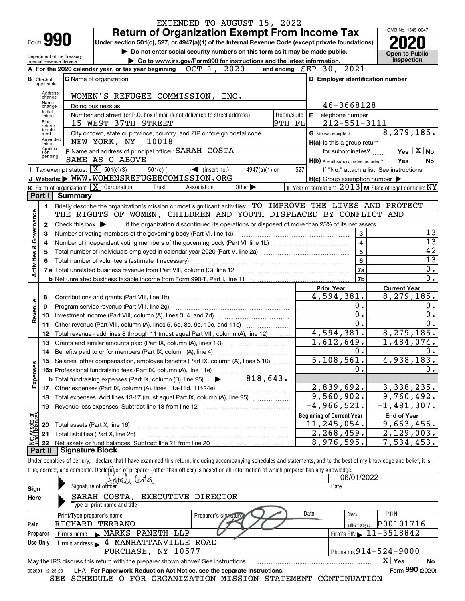|                                |                                  |                                                            | EXTENDED TO AUGUST 15, 2022                                                                                                                                                               |                                                     |                                                           |
|--------------------------------|----------------------------------|------------------------------------------------------------|-------------------------------------------------------------------------------------------------------------------------------------------------------------------------------------------|-----------------------------------------------------|-----------------------------------------------------------|
|                                |                                  |                                                            | <b>Return of Organization Exempt From Income Tax</b>                                                                                                                                      |                                                     | OMB No. 1545-0047                                         |
|                                |                                  | Form 990                                                   | Under section 501(c), 527, or 4947(a)(1) of the Internal Revenue Code (except private foundations)                                                                                        |                                                     |                                                           |
|                                |                                  |                                                            | Do not enter social security numbers on this form as it may be made public.                                                                                                               |                                                     | <b>Open to Public</b>                                     |
|                                |                                  | Department of the Treasury<br>Internal Revenue Service     | Go to www.irs.gov/Form990 for instructions and the latest information.                                                                                                                    |                                                     | Inspection                                                |
|                                |                                  |                                                            | A For the 2020 calendar year, or tax year beginning $OCT$ 1, $2020$<br>and ending $SEP$ 30, 2021                                                                                          |                                                     |                                                           |
|                                | <b>B</b> Check if<br>applicable: |                                                            | C Name of organization                                                                                                                                                                    | D Employer identification number                    |                                                           |
|                                | Address                          |                                                            |                                                                                                                                                                                           |                                                     |                                                           |
|                                | change<br>Name                   |                                                            | WOMEN'S REFUGEE COMMISSION, INC.                                                                                                                                                          |                                                     |                                                           |
|                                | change<br>Initial                |                                                            | Doing business as                                                                                                                                                                         | 46-3668128                                          |                                                           |
|                                | return<br>Final                  |                                                            | Number and street (or P.O. box if mail is not delivered to street address)<br>Room/suite                                                                                                  | E Telephone number                                  |                                                           |
|                                | return/<br>termin-               |                                                            | 9тн ғы<br>15 WEST 37TH STREET                                                                                                                                                             | $212 - 551 - 3111$                                  |                                                           |
|                                | ated<br>Amended                  |                                                            | City or town, state or province, country, and ZIP or foreign postal code<br>G Gross receipts \$<br>NEW YORK, NY 10018                                                                     |                                                     | 8, 279, 185.                                              |
|                                | return<br>Applica-               |                                                            |                                                                                                                                                                                           | H(a) Is this a group return                         |                                                           |
|                                | tion<br>pending                  |                                                            | F Name and address of principal officer: SARAH COSTA<br>SAME AS C ABOVE                                                                                                                   | for subordinates?                                   | Yes $X$ No                                                |
|                                |                                  | <b>I</b> Tax-exempt status: $\boxed{\mathbf{X}}$ 501(c)(3) | $\sqrt{\frac{1}{1}}$ (insert no.)<br>527                                                                                                                                                  | H(b) Are all subordinates included?                 | Yes<br>No                                                 |
|                                |                                  |                                                            | $501(c)$ (<br>$4947(a)(1)$ or<br>J Website: WWW.WOMENSREFUGEECOMISSION.ORG                                                                                                                | $H(c)$ Group exemption number $\blacktriangleright$ | If "No," attach a list. See instructions                  |
|                                |                                  |                                                            | K Form of organization: $\boxed{\mathbf{X}}$ Corporation<br>Other $\blacktriangleright$<br>Trust<br>Association                                                                           |                                                     | L Year of formation: $2013$ M State of legal domicile: NY |
|                                | Part I                           | <b>Summary</b>                                             |                                                                                                                                                                                           |                                                     |                                                           |
|                                | 1                                |                                                            | Briefly describe the organization's mission or most significant activities: TO IMPROVE THE LIVES AND PROTECT                                                                              |                                                     |                                                           |
|                                |                                  |                                                            | THE RIGHTS OF WOMEN, CHILDREN AND YOUTH DISPLACED BY CONFLICT AND                                                                                                                         |                                                     |                                                           |
|                                | 2                                | Check this box $\blacktriangleright$                       | if the organization discontinued its operations or disposed of more than 25% of its net assets.                                                                                           |                                                     |                                                           |
| Governance                     | 3                                |                                                            | Number of voting members of the governing body (Part VI, line 1a)                                                                                                                         | 3                                                   | 13                                                        |
|                                | 4                                |                                                            |                                                                                                                                                                                           | $\overline{\mathbf{4}}$                             | $\overline{13}$                                           |
|                                | 5                                |                                                            | Total number of individuals employed in calendar year 2020 (Part V, line 2a) manufacture of individuals employed in calendar year 2020 (Part V, line 2a)                                  | $\overline{\mathbf{5}}$                             | $\overline{42}$                                           |
|                                |                                  |                                                            |                                                                                                                                                                                           | 6                                                   | $\overline{13}$                                           |
| <b>Activities &amp;</b>        |                                  |                                                            |                                                                                                                                                                                           | 7a                                                  | $\overline{0}$ .                                          |
|                                |                                  |                                                            | <b>b</b> Net unrelated business taxable income from Form 990-T, Part I, line 11 <b>manual contract to the U.S.</b> Net unrelated business taxable income from Form 990-T, Part I, line 11 | 7b                                                  | $\overline{0}$ .                                          |
|                                |                                  |                                                            | <b>Prior Year</b>                                                                                                                                                                         |                                                     | <b>Current Year</b>                                       |
|                                | 8                                |                                                            | Contributions and grants (Part VIII, line 1h)                                                                                                                                             | 4,594,381.                                          | 8,279,185.                                                |
|                                | 9                                |                                                            | Program service revenue (Part VIII, line 2g)                                                                                                                                              | 0.                                                  | 0.                                                        |
| Revenue                        | 10                               |                                                            |                                                                                                                                                                                           | $\overline{0}$ .                                    | $\overline{0}$ .                                          |
|                                | 11                               |                                                            | Other revenue (Part VIII, column (A), lines 5, 6d, 8c, 9c, 10c, and 11e)                                                                                                                  | $\overline{0}$ .                                    | 0.                                                        |
|                                | 12                               |                                                            | Total revenue - add lines 8 through 11 (must equal Part VIII, column (A), line 12)                                                                                                        | 4,594,381.                                          | 8, 279, 185.                                              |
|                                | 13                               |                                                            | Grants and similar amounts paid (Part IX, column (A), lines 1-3)                                                                                                                          | 1,612,649.                                          | 1,484,074.                                                |
|                                | 14                               |                                                            | Benefits paid to or for members (Part IX, column (A), line 4)                                                                                                                             | 0.<br>5,108,561.                                    | 0.                                                        |
|                                | 15                               |                                                            | Salaries, other compensation, employee benefits (Part IX, column (A), lines 5-10)                                                                                                         | Ο.                                                  | 4,938,183.<br>0.                                          |
|                                |                                  |                                                            |                                                                                                                                                                                           |                                                     |                                                           |
| Expenses                       |                                  |                                                            |                                                                                                                                                                                           | 2,839,692.                                          | 3,338,235.                                                |
|                                | 18                               |                                                            | Total expenses. Add lines 13-17 (must equal Part IX, column (A), line 25)                                                                                                                 | 9,560,902.                                          | 9,760,492.                                                |
|                                | 19                               |                                                            |                                                                                                                                                                                           | $-4,966,521.$                                       | $-1,481,307$ .                                            |
|                                |                                  |                                                            | <b>Beginning of Current Year</b>                                                                                                                                                          |                                                     | <b>End of Year</b>                                        |
| Net Assets or<br>Fund Balances | 20                               | Total assets (Part X, line 16)                             |                                                                                                                                                                                           | 11,245,054.                                         | 9,663,456.                                                |
|                                | 21                               |                                                            | Total liabilities (Part X, line 26)                                                                                                                                                       | 2, 268, 459.                                        | 2,129,003.                                                |
|                                | 22                               |                                                            |                                                                                                                                                                                           | 8,976,595.                                          | 7,534,453.                                                |
|                                | Part II                          | <b>Signature Block</b>                                     |                                                                                                                                                                                           |                                                     |                                                           |
|                                |                                  |                                                            | Under penalties of perjury, I declare that I have examined this return, including accompanying schedules and statements, and to the best of my knowledge and belief, it is                |                                                     |                                                           |
|                                |                                  |                                                            | true, correct, and complete. Declafation of preparer (other than officer) is based on all information of which preparer has any knowledge.                                                |                                                     |                                                           |
|                                |                                  |                                                            | tanalı (cota                                                                                                                                                                              | 06/01/2022                                          |                                                           |

|                 | <u>Savali Costa</u>                                                             | 06/01/2022                                  |
|-----------------|---------------------------------------------------------------------------------|---------------------------------------------|
| Sign            | Signature of officer                                                            | Date                                        |
| Here            | SARAH COSTA, EXECUTIVE DIRECTOR                                                 |                                             |
|                 | Type or print name and title                                                    |                                             |
|                 | Date<br>Preparer's signature<br>Print/Type preparer's name                      | <b>PTIN</b><br>Check                        |
| Paid            | RICHARD TERRANO                                                                 | P00101716<br>self-employed                  |
| Preparer        | Firm's name MARKS PANETH LLP                                                    | Firm's EIN $\blacktriangleright$ 11-3518842 |
| Use Only        | Firm's address > 4 MANHATTANVILLE ROAD                                          |                                             |
|                 | PURCHASE, NY 10577                                                              | Phone no. $914 - 524 - 9000$                |
|                 | May the IRS discuss this return with the preparer shown above? See instructions | $\overline{X}$ Yes<br>No                    |
| 032001 12-23-20 | LHA For Paperwork Reduction Act Notice, see the separate instructions.          | Form 990 (2020)                             |
|                 | SEE SCHEDULE O FOR ORGANIZATION MISSION STATEMENT CONTINUATION                  |                                             |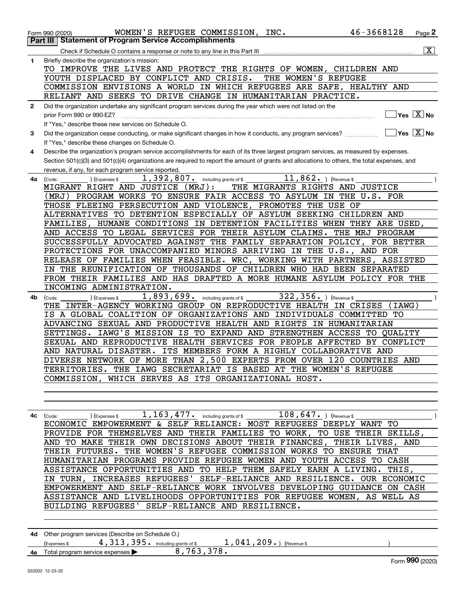|              | 46-3668128<br>WOMEN'S REFUGEE COMMISSION, INC.<br>Page 2<br>Form 990 (2020)                                                                                                                |  |
|--------------|--------------------------------------------------------------------------------------------------------------------------------------------------------------------------------------------|--|
|              | <b>Statement of Program Service Accomplishments</b><br>Part III                                                                                                                            |  |
|              | $\boxed{\text{X}}$                                                                                                                                                                         |  |
| 1            | Briefly describe the organization's mission:                                                                                                                                               |  |
|              | TO IMPROVE THE LIVES AND PROTECT THE RIGHTS OF WOMEN, CHILDREN AND                                                                                                                         |  |
|              | YOUTH DISPLACED BY CONFLICT AND CRISIS.<br>THE WOMEN'S REFUGEE                                                                                                                             |  |
|              | COMMISSION ENVISIONS A WORLD IN WHICH REFUGEES ARE SAFE, HEALTHY AND                                                                                                                       |  |
|              | RELIANT AND SEEKS TO DRIVE CHANGE IN HUMANITARIAN PRACTICE.                                                                                                                                |  |
| $\mathbf{2}$ | Did the organization undertake any significant program services during the year which were not listed on the<br>Yes $X$ No                                                                 |  |
|              | prior Form 990 or 990-EZ?                                                                                                                                                                  |  |
| 3            | If "Yes," describe these new services on Schedule O.<br>Yes $\boxed{X}$ No<br>Did the organization cease conducting, or make significant changes in how it conducts, any program services? |  |
|              | If "Yes," describe these changes on Schedule O.                                                                                                                                            |  |
| 4            | Describe the organization's program service accomplishments for each of its three largest program services, as measured by expenses.                                                       |  |
|              | Section 501(c)(3) and 501(c)(4) organizations are required to report the amount of grants and allocations to others, the total expenses, and                                               |  |
|              | revenue, if any, for each program service reported.                                                                                                                                        |  |
| 4a l         | 11,862. $ $ (Revenue \$<br>1,392,807. including grants of \$<br>(Code:<br>(Expenses \$                                                                                                     |  |
|              | MIGRANT RIGHT AND JUSTICE<br>(MRJ):<br>THE MIGRANTS RIGHTS AND JUSTICE                                                                                                                     |  |
|              | (MRJ) PROGRAM WORKS TO ENSURE FAIR ACCESS TO ASYLUM IN THE U.S. FOR                                                                                                                        |  |
|              | THOSE FLEEING PERSECUTION AND VIOLENCE, PROMOTES THE USE OF                                                                                                                                |  |
|              | ALTERNATIVES TO DETENTION ESPECIALLY OF ASYLUM SEEKING CHILDREN AND                                                                                                                        |  |
|              | FAMILIES, HUMANE CONDITIONS IN DETENTION FACILITIES WHEN THEY ARE USED,                                                                                                                    |  |
|              | AND ACCESS TO LEGAL SERVICES FOR THEIR ASYLUM CLAIMS.<br>THE MRJ PROGRAM                                                                                                                   |  |
|              | SUCCESSFULLY ADVOCATED AGAINST THE FAMILY SEPARATION POLICY, FOR BETTER                                                                                                                    |  |
|              | PROTECTIONS FOR UNACCOMPANIED MINORS ARRIVING IN THE U.S.,<br>AND FOR<br>RELEASE OF FAMILIES WHEN FEASIBLE. WRC, WORKING WITH PARTNERS, ASSISTED                                           |  |
|              | IN THE REUNIFICATION OF THOUSANDS OF CHILDREN WHO HAD BEEN SEPARATED                                                                                                                       |  |
|              | FROM THEIR FAMILIES AND HAS DRAFTED A MORE HUMANE ASYLUM POLICY FOR THE                                                                                                                    |  |
|              | INCOMING ADMINISTRATION.                                                                                                                                                                   |  |
| 4b           | 1,893,699. including grants of \$<br>$322, 356.$ ) (Revenue \$<br>(Code:<br>(Expenses \$                                                                                                   |  |
|              | THE INTER-AGENCY WORKING GROUP ON REPRODUCTIVE HEALTH IN CRISES<br>(IAWG)                                                                                                                  |  |
|              | IS A GLOBAL COALITION OF ORGANIZATIONS AND INDIVIDUALS COMMITTED TO                                                                                                                        |  |
|              | ADVANCING SEXUAL AND PRODUCTIVE HEALTH AND RIGHTS IN HUMANITARIAN                                                                                                                          |  |
|              | IAWG'S MISSION IS TO EXPAND AND STRENGTHEN ACCESS TO QUALITY<br>SETTINGS.                                                                                                                  |  |
|              | SEXUAL AND REPRODUCTIVE HEALTH SERVICES FOR PEOPLE AFFECTED BY CONFLICT                                                                                                                    |  |
|              | AND NATURAL DISASTER.<br>ITS MEMBERS FORM A HIGHLY COLLABORATIVE AND                                                                                                                       |  |
|              | DIVERSE NETWORK OF MORE THAN 2,500 EXPERTS FROM OVER 120 COUNTRIES AND                                                                                                                     |  |
|              | TERRITORIES. THE IAWG SECRETARIAT IS BASED AT THE WOMEN'S REFUGEE                                                                                                                          |  |
|              | COMMISSION, WHICH SERVES AS ITS ORGANIZATIONAL HOST.                                                                                                                                       |  |
|              |                                                                                                                                                                                            |  |
|              |                                                                                                                                                                                            |  |
|              | $1,163,477$ and $\,$ including grants of $\,\mathrm{s}$ and $\,$ $108,647$ and $\,$ (Revenue \$<br>(Expenses \$<br>4c (Code:                                                               |  |
|              | ECONOMIC EMPOWERMENT & SELF RELIANCE: MOST REFUGEES DEEPLY WANT TO                                                                                                                         |  |
|              | PROVIDE FOR THEMSELVES AND THEIR FAMILIES TO WORK, TO USE THEIR SKILLS,                                                                                                                    |  |
|              | AND TO MAKE THEIR OWN DECISIONS ABOUT THEIR FINANCES, THEIR LIVES, AND                                                                                                                     |  |
|              | THEIR FUTURES. THE WOMEN'S REFUGEE COMMISSION WORKS TO ENSURE THAT                                                                                                                         |  |
|              | HUMANITARIAN PROGRAMS PROVIDE REFUGEE WOMEN AND YOUTH ACCESS TO CASH                                                                                                                       |  |

HUMANITARIAN PROGRAMS PROVIDE REFUGEE WOMEN AND YOUTH ACCESS TO CASH ASSISTANCE OPPORTUNITIES AND TO HELP THEM SAFELY EARN A LIVING. THIS, IN TURN, INCREASES REFUGEES' SELF-RELIANCE AND RESILIENCE. OUR ECONOMIC EMPOWERMENT AND SELF-RELIANCE WORK INVOLVES DEVELOPING GUIDANCE ON CASH ASSISTANCE AND LIVELIHOODS OPPORTUNITIES FOR REFUGEE WOMEN, AS WELL AS BUILDING REFUGEES' SELF-RELIANCE AND RESILIENCE.

| 4d Other program services (Describe on Schedule O.)                                                 |          |                             |  |  |  |
|-----------------------------------------------------------------------------------------------------|----------|-----------------------------|--|--|--|
| $4$ , $313$ , $395$ $\cdot$ $\,$ including grants of $\scriptstyle\rm\textnormal{s}$<br>Expenses \$ |          | 209.1<br>041.<br>Revenue \$ |  |  |  |
| <b>4e</b> Total program service expenses $\blacktriangleright$                                      | 763,378. |                             |  |  |  |

Form (2020) **990**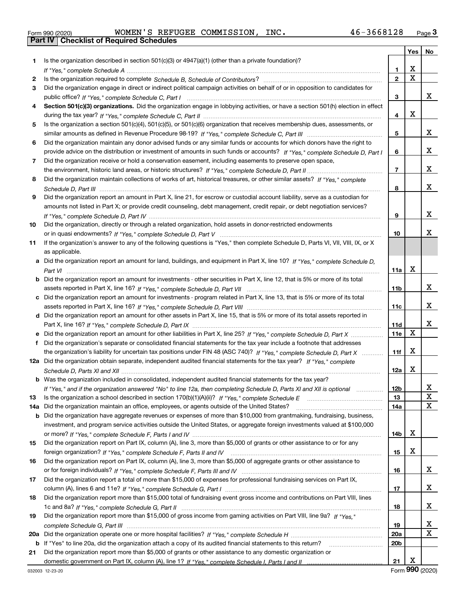|  | Form 990 (2020) |
|--|-----------------|

Form 990 (2020) WOMEN'S REFUGEE COMMISSION, INC. 46-3668128 <sub>Page</sub> 3<br>**Part IV | Checklist of Required Schedules** 

|     |                                                                                                                                       |                   | Yes | No |
|-----|---------------------------------------------------------------------------------------------------------------------------------------|-------------------|-----|----|
| 1.  | Is the organization described in section $501(c)(3)$ or $4947(a)(1)$ (other than a private foundation)?                               |                   |     |    |
|     |                                                                                                                                       | 1.                | X   |    |
| 2   |                                                                                                                                       | $\overline{2}$    | X   |    |
| 3   | Did the organization engage in direct or indirect political campaign activities on behalf of or in opposition to candidates for       |                   |     |    |
|     |                                                                                                                                       | 3                 |     | х  |
| 4   | Section 501(c)(3) organizations. Did the organization engage in lobbying activities, or have a section 501(h) election in effect      |                   |     |    |
|     |                                                                                                                                       | 4                 | X   |    |
| 5   | Is the organization a section 501(c)(4), 501(c)(5), or 501(c)(6) organization that receives membership dues, assessments, or          |                   |     |    |
|     |                                                                                                                                       | 5                 |     | х  |
| 6   | Did the organization maintain any donor advised funds or any similar funds or accounts for which donors have the right to             |                   |     |    |
|     | provide advice on the distribution or investment of amounts in such funds or accounts? If "Yes," complete Schedule D, Part I          | 6                 |     | х  |
| 7   | Did the organization receive or hold a conservation easement, including easements to preserve open space,                             |                   |     |    |
|     |                                                                                                                                       | $\overline{7}$    |     | х  |
| 8   | Did the organization maintain collections of works of art, historical treasures, or other similar assets? If "Yes," complete          |                   |     |    |
|     |                                                                                                                                       | 8                 |     | х  |
| 9   | Did the organization report an amount in Part X, line 21, for escrow or custodial account liability, serve as a custodian for         |                   |     |    |
|     | amounts not listed in Part X; or provide credit counseling, debt management, credit repair, or debt negotiation services?             |                   |     |    |
|     |                                                                                                                                       | 9                 |     | х  |
| 10  | Did the organization, directly or through a related organization, hold assets in donor-restricted endowments                          |                   |     |    |
|     |                                                                                                                                       | 10                |     | x  |
| 11  | If the organization's answer to any of the following questions is "Yes," then complete Schedule D, Parts VI, VIII, VIII, IX, or X     |                   |     |    |
|     | as applicable.                                                                                                                        |                   |     |    |
|     | a Did the organization report an amount for land, buildings, and equipment in Part X, line 10? If "Yes," complete Schedule D,         |                   |     |    |
|     |                                                                                                                                       | 11a               | X   |    |
|     | <b>b</b> Did the organization report an amount for investments - other securities in Part X, line 12, that is 5% or more of its total |                   |     |    |
|     |                                                                                                                                       | 11 <sub>b</sub>   |     | х  |
|     | c Did the organization report an amount for investments - program related in Part X, line 13, that is 5% or more of its total         |                   |     | х  |
|     |                                                                                                                                       | 11c               |     |    |
|     | d Did the organization report an amount for other assets in Part X, line 15, that is 5% or more of its total assets reported in       |                   |     | x  |
|     | e Did the organization report an amount for other liabilities in Part X, line 25? If "Yes," complete Schedule D, Part X               | <b>11d</b><br>11e | X   |    |
|     | Did the organization's separate or consolidated financial statements for the tax year include a footnote that addresses               |                   |     |    |
|     | the organization's liability for uncertain tax positions under FIN 48 (ASC 740)? If "Yes," complete Schedule D, Part X                | 11f               | X   |    |
|     | 12a Did the organization obtain separate, independent audited financial statements for the tax year? If "Yes," complete               |                   |     |    |
|     |                                                                                                                                       | 12a               | X   |    |
|     | <b>b</b> Was the organization included in consolidated, independent audited financial statements for the tax year?                    |                   |     |    |
|     | If "Yes," and if the organization answered "No" to line 12a, then completing Schedule D, Parts XI and XII is optional                 | 12b               |     | ᅀ  |
| 13  |                                                                                                                                       | 13                |     | X  |
| 14a | Did the organization maintain an office, employees, or agents outside of the United States?                                           | 14a               |     | Х  |
|     | <b>b</b> Did the organization have aggregate revenues or expenses of more than \$10,000 from grantmaking, fundraising, business,      |                   |     |    |
|     | investment, and program service activities outside the United States, or aggregate foreign investments valued at \$100,000            |                   |     |    |
|     |                                                                                                                                       | 14 <sub>b</sub>   | х   |    |
| 15  | Did the organization report on Part IX, column (A), line 3, more than \$5,000 of grants or other assistance to or for any             |                   |     |    |
|     |                                                                                                                                       | 15                | х   |    |
| 16  | Did the organization report on Part IX, column (A), line 3, more than \$5,000 of aggregate grants or other assistance to              |                   |     |    |
|     |                                                                                                                                       | 16                |     | x  |
| 17  | Did the organization report a total of more than \$15,000 of expenses for professional fundraising services on Part IX,               |                   |     |    |
|     |                                                                                                                                       | 17                |     | x  |
| 18  | Did the organization report more than \$15,000 total of fundraising event gross income and contributions on Part VIII, lines          |                   |     |    |
|     |                                                                                                                                       | 18                |     | x  |
| 19  | Did the organization report more than \$15,000 of gross income from gaming activities on Part VIII, line 9a? If "Yes."                |                   |     |    |
|     |                                                                                                                                       | 19                |     | X  |
|     |                                                                                                                                       | 20a               |     | X  |
|     | b If "Yes" to line 20a, did the organization attach a copy of its audited financial statements to this return?                        | 20 <sub>b</sub>   |     |    |
| 21  | Did the organization report more than \$5,000 of grants or other assistance to any domestic organization or                           |                   |     |    |
|     |                                                                                                                                       | 21                | х   |    |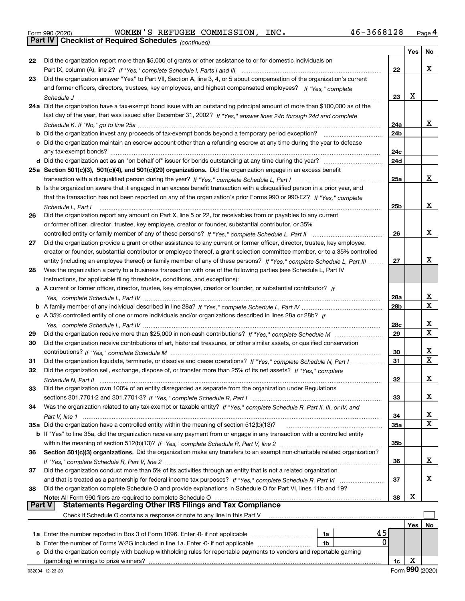|  | Form 990 (2020) |
|--|-----------------|
|  |                 |

*(continued)* Form 990 (2020) WOMEN'S REFUGEE COMMISSION, INC. 46-3668128 <sub>Page</sub> 4<br>**Part IV | Checklist of Required Schedules** <sub>(continued)</sub>

|               |                                                                                                                                                                                                                                                      |     | Yes | No |
|---------------|------------------------------------------------------------------------------------------------------------------------------------------------------------------------------------------------------------------------------------------------------|-----|-----|----|
| 22            | Did the organization report more than \$5,000 of grants or other assistance to or for domestic individuals on                                                                                                                                        |     |     |    |
|               |                                                                                                                                                                                                                                                      | 22  |     | x  |
| 23            | Did the organization answer "Yes" to Part VII, Section A, line 3, 4, or 5 about compensation of the organization's current                                                                                                                           |     |     |    |
|               | and former officers, directors, trustees, key employees, and highest compensated employees? If "Yes," complete                                                                                                                                       |     |     |    |
|               |                                                                                                                                                                                                                                                      | 23  | X   |    |
|               | 24a Did the organization have a tax-exempt bond issue with an outstanding principal amount of more than \$100,000 as of the                                                                                                                          |     |     |    |
|               | last day of the year, that was issued after December 31, 2002? If "Yes," answer lines 24b through 24d and complete                                                                                                                                   |     |     |    |
|               |                                                                                                                                                                                                                                                      | 24a |     | x  |
|               |                                                                                                                                                                                                                                                      | 24b |     |    |
|               | c Did the organization maintain an escrow account other than a refunding escrow at any time during the year to defease                                                                                                                               |     |     |    |
|               |                                                                                                                                                                                                                                                      | 24c |     |    |
|               |                                                                                                                                                                                                                                                      | 24d |     |    |
|               | 25a Section 501(c)(3), 501(c)(4), and 501(c)(29) organizations. Did the organization engage in an excess benefit                                                                                                                                     | 25a |     | x  |
|               |                                                                                                                                                                                                                                                      |     |     |    |
|               | b Is the organization aware that it engaged in an excess benefit transaction with a disqualified person in a prior year, and                                                                                                                         |     |     |    |
|               | that the transaction has not been reported on any of the organization's prior Forms 990 or 990-EZ? If "Yes," complete                                                                                                                                | 25b |     | x  |
| 26            | Schedule L, Part I<br>Did the organization report any amount on Part X, line 5 or 22, for receivables from or payables to any current                                                                                                                |     |     |    |
|               | or former officer, director, trustee, key employee, creator or founder, substantial contributor, or 35%                                                                                                                                              |     |     |    |
|               | controlled entity or family member of any of these persons? If "Yes," complete Schedule L, Part II                                                                                                                                                   | 26  |     | x  |
| 27            | Did the organization provide a grant or other assistance to any current or former officer, director, trustee, key employee,                                                                                                                          |     |     |    |
|               | creator or founder, substantial contributor or employee thereof, a grant selection committee member, or to a 35% controlled                                                                                                                          |     |     |    |
|               | entity (including an employee thereof) or family member of any of these persons? If "Yes," complete Schedule L, Part III                                                                                                                             | 27  |     | x  |
| 28            | Was the organization a party to a business transaction with one of the following parties (see Schedule L, Part IV                                                                                                                                    |     |     |    |
|               | instructions, for applicable filing thresholds, conditions, and exceptions):                                                                                                                                                                         |     |     |    |
|               | a A current or former officer, director, trustee, key employee, creator or founder, or substantial contributor? If                                                                                                                                   |     |     |    |
|               |                                                                                                                                                                                                                                                      | 28a |     | х  |
|               |                                                                                                                                                                                                                                                      | 28b |     | х  |
|               | c A 35% controlled entity of one or more individuals and/or organizations described in lines 28a or 28b? If                                                                                                                                          |     |     |    |
|               |                                                                                                                                                                                                                                                      | 28c |     | x  |
| 29            |                                                                                                                                                                                                                                                      | 29  |     | X  |
| 30            | Did the organization receive contributions of art, historical treasures, or other similar assets, or qualified conservation                                                                                                                          |     |     |    |
|               |                                                                                                                                                                                                                                                      | 30  |     | х  |
| 31            | Did the organization liquidate, terminate, or dissolve and cease operations? If "Yes," complete Schedule N, Part I                                                                                                                                   | 31  |     | X  |
| 32            | Did the organization sell, exchange, dispose of, or transfer more than 25% of its net assets? If "Yes," complete                                                                                                                                     |     |     |    |
|               |                                                                                                                                                                                                                                                      | 32  |     | х  |
| 33            | Did the organization own 100% of an entity disregarded as separate from the organization under Regulations                                                                                                                                           |     |     |    |
|               |                                                                                                                                                                                                                                                      | 33  |     | х  |
| 34            | Was the organization related to any tax-exempt or taxable entity? If "Yes," complete Schedule R, Part II, III, or IV, and                                                                                                                            |     |     |    |
|               |                                                                                                                                                                                                                                                      | 34  |     | х  |
|               | 35a Did the organization have a controlled entity within the meaning of section 512(b)(13)?                                                                                                                                                          | 35a |     | х  |
|               | b If "Yes" to line 35a, did the organization receive any payment from or engage in any transaction with a controlled entity                                                                                                                          |     |     |    |
|               |                                                                                                                                                                                                                                                      | 35b |     |    |
| 36            | Section 501(c)(3) organizations. Did the organization make any transfers to an exempt non-charitable related organization?                                                                                                                           |     |     |    |
|               |                                                                                                                                                                                                                                                      | 36  |     | х  |
| 37            | Did the organization conduct more than 5% of its activities through an entity that is not a related organization                                                                                                                                     |     |     |    |
|               |                                                                                                                                                                                                                                                      | 37  |     | х  |
| 38            | Did the organization complete Schedule O and provide explanations in Schedule O for Part VI, lines 11b and 19?                                                                                                                                       |     |     |    |
| <b>Part V</b> | Note: All Form 990 filers are required to complete Schedule O<br><u>on i vini aav mers are required to complete Schedule O manual manual manual manual manual mers are required to<br/>Statements Regarding Other IRS Filings and Tax Compliance</u> | 38  | х   |    |
|               | Check if Schedule O contains a response or note to any line in this Part V                                                                                                                                                                           |     |     |    |
|               |                                                                                                                                                                                                                                                      |     | Yes | No |
|               | 45<br>1a Enter the number reported in Box 3 of Form 1096. Enter -0- if not applicable<br>1a                                                                                                                                                          |     |     |    |
| b             | 0<br>Enter the number of Forms W-2G included in line 1a. Enter -0- if not applicable<br>1 <sub>b</sub>                                                                                                                                               |     |     |    |
|               | Did the organization comply with backup withholding rules for reportable payments to vendors and reportable gaming                                                                                                                                   |     |     |    |
|               |                                                                                                                                                                                                                                                      | 1c  | х   |    |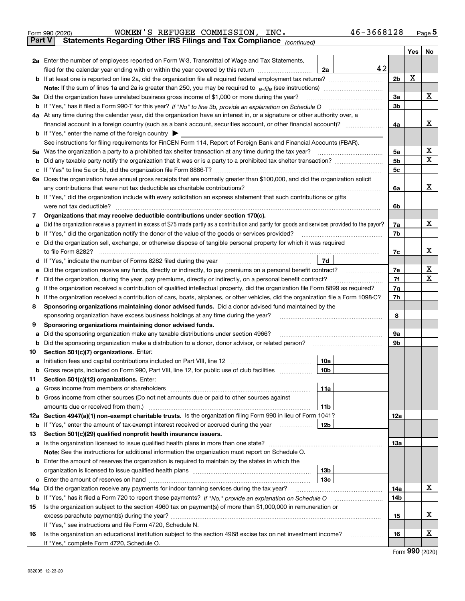| Form 990 (2020) |  | WOMEN'S REFUGEE COMMISSION, INC.                                                               | 46-3668128 | Page $5$ |
|-----------------|--|------------------------------------------------------------------------------------------------|------------|----------|
|                 |  | <b>Part V</b> Statements Regarding Other IRS Filings and Tax Compliance <sub>(continued)</sub> |            |          |

| rai l V | Statements Regarding Other IRS Fillings and Tax Compilance $_{(continued)}$                                                                                                                                  |                |     |    |  |
|---------|--------------------------------------------------------------------------------------------------------------------------------------------------------------------------------------------------------------|----------------|-----|----|--|
|         |                                                                                                                                                                                                              |                | Yes | No |  |
|         | <b>2a</b> Enter the number of employees reported on Form W-3, Transmittal of Wage and Tax Statements,<br>42                                                                                                  |                |     |    |  |
|         | filed for the calendar year ending with or within the year covered by this return <i></i><br>2a                                                                                                              |                |     |    |  |
|         |                                                                                                                                                                                                              | 2 <sub>b</sub> | X   |    |  |
|         |                                                                                                                                                                                                              |                |     |    |  |
|         | 3a Did the organization have unrelated business gross income of \$1,000 or more during the year?                                                                                                             | 3a             |     | х  |  |
|         |                                                                                                                                                                                                              | 3b             |     |    |  |
|         | 4a At any time during the calendar year, did the organization have an interest in, or a signature or other authority over, a                                                                                 |                |     |    |  |
|         |                                                                                                                                                                                                              | 4a             |     | х  |  |
|         | <b>b</b> If "Yes," enter the name of the foreign country                                                                                                                                                     |                |     |    |  |
|         | See instructions for filing requirements for FinCEN Form 114, Report of Foreign Bank and Financial Accounts (FBAR).                                                                                          |                |     | х  |  |
|         |                                                                                                                                                                                                              | 5а             |     | X  |  |
|         |                                                                                                                                                                                                              | 5b             |     |    |  |
|         |                                                                                                                                                                                                              | 5c             |     |    |  |
|         | 6a Does the organization have annual gross receipts that are normally greater than \$100,000, and did the organization solicit                                                                               |                |     | х  |  |
|         | any contributions that were not tax deductible as charitable contributions?<br><b>b</b> If "Yes," did the organization include with every solicitation an express statement that such contributions or gifts | 6a             |     |    |  |
|         | were not tax deductible?                                                                                                                                                                                     | 6b             |     |    |  |
|         | Organizations that may receive deductible contributions under section 170(c).                                                                                                                                |                |     |    |  |
| 7       | a Did the organization receive a payment in excess of \$75 made partly as a contribution and partly for goods and services provided to the payor?                                                            | 7a             |     | х  |  |
|         | <b>b</b> If "Yes," did the organization notify the donor of the value of the goods or services provided?                                                                                                     | 7b             |     |    |  |
|         | c Did the organization sell, exchange, or otherwise dispose of tangible personal property for which it was required                                                                                          |                |     |    |  |
|         | to file Form 8282?                                                                                                                                                                                           | 7c             |     | х  |  |
|         | 7d<br><b>d</b> If "Yes," indicate the number of Forms 8282 filed during the year                                                                                                                             |                |     |    |  |
| е       | Did the organization receive any funds, directly or indirectly, to pay premiums on a personal benefit contract?                                                                                              | 7e             |     | х  |  |
| Ť       | Did the organization, during the year, pay premiums, directly or indirectly, on a personal benefit contract?                                                                                                 | 7f             |     | х  |  |
| g       | If the organization received a contribution of qualified intellectual property, did the organization file Form 8899 as required?                                                                             |                |     |    |  |
|         | h If the organization received a contribution of cars, boats, airplanes, or other vehicles, did the organization file a Form 1098-C?                                                                         | 7g<br>7h       |     |    |  |
| 8       | Sponsoring organizations maintaining donor advised funds. Did a donor advised fund maintained by the                                                                                                         |                |     |    |  |
|         | sponsoring organization have excess business holdings at any time during the year?                                                                                                                           | 8              |     |    |  |
| 9       | Sponsoring organizations maintaining donor advised funds.                                                                                                                                                    |                |     |    |  |
| а       | Did the sponsoring organization make any taxable distributions under section 4966?                                                                                                                           | 9а             |     |    |  |
|         | <b>b</b> Did the sponsoring organization make a distribution to a donor, donor advisor, or related person?                                                                                                   | 9b             |     |    |  |
| 10      | Section 501(c)(7) organizations. Enter:                                                                                                                                                                      |                |     |    |  |
|         | 10a                                                                                                                                                                                                          |                |     |    |  |
|         | b Gross receipts, included on Form 990, Part VIII, line 12, for public use of club facilities<br>10b                                                                                                         |                |     |    |  |
| 11.     | Section 501(c)(12) organizations. Enter:                                                                                                                                                                     |                |     |    |  |
|         | 11a                                                                                                                                                                                                          |                |     |    |  |
|         | <b>b</b> Gross income from other sources (Do not net amounts due or paid to other sources against                                                                                                            |                |     |    |  |
|         | 11b                                                                                                                                                                                                          |                |     |    |  |
|         | 12a Section 4947(a)(1) non-exempt charitable trusts. Is the organization filing Form 990 in lieu of Form 1041?                                                                                               | 12a            |     |    |  |
|         | <b>b</b> If "Yes," enter the amount of tax-exempt interest received or accrued during the year<br>12b                                                                                                        |                |     |    |  |
| 13      | Section 501(c)(29) qualified nonprofit health insurance issuers.                                                                                                                                             |                |     |    |  |
|         | <b>a</b> Is the organization licensed to issue qualified health plans in more than one state?                                                                                                                | 13a            |     |    |  |
|         | Note: See the instructions for additional information the organization must report on Schedule O.                                                                                                            |                |     |    |  |
|         | <b>b</b> Enter the amount of reserves the organization is required to maintain by the states in which the                                                                                                    |                |     |    |  |
|         | 13 <sub>b</sub>                                                                                                                                                                                              |                |     |    |  |
|         | 13 <sub>c</sub>                                                                                                                                                                                              |                |     |    |  |
| 14a     | Did the organization receive any payments for indoor tanning services during the tax year?                                                                                                                   | 14a            |     | x  |  |
|         |                                                                                                                                                                                                              | 14b            |     |    |  |
| 15      | Is the organization subject to the section 4960 tax on payment(s) of more than \$1,000,000 in remuneration or                                                                                                |                |     |    |  |
|         |                                                                                                                                                                                                              | 15             |     | х  |  |
|         | If "Yes," see instructions and file Form 4720, Schedule N.                                                                                                                                                   |                |     |    |  |
| 16      | Is the organization an educational institution subject to the section 4968 excise tax on net investment income?                                                                                              | 16             |     | х  |  |
|         | If "Yes," complete Form 4720, Schedule O.                                                                                                                                                                    |                |     |    |  |

Form (2020) **990**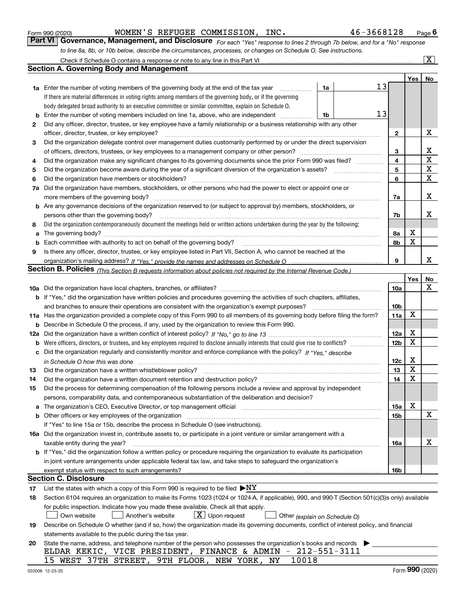|  | Form 990 (2020) |
|--|-----------------|
|  |                 |

WOMEN'S REFUGEE COMMISSION, INC. 46-3668128

*For each "Yes" response to lines 2 through 7b below, and for a "No" response to line 8a, 8b, or 10b below, describe the circumstances, processes, or changes on Schedule O. See instructions.* Form 990 (2020) **MOMEN'S REFUGEE COMMISSION, INC.** 46-3668128 Page 6<br>**Part VI Governance, Management, and Disclosure** For each "Yes" response to lines 2 through 7b below, and for a "No" response

|     | Check if Schedule O contains a response or note to any line in this Part VI                                                                                                   |                               |    |                 |     | $\boxed{\text{X}}$ |
|-----|-------------------------------------------------------------------------------------------------------------------------------------------------------------------------------|-------------------------------|----|-----------------|-----|--------------------|
|     | <b>Section A. Governing Body and Management</b>                                                                                                                               |                               |    |                 |     |                    |
|     |                                                                                                                                                                               |                               |    |                 | Yes | No                 |
|     | <b>1a</b> Enter the number of voting members of the governing body at the end of the tax year                                                                                 | 1a                            | 13 |                 |     |                    |
|     | If there are material differences in voting rights among members of the governing body, or if the governing                                                                   |                               |    |                 |     |                    |
|     | body delegated broad authority to an executive committee or similar committee, explain on Schedule O.                                                                         |                               |    |                 |     |                    |
| b   | Enter the number of voting members included on line 1a, above, who are independent                                                                                            | 1b                            | 13 |                 |     |                    |
| 2   | Did any officer, director, trustee, or key employee have a family relationship or a business relationship with any other                                                      |                               |    |                 |     |                    |
|     | officer, director, trustee, or key employee?                                                                                                                                  |                               |    | 2               |     | х                  |
| 3   | Did the organization delegate control over management duties customarily performed by or under the direct supervision                                                         |                               |    |                 |     |                    |
|     | of officers, directors, trustees, or key employees to a management company or other person?                                                                                   |                               |    | 3               |     | x                  |
| 4   | Did the organization make any significant changes to its governing documents since the prior Form 990 was filed? ___________                                                  |                               |    | 4               |     | $\mathbf X$        |
| 5   |                                                                                                                                                                               |                               |    | 5               |     | $\mathbf X$        |
| 6   | Did the organization have members or stockholders?                                                                                                                            |                               |    |                 |     | X                  |
| 7a  | Did the organization have members, stockholders, or other persons who had the power to elect or appoint one or                                                                |                               |    |                 |     |                    |
|     | more members of the governing body?                                                                                                                                           |                               |    | 7a              |     | х                  |
|     | b Are any governance decisions of the organization reserved to (or subject to approval by) members, stockholders, or                                                          |                               |    |                 |     |                    |
|     | persons other than the governing body?                                                                                                                                        |                               |    | 7b              |     | х                  |
| 8   | Did the organization contemporaneously document the meetings held or written actions undertaken during the year by the following:                                             |                               |    |                 |     |                    |
| a   |                                                                                                                                                                               |                               |    | 8a              | х   |                    |
| b   |                                                                                                                                                                               |                               |    | 8b              | X   |                    |
| 9   | Is there any officer, director, trustee, or key employee listed in Part VII, Section A, who cannot be reached at the                                                          |                               |    |                 |     |                    |
|     |                                                                                                                                                                               |                               |    | 9               |     | x                  |
|     | <b>Section B. Policies</b> (This Section B requests information about policies not required by the Internal Revenue Code.)                                                    |                               |    |                 |     |                    |
|     |                                                                                                                                                                               |                               |    |                 | Yes | No                 |
|     |                                                                                                                                                                               |                               |    | 10a             |     | х                  |
|     | <b>b</b> If "Yes," did the organization have written policies and procedures governing the activities of such chapters, affiliates,                                           |                               |    |                 |     |                    |
|     | and branches to ensure their operations are consistent with the organization's exempt purposes?                                                                               |                               |    | 10 <sub>b</sub> |     |                    |
|     | 11a Has the organization provided a complete copy of this Form 990 to all members of its governing body before filing the form?                                               |                               |    | 11a             | X   |                    |
| b   | Describe in Schedule O the process, if any, used by the organization to review this Form 990.                                                                                 |                               |    |                 |     |                    |
| 12a |                                                                                                                                                                               |                               |    | 12a             | х   |                    |
| b   |                                                                                                                                                                               |                               |    | 12 <sub>b</sub> | X   |                    |
| с   | Did the organization regularly and consistently monitor and enforce compliance with the policy? If "Yes," describe                                                            |                               |    |                 |     |                    |
|     | in Schedule O how this was done encourance and the control of the control of the control of the control of the                                                                |                               |    | 12c             | х   |                    |
| 13  | Did the organization have a written whistleblower policy?                                                                                                                     |                               |    | 13              | X   |                    |
| 14  | Did the organization have a written document retention and destruction policy?                                                                                                |                               |    | 14              | X   |                    |
| 15  | Did the process for determining compensation of the following persons include a review and approval by independent                                                            |                               |    |                 |     |                    |
|     | persons, comparability data, and contemporaneous substantiation of the deliberation and decision?                                                                             |                               |    |                 |     |                    |
| а   | The organization's CEO, Executive Director, or top management official manufactured content content of the organization's CEO, Executive Director, or top management official |                               |    | 15a             | х   |                    |
| b   | Other officers or key employees of the organization                                                                                                                           |                               |    | 15b             |     | х                  |
|     | If "Yes" to line 15a or 15b, describe the process in Schedule O (see instructions).                                                                                           |                               |    |                 |     |                    |
|     | 16a Did the organization invest in, contribute assets to, or participate in a joint venture or similar arrangement with a                                                     |                               |    |                 |     |                    |
|     | taxable entity during the year?                                                                                                                                               |                               |    | 16a             |     | х                  |
|     | b If "Yes," did the organization follow a written policy or procedure requiring the organization to evaluate its participation                                                |                               |    |                 |     |                    |
|     | in joint venture arrangements under applicable federal tax law, and take steps to safequard the organization's                                                                |                               |    |                 |     |                    |
|     | exempt status with respect to such arrangements?                                                                                                                              |                               |    | 16b             |     |                    |
|     | <b>Section C. Disclosure</b>                                                                                                                                                  |                               |    |                 |     |                    |
| 17  | List the states with which a copy of this Form 990 is required to be filed $\blacktriangleright$ NY                                                                           |                               |    |                 |     |                    |
| 18  | Section 6104 requires an organization to make its Forms 1023 (1024 or 1024-A, if applicable), 990, and 990-T (Section 501(c)(3)s only) available                              |                               |    |                 |     |                    |
|     | for public inspection. Indicate how you made these available. Check all that apply.                                                                                           |                               |    |                 |     |                    |
|     | $\lfloor x \rfloor$ Upon request<br>Own website<br>Another's website                                                                                                          | Other (explain on Schedule O) |    |                 |     |                    |
| 19  | Describe on Schedule O whether (and if so, how) the organization made its governing documents, conflict of interest policy, and financial                                     |                               |    |                 |     |                    |
|     | statements available to the public during the tax year.                                                                                                                       |                               |    |                 |     |                    |
| 20  | State the name, address, and telephone number of the person who possesses the organization's books and records                                                                |                               |    |                 |     |                    |
|     | ELDAR KEKIC, VICE PRESIDENT, FINANCE & ADMIN - 212-551-3111                                                                                                                   |                               |    |                 |     |                    |
|     | 15 WEST 37TH STREET, 9TH FLOOR, NEW YORK, NY<br>10018                                                                                                                         |                               |    |                 |     |                    |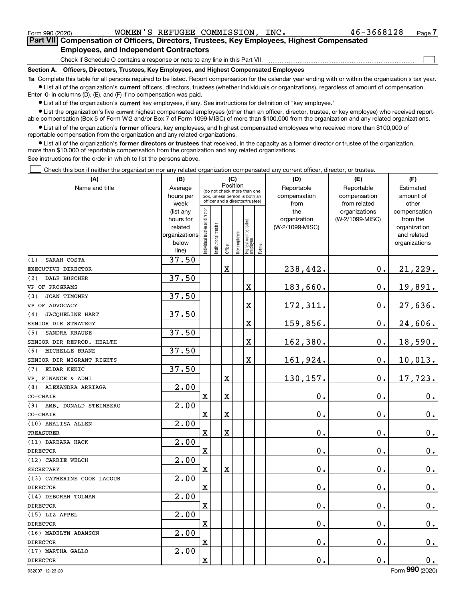$\mathcal{L}^{\text{max}}$ 

**7Part VII Compensation of Officers, Directors, Trustees, Key Employees, Highest Compensated Employees, and Independent Contractors**

Check if Schedule O contains a response or note to any line in this Part VII

**Section A. Officers, Directors, Trustees, Key Employees, and Highest Compensated Employees**

**1a**  Complete this table for all persons required to be listed. Report compensation for the calendar year ending with or within the organization's tax year. **•** List all of the organization's current officers, directors, trustees (whether individuals or organizations), regardless of amount of compensation.

Enter -0- in columns (D), (E), and (F) if no compensation was paid.

 $\bullet$  List all of the organization's  $\,$ current key employees, if any. See instructions for definition of "key employee."

**•** List the organization's five current highest compensated employees (other than an officer, director, trustee, or key employee) who received reportable compensation (Box 5 of Form W-2 and/or Box 7 of Form 1099-MISC) of more than \$100,000 from the organization and any related organizations.

**•** List all of the organization's former officers, key employees, and highest compensated employees who received more than \$100,000 of reportable compensation from the organization and any related organizations.

**former directors or trustees**  ¥ List all of the organization's that received, in the capacity as a former director or trustee of the organization, more than \$10,000 of reportable compensation from the organization and any related organizations.

See instructions for the order in which to list the persons above.

Check this box if neither the organization nor any related organization compensated any current officer, director, or trustee.  $\mathcal{L}^{\text{max}}$ 

| (A)                           | (B)               |                               |                                                                  | (C)         |              |                                  |        | (D)             | (E)                           | (F)                   |
|-------------------------------|-------------------|-------------------------------|------------------------------------------------------------------|-------------|--------------|----------------------------------|--------|-----------------|-------------------------------|-----------------------|
| Name and title                | Average           |                               | (do not check more than one                                      | Position    |              |                                  |        | Reportable      | Reportable                    | Estimated             |
|                               | hours per         |                               | box, unless person is both an<br>officer and a director/trustee) |             |              |                                  |        | compensation    | compensation                  | amount of             |
|                               | week<br>(list any |                               |                                                                  |             |              |                                  |        | from<br>the     | from related<br>organizations | other<br>compensation |
|                               | hours for         |                               |                                                                  |             |              |                                  |        | organization    | (W-2/1099-MISC)               | from the              |
|                               | related           |                               |                                                                  |             |              |                                  |        | (W-2/1099-MISC) |                               | organization          |
|                               | organizations     |                               |                                                                  |             |              |                                  |        |                 |                               | and related           |
|                               | below             | ndividual trustee or director | Institutional trustee                                            |             | Key employee |                                  |        |                 |                               | organizations         |
|                               | line)             |                               |                                                                  | Officer     |              | Highest compensated<br> employee | Former |                 |                               |                       |
| SARAH COSTA<br>(1)            | 37.50             |                               |                                                                  |             |              |                                  |        |                 |                               |                       |
| EXECUTIVE DIRECTOR            |                   |                               |                                                                  | $\mathbf X$ |              |                                  |        | 238,442.        | $0$ .                         | 21,229.               |
| <b>DALE BUSCHER</b><br>(2)    | 37.50             |                               |                                                                  |             |              |                                  |        |                 |                               |                       |
| VP OF PROGRAMS                |                   |                               |                                                                  |             |              | X                                |        | 183,660.        | $\mathbf 0$ .                 | 19,891.               |
| JOAN TIMONEY<br>(3)           | 37.50             |                               |                                                                  |             |              |                                  |        |                 |                               |                       |
| VP OF ADVOCACY                |                   |                               |                                                                  |             |              | X                                |        | 172,311.        | $0$ .                         | 27,636.               |
| <b>JACQUELINE HART</b><br>(4) | 37.50             |                               |                                                                  |             |              |                                  |        |                 |                               |                       |
| SENIOR DIR STRATEGY           |                   |                               |                                                                  |             |              | X                                |        | 159,856.        | $\mathbf 0$ .                 | 24,606.               |
| SANDRA KRAUSE<br>(5)          | 37.50             |                               |                                                                  |             |              |                                  |        |                 |                               |                       |
| SENIOR DIR REPROD. HEALTH     |                   |                               |                                                                  |             |              | X                                |        | 162,380.        | $\mathbf 0$ .                 | 18,590.               |
| MICHELLE BRANE<br>(6)         | 37.50             |                               |                                                                  |             |              |                                  |        |                 |                               |                       |
| SENIOR DIR MIGRANT RIGHTS     |                   |                               |                                                                  |             |              | X                                |        | 161,924.        | $\mathbf 0$ .                 | 10,013.               |
| (7)<br>ELDAR KEKIC            | 37.50             |                               |                                                                  |             |              |                                  |        |                 |                               |                       |
| VP. FINANCE & ADMI            |                   |                               |                                                                  | $\mathbf X$ |              |                                  |        | 130,157.        | 0.                            | 17,723.               |
| ALEXANDRA ARRIAGA<br>(8)      | 2.00              |                               |                                                                  |             |              |                                  |        |                 |                               |                       |
| CO-CHAIR                      |                   | $\overline{\text{X}}$         |                                                                  | $\mathbf X$ |              |                                  |        | 0.              | $\mathbf 0$ .                 | 0.                    |
| AMB. DONALD STEINBERG<br>(9)  | 2.00              |                               |                                                                  |             |              |                                  |        |                 |                               |                       |
| CO-CHAIR                      |                   | $\mathbf X$                   |                                                                  | $\mathbf X$ |              |                                  |        | 0.              | $\mathbf 0$ .                 | $\mathbf 0$ .         |
| (10) ANALISA ALLEN            | 2.00              |                               |                                                                  |             |              |                                  |        |                 |                               |                       |
| <b>TREASURER</b>              |                   | $\overline{\text{X}}$         |                                                                  | X           |              |                                  |        | 0.              | $\mathbf{0}$ .                | 0.                    |
| (11) BARBARA HACK             | 2.00              |                               |                                                                  |             |              |                                  |        |                 |                               |                       |
| <b>DIRECTOR</b>               |                   | $\mathbf X$                   |                                                                  |             |              |                                  |        | 0.              | $\mathbf{0}$ .                | 0.                    |
| (12) CARRIE WELCH             | 2.00              |                               |                                                                  |             |              |                                  |        |                 |                               |                       |
| <b>SECRETARY</b>              |                   | $\overline{\mathbf{X}}$       |                                                                  | $\mathbf X$ |              |                                  |        | 0.              | $\mathbf 0$ .                 | $0_{.}$               |
| (13) CATHERINE COOK LACOUR    | $\overline{2.00}$ |                               |                                                                  |             |              |                                  |        |                 |                               |                       |
| <b>DIRECTOR</b>               |                   | $\mathbf X$                   |                                                                  |             |              |                                  |        | 0.              | $\mathbf 0$ .                 | $0_{.}$               |
| (14) DEBORAH TOLMAN           | $\overline{2.00}$ |                               |                                                                  |             |              |                                  |        |                 |                               |                       |
| <b>DIRECTOR</b>               |                   | $\overline{\mathbf{X}}$       |                                                                  |             |              |                                  |        | 0.              | $\mathbf 0$ .                 | 0.                    |
| (15) LIZ APPEL                | 2.00              |                               |                                                                  |             |              |                                  |        |                 |                               |                       |
| <b>DIRECTOR</b>               |                   | $\rm X$                       |                                                                  |             |              |                                  |        | 0.              | $\mathbf 0$ .                 | $0_{.}$               |
| (16) MADELYN ADAMSON          | 2.00              |                               |                                                                  |             |              |                                  |        |                 |                               |                       |
| <b>DIRECTOR</b>               |                   | $\overline{\mathbf{X}}$       |                                                                  |             |              |                                  |        | 0.              | $\mathbf 0$ .                 | 0.                    |
| (17) MARTHA GALLO             | 2.00              |                               |                                                                  |             |              |                                  |        |                 |                               |                       |
| <b>DIRECTOR</b>               |                   | $\mathbf X$                   |                                                                  |             |              |                                  |        | 0.              | $\mathbf 0$ .                 | 0.                    |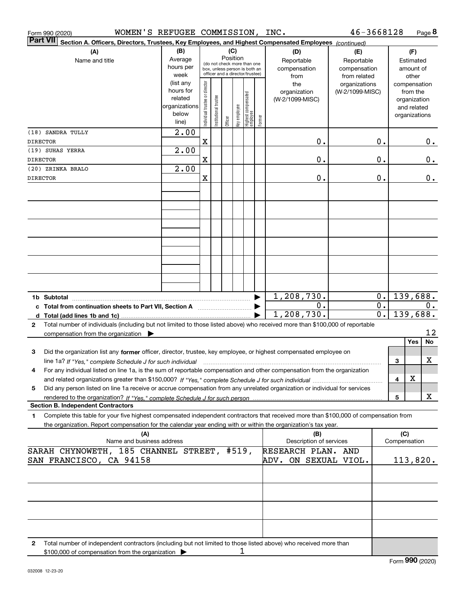|                 | WOMEN'S REFUGEE COMMISSION, INC.<br>Form 990 (2020)                                                                                             |                                                                      |                                |                       |         |                 |                                                                                                 |        |                                           | 46-3668128                                        |                  |                     | Page 8                                                                   |          |
|-----------------|-------------------------------------------------------------------------------------------------------------------------------------------------|----------------------------------------------------------------------|--------------------------------|-----------------------|---------|-----------------|-------------------------------------------------------------------------------------------------|--------|-------------------------------------------|---------------------------------------------------|------------------|---------------------|--------------------------------------------------------------------------|----------|
| <b>Part VII</b> | Section A. Officers, Directors, Trustees, Key Employees, and Highest Compensated Employees (continued)                                          |                                                                      |                                |                       |         |                 |                                                                                                 |        |                                           |                                                   |                  |                     |                                                                          |          |
|                 | (A)<br>Name and title                                                                                                                           | (B)<br>Average<br>hours per<br>week                                  |                                |                       |         | (C)<br>Position | (do not check more than one<br>box, unless person is both an<br>officer and a director/trustee) |        | (D)<br>Reportable<br>compensation<br>from | (E)<br>Reportable<br>compensation<br>from related |                  |                     | (F)<br>Estimated<br>amount of<br>other                                   |          |
|                 |                                                                                                                                                 | (list any<br>hours for<br>related<br>organizations<br>below<br>line) | Individual trustee or director | Institutional trustee | Officer | Key employee    | Highest compensated<br>employee                                                                 | Former | the<br>organization<br>(W-2/1099-MISC)    | organizations<br>(W-2/1099-MISC)                  |                  |                     | compensation<br>from the<br>organization<br>and related<br>organizations |          |
|                 | (18) SANDRA TULLY                                                                                                                               | 2.00                                                                 |                                |                       |         |                 |                                                                                                 |        |                                           |                                                   |                  |                     |                                                                          |          |
| DIRECTOR        | (19) SUHAS YERRA                                                                                                                                | 2.00                                                                 | X                              |                       |         |                 |                                                                                                 |        | Ο.                                        |                                                   | 0.               |                     |                                                                          | 0.       |
| DIRECTOR        |                                                                                                                                                 |                                                                      | $\mathbf X$                    |                       |         |                 |                                                                                                 |        | 0.                                        |                                                   | 0.               |                     |                                                                          | 0.       |
|                 | (20) ZRINKA BRALO                                                                                                                               | 2.00                                                                 |                                |                       |         |                 |                                                                                                 |        |                                           |                                                   |                  |                     |                                                                          |          |
| DIRECTOR        |                                                                                                                                                 |                                                                      | $\mathbf X$                    |                       |         |                 |                                                                                                 |        | 0.                                        |                                                   | 0.               |                     |                                                                          | 0.       |
|                 |                                                                                                                                                 |                                                                      |                                |                       |         |                 |                                                                                                 |        |                                           |                                                   |                  |                     |                                                                          |          |
|                 |                                                                                                                                                 |                                                                      |                                |                       |         |                 |                                                                                                 |        |                                           |                                                   |                  |                     |                                                                          |          |
|                 |                                                                                                                                                 |                                                                      |                                |                       |         |                 |                                                                                                 |        |                                           |                                                   |                  |                     |                                                                          |          |
|                 |                                                                                                                                                 |                                                                      |                                |                       |         |                 |                                                                                                 |        |                                           |                                                   |                  |                     |                                                                          |          |
|                 |                                                                                                                                                 |                                                                      |                                |                       |         |                 |                                                                                                 |        |                                           |                                                   |                  |                     |                                                                          |          |
|                 |                                                                                                                                                 |                                                                      |                                |                       |         |                 |                                                                                                 |        |                                           |                                                   |                  |                     |                                                                          |          |
|                 |                                                                                                                                                 |                                                                      |                                |                       |         |                 |                                                                                                 |        |                                           |                                                   |                  |                     |                                                                          |          |
|                 |                                                                                                                                                 |                                                                      |                                |                       |         |                 |                                                                                                 |        |                                           |                                                   |                  |                     |                                                                          |          |
|                 |                                                                                                                                                 |                                                                      |                                |                       |         |                 |                                                                                                 |        |                                           |                                                   |                  |                     |                                                                          |          |
|                 | 1b Subtotal                                                                                                                                     |                                                                      |                                |                       |         |                 |                                                                                                 | ▶      | 1,208,730.                                |                                                   | 0.               |                     | 139,688.                                                                 |          |
|                 | c Total from continuation sheets to Part VII, Section A <b>manual</b> contains the Total from continuum                                         |                                                                      |                                |                       |         |                 |                                                                                                 |        | 0.                                        |                                                   | 0.               |                     |                                                                          | 0.       |
|                 |                                                                                                                                                 |                                                                      |                                |                       |         |                 |                                                                                                 |        | 1,208,730.                                |                                                   | $\overline{0}$ . |                     | 139,688.                                                                 |          |
| 2               | Total number of individuals (including but not limited to those listed above) who received more than \$100,000 of reportable                    |                                                                      |                                |                       |         |                 |                                                                                                 |        |                                           |                                                   |                  |                     |                                                                          |          |
|                 | compensation from the organization $\blacktriangleright$                                                                                        |                                                                      |                                |                       |         |                 |                                                                                                 |        |                                           |                                                   |                  |                     | Yes                                                                      | 12<br>No |
| 3               | Did the organization list any former officer, director, trustee, key employee, or highest compensated employee on                               |                                                                      |                                |                       |         |                 |                                                                                                 |        |                                           |                                                   |                  |                     |                                                                          |          |
|                 | line 1a? If "Yes," complete Schedule J for such individual manufactured contained and the 1a? If "Yes," complete Schedule J for such individual |                                                                      |                                |                       |         |                 |                                                                                                 |        |                                           |                                                   |                  | 3                   |                                                                          | х        |
| 4               | For any individual listed on line 1a, is the sum of reportable compensation and other compensation from the organization                        |                                                                      |                                |                       |         |                 |                                                                                                 |        |                                           |                                                   |                  |                     |                                                                          |          |
|                 | Did any person listed on line 1a receive or accrue compensation from any unrelated organization or individual for services                      |                                                                      |                                |                       |         |                 |                                                                                                 |        |                                           |                                                   |                  | 4                   | х                                                                        |          |
| 5               |                                                                                                                                                 |                                                                      |                                |                       |         |                 |                                                                                                 |        |                                           |                                                   |                  | 5                   |                                                                          | X        |
|                 | <b>Section B. Independent Contractors</b>                                                                                                       |                                                                      |                                |                       |         |                 |                                                                                                 |        |                                           |                                                   |                  |                     |                                                                          |          |
| 1.              | Complete this table for your five highest compensated independent contractors that received more than \$100,000 of compensation from            |                                                                      |                                |                       |         |                 |                                                                                                 |        |                                           |                                                   |                  |                     |                                                                          |          |
|                 | the organization. Report compensation for the calendar year ending with or within the organization's tax year.                                  |                                                                      |                                |                       |         |                 |                                                                                                 |        |                                           |                                                   |                  |                     |                                                                          |          |
|                 | (A)<br>Name and business address                                                                                                                |                                                                      |                                |                       |         |                 |                                                                                                 |        | (B)<br>Description of services            |                                                   |                  | (C)<br>Compensation |                                                                          |          |
|                 | SARAH CHYNOWETH, 185 CHANNEL STREET, #519,                                                                                                      |                                                                      |                                |                       |         |                 |                                                                                                 |        | RESEARCH PLAN. AND                        |                                                   |                  |                     |                                                                          |          |
|                 | SAN FRANCISCO, CA 94158                                                                                                                         |                                                                      |                                |                       |         |                 |                                                                                                 |        | ADV. ON SEXUAL VIOL.                      |                                                   |                  |                     | 113,820.                                                                 |          |
|                 |                                                                                                                                                 |                                                                      |                                |                       |         |                 |                                                                                                 |        |                                           |                                                   |                  |                     |                                                                          |          |
|                 |                                                                                                                                                 |                                                                      |                                |                       |         |                 |                                                                                                 |        |                                           |                                                   |                  |                     |                                                                          |          |
|                 |                                                                                                                                                 |                                                                      |                                |                       |         |                 |                                                                                                 |        |                                           |                                                   |                  |                     |                                                                          |          |
|                 |                                                                                                                                                 |                                                                      |                                |                       |         |                 |                                                                                                 |        |                                           |                                                   |                  |                     |                                                                          |          |
|                 |                                                                                                                                                 |                                                                      |                                |                       |         |                 |                                                                                                 |        |                                           |                                                   |                  |                     |                                                                          |          |
|                 |                                                                                                                                                 |                                                                      |                                |                       |         |                 |                                                                                                 |        |                                           |                                                   |                  |                     |                                                                          |          |
| 2               | Total number of independent contractors (including but not limited to those listed above) who received more than                                |                                                                      |                                |                       |         |                 |                                                                                                 |        |                                           |                                                   |                  |                     |                                                                          |          |
|                 | \$100,000 of compensation from the organization $\blacktriangleright$                                                                           |                                                                      |                                |                       |         | 1               |                                                                                                 |        |                                           |                                                   |                  |                     |                                                                          |          |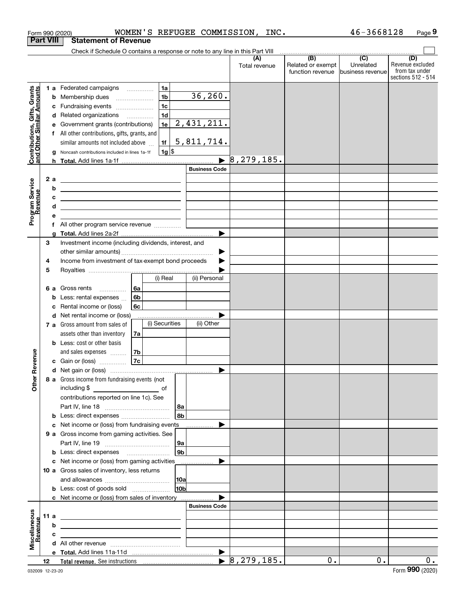|                                                           |                                                                        | Form 990 (2020)                                                                                                       |  |                |                |                      |                       | WOMEN'S REFUGEE COMMISSION, INC. |                                                                                              | 46-3668128                     | Page 9                                                          |
|-----------------------------------------------------------|------------------------------------------------------------------------|-----------------------------------------------------------------------------------------------------------------------|--|----------------|----------------|----------------------|-----------------------|----------------------------------|----------------------------------------------------------------------------------------------|--------------------------------|-----------------------------------------------------------------|
|                                                           | <b>Part VIII</b>                                                       | <b>Statement of Revenue</b>                                                                                           |  |                |                |                      |                       |                                  |                                                                                              |                                |                                                                 |
|                                                           |                                                                        | Check if Schedule O contains a response or note to any line in this Part VIII                                         |  |                |                |                      |                       |                                  |                                                                                              |                                |                                                                 |
|                                                           |                                                                        |                                                                                                                       |  |                |                |                      |                       | (A)<br>Total revenue             | $\overline{(\mathsf{B})}$ $\overline{(\mathsf{C})}$<br>Related or exempt<br>function revenue | Unrelated<br> business revenue | (D)<br>Revenue excluded<br>from tax under<br>sections 512 - 514 |
|                                                           |                                                                        | 1 a Federated campaigns                                                                                               |  |                | 1a             |                      |                       |                                  |                                                                                              |                                |                                                                 |
|                                                           | b                                                                      | Membership dues                                                                                                       |  |                | 1 <sub>b</sub> |                      | 36, 260.              |                                  |                                                                                              |                                |                                                                 |
|                                                           | c                                                                      | Fundraising events                                                                                                    |  |                | 1 <sub>c</sub> |                      |                       |                                  |                                                                                              |                                |                                                                 |
| Contributions, Gifts, Grants<br>and Other Similar Amounts |                                                                        | d Related organizations                                                                                               |  |                | 1 <sub>d</sub> |                      |                       |                                  |                                                                                              |                                |                                                                 |
|                                                           | е                                                                      | Government grants (contributions)                                                                                     |  |                | 1e             |                      | 2, 431, 211.          |                                  |                                                                                              |                                |                                                                 |
|                                                           |                                                                        | f All other contributions, gifts, grants, and                                                                         |  |                |                |                      |                       |                                  |                                                                                              |                                |                                                                 |
|                                                           |                                                                        | similar amounts not included above                                                                                    |  |                | 1f             |                      | 5,811,714.            |                                  |                                                                                              |                                |                                                                 |
|                                                           | g                                                                      | Noncash contributions included in lines 1a-1f                                                                         |  |                | 1g             |                      |                       |                                  |                                                                                              |                                |                                                                 |
|                                                           |                                                                        |                                                                                                                       |  |                |                |                      | $\blacktriangleright$ | 8, 279, 185.                     |                                                                                              |                                |                                                                 |
|                                                           |                                                                        |                                                                                                                       |  |                |                |                      | <b>Business Code</b>  |                                  |                                                                                              |                                |                                                                 |
|                                                           | 2a                                                                     | <u>experience</u> and the contract of the contract of the contract of the contract of                                 |  |                |                |                      |                       |                                  |                                                                                              |                                |                                                                 |
|                                                           | b                                                                      | <u> 1989 - Johann Harry Harry Harry Harry Harry Harry Harry Harry Harry Harry Harry Harry Harry Harry Harry Harry</u> |  |                |                |                      |                       |                                  |                                                                                              |                                |                                                                 |
|                                                           | с                                                                      | <u> Alexandria de la contrada de la contrada de la contrada de la contrada de la contrada de la contrada de la c</u>  |  |                |                |                      |                       |                                  |                                                                                              |                                |                                                                 |
|                                                           | d                                                                      | <u> 1989 - Johann Barn, mars ann an t-Amhain ann an t-Amhain an t-Amhain an t-Amhain an t-Amhain ann an t-Amhain </u> |  |                |                |                      |                       |                                  |                                                                                              |                                |                                                                 |
| Program Service<br>Revenue                                | е                                                                      |                                                                                                                       |  |                |                |                      |                       |                                  |                                                                                              |                                |                                                                 |
|                                                           | f                                                                      | All other program service revenue                                                                                     |  |                |                |                      |                       |                                  |                                                                                              |                                |                                                                 |
|                                                           | g<br>3                                                                 | Investment income (including dividends, interest, and                                                                 |  |                |                |                      |                       |                                  |                                                                                              |                                |                                                                 |
|                                                           |                                                                        |                                                                                                                       |  |                |                |                      |                       |                                  |                                                                                              |                                |                                                                 |
|                                                           | ▶<br>Income from investment of tax-exempt bond proceeds<br>4<br>▶<br>5 |                                                                                                                       |  |                |                |                      |                       |                                  |                                                                                              |                                |                                                                 |
|                                                           |                                                                        |                                                                                                                       |  |                |                |                      |                       |                                  |                                                                                              |                                |                                                                 |
|                                                           |                                                                        |                                                                                                                       |  |                | (i) Real       |                      | (ii) Personal         |                                  |                                                                                              |                                |                                                                 |
|                                                           |                                                                        | <b>6 a</b> Gross rents                                                                                                |  | 6a             |                |                      |                       |                                  |                                                                                              |                                |                                                                 |
|                                                           | b                                                                      | Less: rental expenses                                                                                                 |  | 6 <sub>b</sub> |                |                      |                       |                                  |                                                                                              |                                |                                                                 |
|                                                           | с                                                                      | Rental income or (loss)                                                                                               |  | 6с             |                |                      |                       |                                  |                                                                                              |                                |                                                                 |
|                                                           |                                                                        | d Net rental income or (loss)                                                                                         |  |                |                |                      |                       |                                  |                                                                                              |                                |                                                                 |
|                                                           |                                                                        | 7 a Gross amount from sales of                                                                                        |  |                | (i) Securities |                      | (ii) Other            |                                  |                                                                                              |                                |                                                                 |
|                                                           |                                                                        | assets other than inventory                                                                                           |  | 7a             |                |                      |                       |                                  |                                                                                              |                                |                                                                 |
|                                                           |                                                                        | <b>b</b> Less: cost or other basis                                                                                    |  |                |                |                      |                       |                                  |                                                                                              |                                |                                                                 |
|                                                           |                                                                        | and sales expenses                                                                                                    |  | 7 <sub>b</sub> |                |                      |                       |                                  |                                                                                              |                                |                                                                 |
| evenue                                                    |                                                                        | <b>c</b> Gain or (loss) $\ldots$                                                                                      |  | 7c             |                |                      |                       |                                  |                                                                                              |                                |                                                                 |
|                                                           |                                                                        |                                                                                                                       |  |                |                |                      |                       |                                  |                                                                                              |                                |                                                                 |
| Other <sub>R</sub>                                        |                                                                        | 8 a Gross income from fundraising events (not                                                                         |  |                |                |                      |                       |                                  |                                                                                              |                                |                                                                 |
|                                                           |                                                                        |                                                                                                                       |  |                |                |                      |                       |                                  |                                                                                              |                                |                                                                 |
|                                                           |                                                                        | contributions reported on line 1c). See                                                                               |  |                |                |                      |                       |                                  |                                                                                              |                                |                                                                 |
|                                                           |                                                                        |                                                                                                                       |  |                |                | 8a                   |                       |                                  |                                                                                              |                                |                                                                 |
|                                                           |                                                                        | <b>b</b> Less: direct expenses <i></i>                                                                                |  |                |                | 8 <sub>b</sub>       |                       |                                  |                                                                                              |                                |                                                                 |
|                                                           |                                                                        | c Net income or (loss) from fundraising events                                                                        |  |                |                |                      |                       |                                  |                                                                                              |                                |                                                                 |
|                                                           |                                                                        | 9 a Gross income from gaming activities. See                                                                          |  |                |                |                      |                       |                                  |                                                                                              |                                |                                                                 |
|                                                           |                                                                        |                                                                                                                       |  |                |                | 9a<br>9 <sub>b</sub> |                       |                                  |                                                                                              |                                |                                                                 |
|                                                           |                                                                        | <b>b</b> Less: direct expenses <b>manually</b>                                                                        |  |                |                |                      |                       |                                  |                                                                                              |                                |                                                                 |
|                                                           |                                                                        | c Net income or (loss) from gaming activities _______________<br>10 a Gross sales of inventory, less returns          |  |                |                |                      |                       |                                  |                                                                                              |                                |                                                                 |
|                                                           |                                                                        |                                                                                                                       |  |                |                | 10a                  |                       |                                  |                                                                                              |                                |                                                                 |
|                                                           |                                                                        | <b>b</b> Less: cost of goods sold                                                                                     |  |                |                | 10 <sub>b</sub>      |                       |                                  |                                                                                              |                                |                                                                 |
|                                                           |                                                                        | c Net income or (loss) from sales of inventory                                                                        |  |                |                |                      |                       |                                  |                                                                                              |                                |                                                                 |
|                                                           |                                                                        |                                                                                                                       |  |                |                |                      | <b>Business Code</b>  |                                  |                                                                                              |                                |                                                                 |
|                                                           | 11 a                                                                   | <u> 1989 - Johann John Stein, fransk politik (f. 1989)</u>                                                            |  |                |                |                      |                       |                                  |                                                                                              |                                |                                                                 |
| Miscellaneous<br>Revenue                                  | b                                                                      | <u> 1989 - Andrea Stadt Britain, amerikansk politiker (</u>                                                           |  |                |                |                      |                       |                                  |                                                                                              |                                |                                                                 |
|                                                           | c                                                                      | the control of the control of the control of the control of the control of the control of                             |  |                |                |                      |                       |                                  |                                                                                              |                                |                                                                 |
|                                                           |                                                                        |                                                                                                                       |  |                |                |                      |                       |                                  |                                                                                              |                                |                                                                 |
|                                                           |                                                                        |                                                                                                                       |  |                |                |                      |                       |                                  |                                                                                              |                                |                                                                 |
|                                                           | 12 <sup>12</sup>                                                       |                                                                                                                       |  |                |                |                      |                       |                                  | 0.                                                                                           | $0$ .                          | $0$ .                                                           |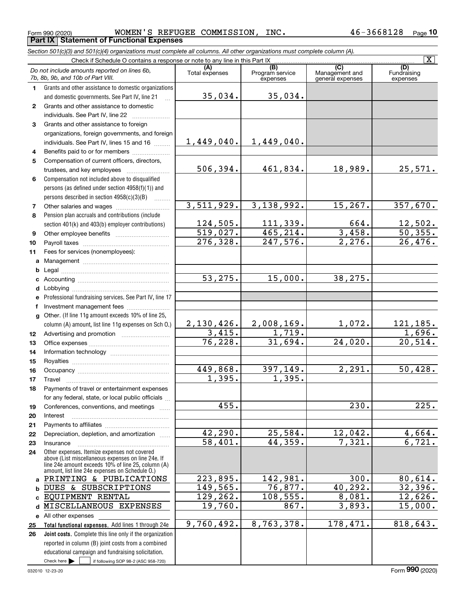Form 990 (2020) Page **Part IX Statement of Functional Expenses** WOMEN'S REFUGEE COMMISSION, INC. 46-3668128

*Section 501(c)(3) and 501(c)(4) organizations must complete all columns. All other organizations must complete column (A).*

|              | Check if Schedule O contains a response or note to any line in this Part IX                           |                       |                                    |                                                      | $\overline{\mathbf{x}}$        |
|--------------|-------------------------------------------------------------------------------------------------------|-----------------------|------------------------------------|------------------------------------------------------|--------------------------------|
|              | Do not include amounts reported on lines 6b,<br>7b, 8b, 9b, and 10b of Part VIII.                     | (A)<br>Total expenses | (B)<br>Program service<br>expenses | $\overline{C}$<br>Management and<br>general expenses | (D)<br>Fundraising<br>expenses |
| 1.           | Grants and other assistance to domestic organizations                                                 |                       |                                    |                                                      |                                |
|              | and domestic governments. See Part IV, line 21                                                        | 35,034.               | 35,034.                            |                                                      |                                |
| $\mathbf{2}$ | Grants and other assistance to domestic                                                               |                       |                                    |                                                      |                                |
|              | individuals. See Part IV, line 22                                                                     |                       |                                    |                                                      |                                |
| 3            | Grants and other assistance to foreign                                                                |                       |                                    |                                                      |                                |
|              | organizations, foreign governments, and foreign                                                       |                       |                                    |                                                      |                                |
|              | individuals. See Part IV, lines 15 and 16                                                             | 1,449,040.            | 1,449,040.                         |                                                      |                                |
| 4            | Benefits paid to or for members                                                                       |                       |                                    |                                                      |                                |
| 5            | Compensation of current officers, directors,                                                          |                       |                                    |                                                      |                                |
|              | trustees, and key employees                                                                           | 506,394.              | 461,834.                           | 18,989.                                              | 25,571.                        |
| 6            | Compensation not included above to disqualified                                                       |                       |                                    |                                                      |                                |
|              | persons (as defined under section 4958(f)(1)) and                                                     |                       |                                    |                                                      |                                |
|              | persons described in section 4958(c)(3)(B)                                                            | 3,511,929.            | 3,138,992.                         | 15, 267.                                             | 357,670.                       |
| 7            |                                                                                                       |                       |                                    |                                                      |                                |
| 8            | Pension plan accruals and contributions (include<br>section 401(k) and 403(b) employer contributions) | 124,505.              | 111, 339.                          | 664.                                                 |                                |
| 9            |                                                                                                       | 519,027.              | 465, 214.                          | 3,458.                                               | $\frac{12,502.}{50,355.}$      |
| 10           |                                                                                                       | 276, 328.             | $\overline{247,576}$ .             | 2,276.                                               | 26,476.                        |
| 11           | Fees for services (nonemployees):                                                                     |                       |                                    |                                                      |                                |
| a            |                                                                                                       |                       |                                    |                                                      |                                |
| b            |                                                                                                       |                       |                                    |                                                      |                                |
| c            |                                                                                                       | 53, 275.              | 15,000.                            | 38, 275.                                             |                                |
| d            |                                                                                                       |                       |                                    |                                                      |                                |
| е            | Professional fundraising services. See Part IV, line 17                                               |                       |                                    |                                                      |                                |
| f.           | Investment management fees                                                                            |                       |                                    |                                                      |                                |
|              | g Other. (If line 11g amount exceeds 10% of line 25,                                                  |                       |                                    |                                                      |                                |
|              | column (A) amount, list line 11g expenses on Sch O.)                                                  | 2,130,426.            | 2,008,169.                         | 1,072.                                               | <u>121,185.</u>                |
| 12           |                                                                                                       | 3,415.                | 1,719.                             |                                                      | 1,696.                         |
| 13           |                                                                                                       | 76, 228.              | 31,694.                            | 24,020.                                              | 20,514.                        |
| 14           |                                                                                                       |                       |                                    |                                                      |                                |
| 15           |                                                                                                       |                       |                                    |                                                      |                                |
| 16           |                                                                                                       | 449,868.<br>1,395.    | 397,149.<br>1,395.                 | 2,291.                                               | 50,428.                        |
| 17           | Travel                                                                                                |                       |                                    |                                                      |                                |
| 18           | Payments of travel or entertainment expenses<br>for any federal, state, or local public officials     |                       |                                    |                                                      |                                |
| 19           | Conferences, conventions, and meetings                                                                | 455.                  |                                    | 230.                                                 | $\overline{225}$ .             |
| 20           | Interest                                                                                              |                       |                                    |                                                      |                                |
| 21           |                                                                                                       |                       |                                    |                                                      |                                |
| 22           | Depreciation, depletion, and amortization                                                             | 42,290.               | 25,584.                            | 12,042.                                              | 4,664.                         |
| 23           | Insurance                                                                                             | 58,401.               | 44,359.                            | 7,321.                                               | 6,721.                         |
| 24           | Other expenses. Itemize expenses not covered<br>above (List miscellaneous expenses on line 24e. If    |                       |                                    |                                                      |                                |
|              | line 24e amount exceeds 10% of line 25, column (A)                                                    |                       |                                    |                                                      |                                |
|              | amount, list line 24e expenses on Schedule 0.)                                                        | 223,895.              |                                    |                                                      |                                |
| a            | PRINTING & PUBLICATIONS                                                                               | 149,565.              | 142,981.<br>76,877.                | 300.<br>40, 292.                                     | 80,614.                        |
| b            | DUES & SUBSCRIPTIONS<br>EQUIPMENT RENTAL                                                              | 129,262.              | 108,555.                           | 8,081.                                               | 32,396.<br>12,626.             |
| d            | MISCELLANEOUS EXPENSES                                                                                | 19,760.               | 867.                               | 3,893.                                               | 15,000.                        |
|              | e All other expenses                                                                                  |                       |                                    |                                                      |                                |
| 25           | Total functional expenses. Add lines 1 through 24e                                                    | 9,760,492.            | 8,763,378.                         | 178,471.                                             | 818,643.                       |
| 26           | Joint costs. Complete this line only if the organization                                              |                       |                                    |                                                      |                                |
|              | reported in column (B) joint costs from a combined                                                    |                       |                                    |                                                      |                                |
|              | educational campaign and fundraising solicitation.                                                    |                       |                                    |                                                      |                                |
|              | Check here $\blacktriangleright$<br>if following SOP 98-2 (ASC 958-720)                               |                       |                                    |                                                      |                                |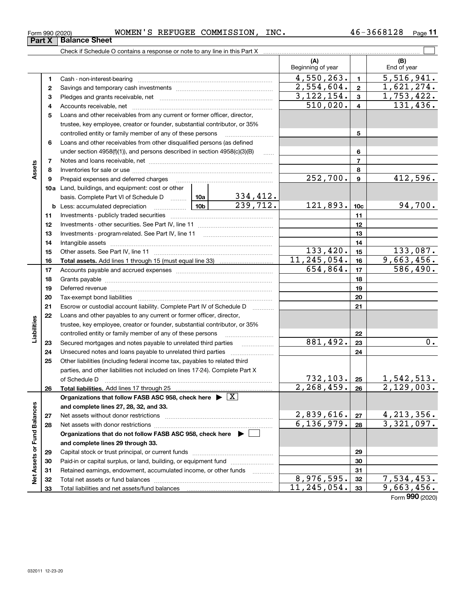| Form 990 (2020) |  | WOMEN'S REFUGEE | COMMISSION | INC. | 3668128<br>46– | Page |  |
|-----------------|--|-----------------|------------|------|----------------|------|--|
|                 |  |                 |            |      |                |      |  |

|                             |    |                                                                                                                 |  |                           | (A)<br>Beginning of year   |                | (B)<br>End of year                    |
|-----------------------------|----|-----------------------------------------------------------------------------------------------------------------|--|---------------------------|----------------------------|----------------|---------------------------------------|
|                             | 1  |                                                                                                                 |  |                           | 4,550,263.                 | $\mathbf{1}$   | 5,516,941.                            |
|                             | 2  |                                                                                                                 |  |                           | 2,554,604.                 | $\mathbf{2}$   | 1,621,274.                            |
|                             | з  |                                                                                                                 |  |                           | 3, 122, 154.               | 3              | 1,753,422.                            |
|                             | 4  |                                                                                                                 |  |                           | 510,020.                   | $\overline{4}$ | 131,436.                              |
|                             | 5  | Loans and other receivables from any current or former officer, director,                                       |  |                           |                            |                |                                       |
|                             |    | trustee, key employee, creator or founder, substantial contributor, or 35%                                      |  |                           |                            |                |                                       |
|                             |    | controlled entity or family member of any of these persons                                                      |  |                           |                            | 5              |                                       |
|                             | 6  | Loans and other receivables from other disqualified persons (as defined                                         |  |                           |                            |                |                                       |
|                             |    | under section $4958(f)(1)$ , and persons described in section $4958(c)(3)(B)$                                   |  | 1.1.1.1                   |                            | 6              |                                       |
|                             | 7  |                                                                                                                 |  |                           |                            | $\overline{7}$ |                                       |
| Assets                      | 8  |                                                                                                                 |  |                           |                            | 8              |                                       |
|                             | 9  | Prepaid expenses and deferred charges                                                                           |  |                           | 252,700.                   | $\mathbf{9}$   | 412,596.                              |
|                             |    | 10a Land, buildings, and equipment: cost or other                                                               |  |                           |                            |                |                                       |
|                             |    | basis. Complete Part VI of Schedule D  10a                                                                      |  | $\frac{334,412}{239,712}$ |                            |                |                                       |
|                             |    | <b>b</b> Less: accumulated depreciation<br>.                                                                    |  | 121,893.                  | 10 <sub>c</sub>            | 94,700.        |                                       |
|                             | 11 |                                                                                                                 |  |                           | 11                         |                |                                       |
|                             | 12 |                                                                                                                 |  |                           |                            | 12             |                                       |
|                             | 13 |                                                                                                                 |  | 13                        |                            |                |                                       |
|                             | 14 |                                                                                                                 |  | 14                        |                            |                |                                       |
|                             | 15 |                                                                                                                 |  |                           | 133,420.                   | 15             | 133,087.                              |
|                             | 16 |                                                                                                                 |  |                           | 11, 245, 054.              | 16             | 9,663,456.                            |
|                             | 17 |                                                                                                                 |  |                           | 654, 864.                  | 17             | 586,490.                              |
|                             | 18 |                                                                                                                 |  |                           |                            | 18             |                                       |
|                             | 19 | Deferred revenue manual contracts and contracts are all the manual contracts and contracts are contracted and c |  | 19                        |                            |                |                                       |
|                             | 20 |                                                                                                                 |  | 20                        |                            |                |                                       |
|                             | 21 | Escrow or custodial account liability. Complete Part IV of Schedule D                                           |  |                           | 21                         |                |                                       |
|                             | 22 | Loans and other payables to any current or former officer, director,                                            |  |                           |                            |                |                                       |
| Liabilities                 |    | trustee, key employee, creator or founder, substantial contributor, or 35%                                      |  |                           |                            |                |                                       |
|                             |    | controlled entity or family member of any of these persons                                                      |  |                           |                            | 22             |                                       |
|                             | 23 | Secured mortgages and notes payable to unrelated third parties                                                  |  |                           | 881,492.                   | 23             | $0$ .                                 |
|                             | 24 | Unsecured notes and loans payable to unrelated third parties                                                    |  |                           |                            | 24             |                                       |
|                             | 25 | Other liabilities (including federal income tax, payables to related third                                      |  |                           |                            |                |                                       |
|                             |    | parties, and other liabilities not included on lines 17-24). Complete Part X                                    |  |                           |                            |                |                                       |
|                             |    |                                                                                                                 |  |                           | $732, 103$ . 25            |                | 1,542,513.                            |
|                             | 26 |                                                                                                                 |  |                           | 2, 268, 459.               | 26             | 2,129,003.                            |
|                             |    | Organizations that follow FASB ASC 958, check here $\blacktriangleright \boxed{X}$                              |  |                           |                            |                |                                       |
|                             |    | and complete lines 27, 28, 32, and 33.                                                                          |  |                           |                            |                |                                       |
|                             | 27 | Net assets without donor restrictions                                                                           |  |                           | $2,839,616.$<br>6,136,979. | 27             | $\frac{4,213,356}{3,321,097}$ .       |
|                             | 28 |                                                                                                                 |  |                           |                            | 28             |                                       |
|                             |    | Organizations that do not follow FASB ASC 958, check here $\blacktriangleright$                                 |  |                           |                            |                |                                       |
| Net Assets or Fund Balances |    | and complete lines 29 through 33.                                                                               |  |                           |                            |                |                                       |
|                             | 29 |                                                                                                                 |  |                           |                            | 29             |                                       |
|                             | 30 | Paid-in or capital surplus, or land, building, or equipment fund                                                |  |                           |                            | 30             |                                       |
|                             | 31 | Retained earnings, endowment, accumulated income, or other funds                                                |  |                           | 8,976,595.                 | 31             |                                       |
|                             | 32 |                                                                                                                 |  |                           | 11, 245, 054.              | 32             | $\overline{7,534,453.}$<br>9,663,456. |
|                             | 33 |                                                                                                                 |  |                           |                            | 33             |                                       |

**Part X Balance Sheet**

Form (2020) **990**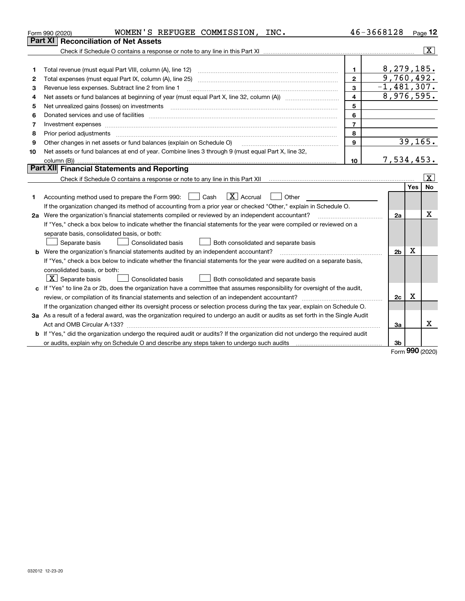|    | WOMEN'S REFUGEE COMMISSION, INC.<br>Form 990 (2020)                                                                                                                                                                            |                         | 46-3668128     |             | Page 12                 |
|----|--------------------------------------------------------------------------------------------------------------------------------------------------------------------------------------------------------------------------------|-------------------------|----------------|-------------|-------------------------|
|    | Part XI<br><b>Reconciliation of Net Assets</b>                                                                                                                                                                                 |                         |                |             |                         |
|    |                                                                                                                                                                                                                                |                         |                |             | $\overline{\mathbf{X}}$ |
|    |                                                                                                                                                                                                                                |                         |                |             |                         |
| 1  | Total revenue (must equal Part VIII, column (A), line 12)                                                                                                                                                                      | $\mathbf{1}$            | 8, 279, 185.   |             |                         |
| 2  | Total expenses (must equal Part IX, column (A), line 25)                                                                                                                                                                       | $\overline{2}$          | 9,760,492.     |             |                         |
| З  | Revenue less expenses. Subtract line 2 from line 1                                                                                                                                                                             | 3                       | $-1,481,307.$  |             |                         |
| 4  |                                                                                                                                                                                                                                | $\overline{\mathbf{4}}$ | 8,976,595.     |             |                         |
| 5  | Net unrealized gains (losses) on investments                                                                                                                                                                                   | 5                       |                |             |                         |
| 6  |                                                                                                                                                                                                                                | 6                       |                |             |                         |
| 7  |                                                                                                                                                                                                                                | $\overline{7}$          |                |             |                         |
| 8  | Prior period adjustments material contents and content of the content of the content of the content of the content of the content of the content of the content of the content of the content of the content of the content of | 8                       |                |             |                         |
| 9  | Other changes in net assets or fund balances (explain on Schedule O)                                                                                                                                                           | $\mathbf{9}$            |                | 39, 165.    |                         |
| 10 | Net assets or fund balances at end of year. Combine lines 3 through 9 (must equal Part X, line 32,                                                                                                                             |                         |                |             |                         |
|    |                                                                                                                                                                                                                                | 10                      | 7,534,453.     |             |                         |
|    | Part XII Financial Statements and Reporting                                                                                                                                                                                    |                         |                |             |                         |
|    |                                                                                                                                                                                                                                |                         |                |             | X                       |
|    |                                                                                                                                                                                                                                |                         |                | Yes         | <b>No</b>               |
| 1. | $\boxed{\mathbf{X}}$ Accrual<br>Other<br>Accounting method used to prepare the Form 990: <u>June</u> Cash                                                                                                                      |                         |                |             |                         |
|    | If the organization changed its method of accounting from a prior year or checked "Other," explain in Schedule O.                                                                                                              |                         |                |             |                         |
|    | 2a Were the organization's financial statements compiled or reviewed by an independent accountant?                                                                                                                             |                         | 2a             |             | х                       |
|    | If "Yes," check a box below to indicate whether the financial statements for the year were compiled or reviewed on a                                                                                                           |                         |                |             |                         |
|    | separate basis, consolidated basis, or both:                                                                                                                                                                                   |                         |                |             |                         |
|    | Separate basis<br>Both consolidated and separate basis<br>Consolidated basis                                                                                                                                                   |                         |                |             |                         |
| b  | Were the organization's financial statements audited by an independent accountant?                                                                                                                                             |                         | 2 <sub>b</sub> | Χ           |                         |
|    | If "Yes," check a box below to indicate whether the financial statements for the year were audited on a separate basis,                                                                                                        |                         |                |             |                         |
|    | consolidated basis, or both:                                                                                                                                                                                                   |                         |                |             |                         |
|    | $ \mathbf{X} $ Separate basis<br>Consolidated basis<br>Both consolidated and separate basis                                                                                                                                    |                         |                |             |                         |
|    | c If "Yes" to line 2a or 2b, does the organization have a committee that assumes responsibility for oversight of the audit,                                                                                                    |                         |                |             |                         |
|    |                                                                                                                                                                                                                                |                         | 2c             | $\mathbf X$ |                         |
|    | If the organization changed either its oversight process or selection process during the tax year, explain on Schedule O.                                                                                                      |                         |                |             |                         |
|    | 3a As a result of a federal award, was the organization required to undergo an audit or audits as set forth in the Single Audit                                                                                                |                         |                |             |                         |
|    |                                                                                                                                                                                                                                |                         | За             |             | x                       |
|    | If "Yes," did the organization undergo the required audit or audits? If the organization did not undergo the required audit                                                                                                    |                         |                |             |                         |
|    | or audits, explain why on Schedule O and describe any steps taken to undergo such audits [11] content to under                                                                                                                 |                         | 3b             | nnn.        |                         |

Form (2020) **990**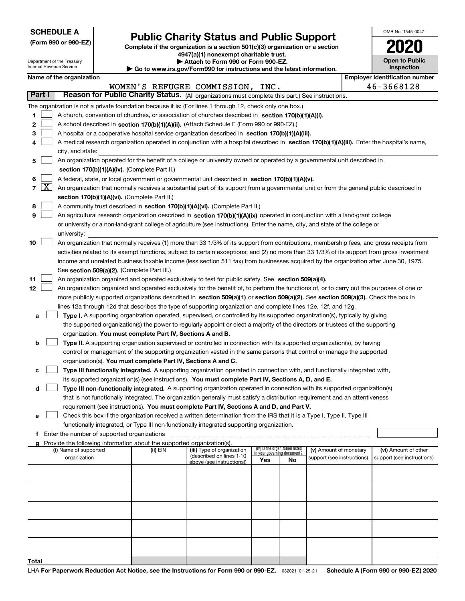| <b>SCHEDULE A</b> |
|-------------------|
|-------------------|

**(Form 990 or 990-EZ)**

# **Public Charity Status and Public Support**

**Complete if the organization is a section 501(c)(3) organization or a section 4947(a)(1) nonexempt charitable trust.**

| Attach to Form 990 or Form 990-EZ. |
|------------------------------------|
|                                    |

OMB No. 1545-0047

**Open to Public**

**2020**

| Department of the Treasury<br>Attach to Form 990 or Form 990-EZ.<br>Internal Revenue Service<br>Inspection<br>Go to www.irs.gov/Form990 for instructions and the latest information. |                                               |                                               |  |                                                                                      |                                                                                                                                              |     |                                 | <b>Open to Public</b>      |  |                                       |
|--------------------------------------------------------------------------------------------------------------------------------------------------------------------------------------|-----------------------------------------------|-----------------------------------------------|--|--------------------------------------------------------------------------------------|----------------------------------------------------------------------------------------------------------------------------------------------|-----|---------------------------------|----------------------------|--|---------------------------------------|
|                                                                                                                                                                                      |                                               | Name of the organization                      |  |                                                                                      |                                                                                                                                              |     |                                 |                            |  | <b>Employer identification number</b> |
|                                                                                                                                                                                      |                                               |                                               |  |                                                                                      | WOMEN'S REFUGEE COMMISSION, INC.                                                                                                             |     |                                 |                            |  | 46-3668128                            |
| Part I                                                                                                                                                                               |                                               |                                               |  |                                                                                      | Reason for Public Charity Status. (All organizations must complete this part.) See instructions.                                             |     |                                 |                            |  |                                       |
|                                                                                                                                                                                      |                                               |                                               |  |                                                                                      | The organization is not a private foundation because it is: (For lines 1 through 12, check only one box.)                                    |     |                                 |                            |  |                                       |
| 1                                                                                                                                                                                    |                                               |                                               |  |                                                                                      | A church, convention of churches, or association of churches described in section 170(b)(1)(A)(i).                                           |     |                                 |                            |  |                                       |
| 2                                                                                                                                                                                    |                                               |                                               |  |                                                                                      | A school described in section 170(b)(1)(A)(ii). (Attach Schedule E (Form 990 or 990-EZ).)                                                    |     |                                 |                            |  |                                       |
| 3                                                                                                                                                                                    |                                               |                                               |  |                                                                                      | A hospital or a cooperative hospital service organization described in section 170(b)(1)(A)(iii).                                            |     |                                 |                            |  |                                       |
| 4                                                                                                                                                                                    |                                               |                                               |  |                                                                                      | A medical research organization operated in conjunction with a hospital described in section 170(b)(1)(A)(iii). Enter the hospital's name,   |     |                                 |                            |  |                                       |
|                                                                                                                                                                                      |                                               | city, and state:                              |  |                                                                                      |                                                                                                                                              |     |                                 |                            |  |                                       |
| 5                                                                                                                                                                                    |                                               |                                               |  |                                                                                      | An organization operated for the benefit of a college or university owned or operated by a governmental unit described in                    |     |                                 |                            |  |                                       |
|                                                                                                                                                                                      |                                               |                                               |  | section 170(b)(1)(A)(iv). (Complete Part II.)                                        |                                                                                                                                              |     |                                 |                            |  |                                       |
| 6                                                                                                                                                                                    |                                               |                                               |  |                                                                                      | A federal, state, or local government or governmental unit described in section 170(b)(1)(A)(v).                                             |     |                                 |                            |  |                                       |
|                                                                                                                                                                                      | $7 \vert X \vert$                             |                                               |  |                                                                                      | An organization that normally receives a substantial part of its support from a governmental unit or from the general public described in    |     |                                 |                            |  |                                       |
|                                                                                                                                                                                      | section 170(b)(1)(A)(vi). (Complete Part II.) |                                               |  |                                                                                      |                                                                                                                                              |     |                                 |                            |  |                                       |
| 8                                                                                                                                                                                    |                                               |                                               |  |                                                                                      | A community trust described in section 170(b)(1)(A)(vi). (Complete Part II.)                                                                 |     |                                 |                            |  |                                       |
| 9                                                                                                                                                                                    |                                               |                                               |  |                                                                                      | An agricultural research organization described in section 170(b)(1)(A)(ix) operated in conjunction with a land-grant college                |     |                                 |                            |  |                                       |
|                                                                                                                                                                                      |                                               |                                               |  |                                                                                      | or university or a non-land-grant college of agriculture (see instructions). Enter the name, city, and state of the college or               |     |                                 |                            |  |                                       |
|                                                                                                                                                                                      |                                               | university:                                   |  |                                                                                      |                                                                                                                                              |     |                                 |                            |  |                                       |
| 10                                                                                                                                                                                   |                                               |                                               |  |                                                                                      | An organization that normally receives (1) more than 33 1/3% of its support from contributions, membership fees, and gross receipts from     |     |                                 |                            |  |                                       |
|                                                                                                                                                                                      |                                               |                                               |  |                                                                                      | activities related to its exempt functions, subject to certain exceptions; and (2) no more than 33 1/3% of its support from gross investment |     |                                 |                            |  |                                       |
|                                                                                                                                                                                      |                                               |                                               |  |                                                                                      | income and unrelated business taxable income (less section 511 tax) from businesses acquired by the organization after June 30, 1975.        |     |                                 |                            |  |                                       |
|                                                                                                                                                                                      |                                               |                                               |  | See section 509(a)(2). (Complete Part III.)                                          |                                                                                                                                              |     |                                 |                            |  |                                       |
| 11                                                                                                                                                                                   |                                               |                                               |  |                                                                                      | An organization organized and operated exclusively to test for public safety. See section 509(a)(4).                                         |     |                                 |                            |  |                                       |
| 12                                                                                                                                                                                   |                                               |                                               |  |                                                                                      | An organization organized and operated exclusively for the benefit of, to perform the functions of, or to carry out the purposes of one or   |     |                                 |                            |  |                                       |
|                                                                                                                                                                                      |                                               |                                               |  |                                                                                      | more publicly supported organizations described in section 509(a)(1) or section 509(a)(2). See section 509(a)(3). Check the box in           |     |                                 |                            |  |                                       |
|                                                                                                                                                                                      |                                               |                                               |  |                                                                                      | lines 12a through 12d that describes the type of supporting organization and complete lines 12e, 12f, and 12g.                               |     |                                 |                            |  |                                       |
| а                                                                                                                                                                                    |                                               |                                               |  |                                                                                      | Type I. A supporting organization operated, supervised, or controlled by its supported organization(s), typically by giving                  |     |                                 |                            |  |                                       |
|                                                                                                                                                                                      |                                               |                                               |  |                                                                                      | the supported organization(s) the power to regularly appoint or elect a majority of the directors or trustees of the supporting              |     |                                 |                            |  |                                       |
|                                                                                                                                                                                      |                                               |                                               |  | organization. You must complete Part IV, Sections A and B.                           |                                                                                                                                              |     |                                 |                            |  |                                       |
| b                                                                                                                                                                                    |                                               |                                               |  |                                                                                      | Type II. A supporting organization supervised or controlled in connection with its supported organization(s), by having                      |     |                                 |                            |  |                                       |
|                                                                                                                                                                                      |                                               |                                               |  |                                                                                      | control or management of the supporting organization vested in the same persons that control or manage the supported                         |     |                                 |                            |  |                                       |
|                                                                                                                                                                                      |                                               |                                               |  | organization(s). You must complete Part IV, Sections A and C.                        |                                                                                                                                              |     |                                 |                            |  |                                       |
| с                                                                                                                                                                                    |                                               |                                               |  |                                                                                      | Type III functionally integrated. A supporting organization operated in connection with, and functionally integrated with,                   |     |                                 |                            |  |                                       |
|                                                                                                                                                                                      |                                               |                                               |  |                                                                                      | its supported organization(s) (see instructions). You must complete Part IV, Sections A, D, and E.                                           |     |                                 |                            |  |                                       |
| d                                                                                                                                                                                    |                                               |                                               |  |                                                                                      | Type III non-functionally integrated. A supporting organization operated in connection with its supported organization(s)                    |     |                                 |                            |  |                                       |
|                                                                                                                                                                                      |                                               |                                               |  |                                                                                      | that is not functionally integrated. The organization generally must satisfy a distribution requirement and an attentiveness                 |     |                                 |                            |  |                                       |
|                                                                                                                                                                                      |                                               |                                               |  |                                                                                      | requirement (see instructions). You must complete Part IV, Sections A and D, and Part V.                                                     |     |                                 |                            |  |                                       |
| е                                                                                                                                                                                    |                                               |                                               |  |                                                                                      | Check this box if the organization received a written determination from the IRS that it is a Type I, Type II, Type III                      |     |                                 |                            |  |                                       |
|                                                                                                                                                                                      |                                               |                                               |  |                                                                                      | functionally integrated, or Type III non-functionally integrated supporting organization.                                                    |     |                                 |                            |  |                                       |
|                                                                                                                                                                                      |                                               | f Enter the number of supported organizations |  |                                                                                      |                                                                                                                                              |     |                                 |                            |  |                                       |
|                                                                                                                                                                                      |                                               | (i) Name of supported                         |  | g Provide the following information about the supported organization(s).<br>(ii) EIN | (iii) Type of organization                                                                                                                   |     | (iv) Is the organization listed | (v) Amount of monetary     |  | (vi) Amount of other                  |
|                                                                                                                                                                                      |                                               | organization                                  |  |                                                                                      | (described on lines 1-10                                                                                                                     |     | in your governing document?     | support (see instructions) |  | support (see instructions)            |
|                                                                                                                                                                                      |                                               |                                               |  |                                                                                      | above (see instructions))                                                                                                                    | Yes | No                              |                            |  |                                       |
|                                                                                                                                                                                      |                                               |                                               |  |                                                                                      |                                                                                                                                              |     |                                 |                            |  |                                       |
|                                                                                                                                                                                      |                                               |                                               |  |                                                                                      |                                                                                                                                              |     |                                 |                            |  |                                       |
|                                                                                                                                                                                      |                                               |                                               |  |                                                                                      |                                                                                                                                              |     |                                 |                            |  |                                       |
|                                                                                                                                                                                      |                                               |                                               |  |                                                                                      |                                                                                                                                              |     |                                 |                            |  |                                       |
|                                                                                                                                                                                      |                                               |                                               |  |                                                                                      |                                                                                                                                              |     |                                 |                            |  |                                       |
|                                                                                                                                                                                      |                                               |                                               |  |                                                                                      |                                                                                                                                              |     |                                 |                            |  |                                       |
|                                                                                                                                                                                      |                                               |                                               |  |                                                                                      |                                                                                                                                              |     |                                 |                            |  |                                       |
|                                                                                                                                                                                      |                                               |                                               |  |                                                                                      |                                                                                                                                              |     |                                 |                            |  |                                       |
|                                                                                                                                                                                      |                                               |                                               |  |                                                                                      |                                                                                                                                              |     |                                 |                            |  |                                       |
| Total                                                                                                                                                                                |                                               |                                               |  |                                                                                      |                                                                                                                                              |     |                                 |                            |  |                                       |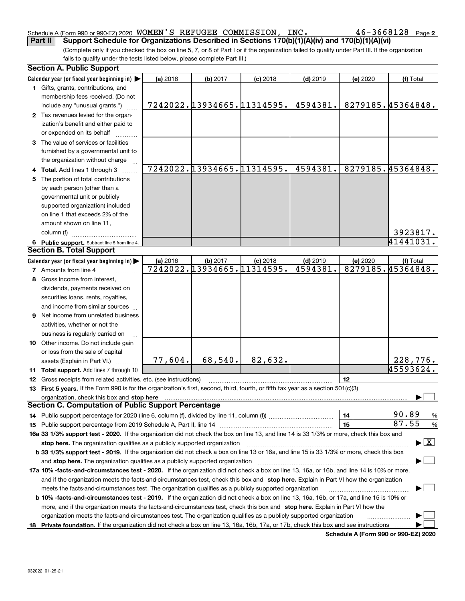#### Schedule A (Form 990 or 990-EZ) 2020 Page WOMEN'S REFUGEE COMMISSION, INC. 46-3668128**Part II Support Schedule for Organizations Described in Sections 170(b)(1)(A)(iv) and 170(b)(1)(A)(vi)**

(Complete only if you checked the box on line 5, 7, or 8 of Part I or if the organization failed to qualify under Part III. If the organization fails to qualify under the tests listed below, please complete Part III.)

|    | <b>Section A. Public Support</b>                                                                                                                                                                                                                 |          |                            |                            |            |          |                                          |  |  |  |
|----|--------------------------------------------------------------------------------------------------------------------------------------------------------------------------------------------------------------------------------------------------|----------|----------------------------|----------------------------|------------|----------|------------------------------------------|--|--|--|
|    | Calendar year (or fiscal year beginning in)                                                                                                                                                                                                      | (a) 2016 | (b) 2017                   | $(c)$ 2018                 | $(d)$ 2019 | (e) 2020 | (f) Total                                |  |  |  |
|    | 1 Gifts, grants, contributions, and                                                                                                                                                                                                              |          |                            |                            |            |          |                                          |  |  |  |
|    | membership fees received. (Do not                                                                                                                                                                                                                |          |                            |                            |            |          |                                          |  |  |  |
|    | include any "unusual grants.")                                                                                                                                                                                                                   |          |                            | 7242022.13934665.11314595. | 4594381.   |          | 8279185.45364848.                        |  |  |  |
|    | 2 Tax revenues levied for the organ-                                                                                                                                                                                                             |          |                            |                            |            |          |                                          |  |  |  |
|    | ization's benefit and either paid to                                                                                                                                                                                                             |          |                            |                            |            |          |                                          |  |  |  |
|    | or expended on its behalf                                                                                                                                                                                                                        |          |                            |                            |            |          |                                          |  |  |  |
|    | 3 The value of services or facilities                                                                                                                                                                                                            |          |                            |                            |            |          |                                          |  |  |  |
|    | furnished by a governmental unit to                                                                                                                                                                                                              |          |                            |                            |            |          |                                          |  |  |  |
|    | the organization without charge                                                                                                                                                                                                                  |          |                            |                            |            |          |                                          |  |  |  |
|    | 4 Total. Add lines 1 through 3                                                                                                                                                                                                                   |          |                            | 7242022.13934665.11314595. | 4594381.   |          | 8279185.45364848.                        |  |  |  |
| 5. | The portion of total contributions                                                                                                                                                                                                               |          |                            |                            |            |          |                                          |  |  |  |
|    | by each person (other than a                                                                                                                                                                                                                     |          |                            |                            |            |          |                                          |  |  |  |
|    | governmental unit or publicly                                                                                                                                                                                                                    |          |                            |                            |            |          |                                          |  |  |  |
|    | supported organization) included                                                                                                                                                                                                                 |          |                            |                            |            |          |                                          |  |  |  |
|    | on line 1 that exceeds 2% of the                                                                                                                                                                                                                 |          |                            |                            |            |          |                                          |  |  |  |
|    |                                                                                                                                                                                                                                                  |          |                            |                            |            |          |                                          |  |  |  |
|    | amount shown on line 11,                                                                                                                                                                                                                         |          |                            |                            |            |          |                                          |  |  |  |
|    | column (f)                                                                                                                                                                                                                                       |          |                            |                            |            |          | 3923817.                                 |  |  |  |
|    | 6 Public support. Subtract line 5 from line 4.                                                                                                                                                                                                   |          |                            |                            |            |          | 41441031.                                |  |  |  |
|    | <b>Section B. Total Support</b>                                                                                                                                                                                                                  |          |                            |                            |            |          |                                          |  |  |  |
|    | Calendar year (or fiscal year beginning in)                                                                                                                                                                                                      | (a) 2016 | (b) 2017                   | $(c)$ 2018                 | $(d)$ 2019 | (e) 2020 | (f) Total                                |  |  |  |
|    | <b>7</b> Amounts from line 4                                                                                                                                                                                                                     |          | 7242022.13934665.11314595. |                            | 4594381.   |          | 8279185.45364848.                        |  |  |  |
|    | 8 Gross income from interest,                                                                                                                                                                                                                    |          |                            |                            |            |          |                                          |  |  |  |
|    | dividends, payments received on                                                                                                                                                                                                                  |          |                            |                            |            |          |                                          |  |  |  |
|    | securities loans, rents, royalties,                                                                                                                                                                                                              |          |                            |                            |            |          |                                          |  |  |  |
|    | and income from similar sources                                                                                                                                                                                                                  |          |                            |                            |            |          |                                          |  |  |  |
|    | 9 Net income from unrelated business                                                                                                                                                                                                             |          |                            |                            |            |          |                                          |  |  |  |
|    | activities, whether or not the                                                                                                                                                                                                                   |          |                            |                            |            |          |                                          |  |  |  |
|    | business is regularly carried on                                                                                                                                                                                                                 |          |                            |                            |            |          |                                          |  |  |  |
|    | 10 Other income. Do not include gain                                                                                                                                                                                                             |          |                            |                            |            |          |                                          |  |  |  |
|    | or loss from the sale of capital                                                                                                                                                                                                                 |          |                            |                            |            |          |                                          |  |  |  |
|    | assets (Explain in Part VI.)                                                                                                                                                                                                                     | 77,604.  | 68,540.                    | 82,632.                    |            |          | 228,776.                                 |  |  |  |
|    | 11 Total support. Add lines 7 through 10                                                                                                                                                                                                         |          |                            |                            |            |          | 45593624.                                |  |  |  |
|    | 12 Gross receipts from related activities, etc. (see instructions)                                                                                                                                                                               |          |                            |                            |            | 12       |                                          |  |  |  |
|    | 13 First 5 years. If the Form 990 is for the organization's first, second, third, fourth, or fifth tax year as a section 501(c)(3)                                                                                                               |          |                            |                            |            |          |                                          |  |  |  |
|    | organization, check this box and stop here                                                                                                                                                                                                       |          |                            |                            |            |          |                                          |  |  |  |
|    | <b>Section C. Computation of Public Support Percentage</b>                                                                                                                                                                                       |          |                            |                            |            |          |                                          |  |  |  |
|    |                                                                                                                                                                                                                                                  |          |                            |                            |            | 14       | 90.89<br>%                               |  |  |  |
|    |                                                                                                                                                                                                                                                  |          |                            |                            |            | 15       | 87.55<br>$\%$                            |  |  |  |
|    | 16a 33 1/3% support test - 2020. If the organization did not check the box on line 13, and line 14 is 33 1/3% or more, check this box and                                                                                                        |          |                            |                            |            |          |                                          |  |  |  |
|    | stop here. The organization qualifies as a publicly supported organization                                                                                                                                                                       |          |                            |                            |            |          | $\blacktriangleright$ $\boxed{\text{X}}$ |  |  |  |
|    | b 33 1/3% support test - 2019. If the organization did not check a box on line 13 or 16a, and line 15 is 33 1/3% or more, check this box                                                                                                         |          |                            |                            |            |          |                                          |  |  |  |
|    |                                                                                                                                                                                                                                                  |          |                            |                            |            |          |                                          |  |  |  |
|    | and stop here. The organization qualifies as a publicly supported organization<br>17a 10% -facts-and-circumstances test - 2020. If the organization did not check a box on line 13, 16a, or 16b, and line 14 is 10% or more,                     |          |                            |                            |            |          |                                          |  |  |  |
|    |                                                                                                                                                                                                                                                  |          |                            |                            |            |          |                                          |  |  |  |
|    | and if the organization meets the facts-and-circumstances test, check this box and stop here. Explain in Part VI how the organization<br>meets the facts-and-circumstances test. The organization qualifies as a publicly supported organization |          |                            |                            |            |          |                                          |  |  |  |
|    |                                                                                                                                                                                                                                                  |          |                            |                            |            |          |                                          |  |  |  |
|    | <b>b 10% -facts-and-circumstances test - 2019.</b> If the organization did not check a box on line 13, 16a, 16b, or 17a, and line 15 is 10% or                                                                                                   |          |                            |                            |            |          |                                          |  |  |  |
|    | more, and if the organization meets the facts-and-circumstances test, check this box and stop here. Explain in Part VI how the                                                                                                                   |          |                            |                            |            |          |                                          |  |  |  |
|    | organization meets the facts-and-circumstances test. The organization qualifies as a publicly supported organization                                                                                                                             |          |                            |                            |            |          |                                          |  |  |  |
|    | 18 Private foundation. If the organization did not check a box on line 13, 16a, 16b, 17a, or 17b, check this box and see instructions                                                                                                            |          |                            |                            |            |          |                                          |  |  |  |

**Schedule A (Form 990 or 990-EZ) 2020**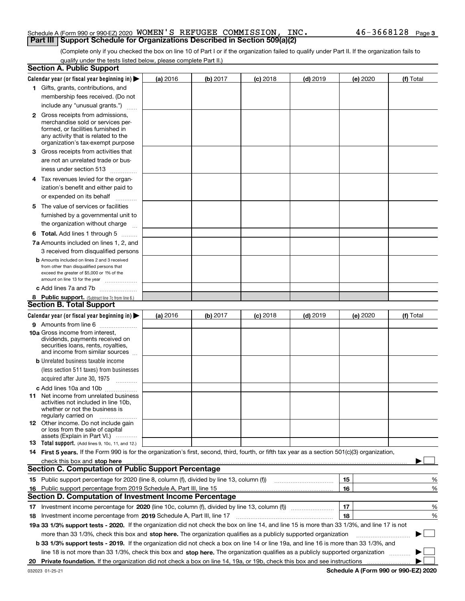#### Schedule A (Form 990 or 990-EZ) 2020 Page WOMEN'S REFUGEE COMMISSION, INC. 46-3668128**Part III Support Schedule for Organizations Described in Section 509(a)(2)**

(Complete only if you checked the box on line 10 of Part I or if the organization failed to qualify under Part II. If the organization fails to qualify under the tests listed below, please complete Part II.)

|    | <b>Section A. Public Support</b>                                                                                                                                                                                                     |                 |          |                 |            |          |           |
|----|--------------------------------------------------------------------------------------------------------------------------------------------------------------------------------------------------------------------------------------|-----------------|----------|-----------------|------------|----------|-----------|
|    | Calendar year (or fiscal year beginning in) $\blacktriangleright$                                                                                                                                                                    | <b>(a)</b> 2016 | (b) 2017 | <b>(c)</b> 2018 | $(d)$ 2019 | (e) 2020 | (f) Total |
|    | 1 Gifts, grants, contributions, and                                                                                                                                                                                                  |                 |          |                 |            |          |           |
|    | membership fees received. (Do not                                                                                                                                                                                                    |                 |          |                 |            |          |           |
|    | include any "unusual grants.")                                                                                                                                                                                                       |                 |          |                 |            |          |           |
|    | <b>2</b> Gross receipts from admissions,                                                                                                                                                                                             |                 |          |                 |            |          |           |
|    | merchandise sold or services per-                                                                                                                                                                                                    |                 |          |                 |            |          |           |
|    | formed, or facilities furnished in                                                                                                                                                                                                   |                 |          |                 |            |          |           |
|    | any activity that is related to the<br>organization's tax-exempt purpose                                                                                                                                                             |                 |          |                 |            |          |           |
|    | 3 Gross receipts from activities that                                                                                                                                                                                                |                 |          |                 |            |          |           |
|    | are not an unrelated trade or bus-                                                                                                                                                                                                   |                 |          |                 |            |          |           |
|    | iness under section 513                                                                                                                                                                                                              |                 |          |                 |            |          |           |
|    |                                                                                                                                                                                                                                      |                 |          |                 |            |          |           |
|    | 4 Tax revenues levied for the organ-                                                                                                                                                                                                 |                 |          |                 |            |          |           |
|    | ization's benefit and either paid to                                                                                                                                                                                                 |                 |          |                 |            |          |           |
|    | or expended on its behalf<br>.                                                                                                                                                                                                       |                 |          |                 |            |          |           |
|    | 5 The value of services or facilities                                                                                                                                                                                                |                 |          |                 |            |          |           |
|    | furnished by a governmental unit to                                                                                                                                                                                                  |                 |          |                 |            |          |           |
|    | the organization without charge                                                                                                                                                                                                      |                 |          |                 |            |          |           |
|    | <b>6 Total.</b> Add lines 1 through 5                                                                                                                                                                                                |                 |          |                 |            |          |           |
|    | 7a Amounts included on lines 1, 2, and                                                                                                                                                                                               |                 |          |                 |            |          |           |
|    | 3 received from disqualified persons                                                                                                                                                                                                 |                 |          |                 |            |          |           |
|    | <b>b</b> Amounts included on lines 2 and 3 received                                                                                                                                                                                  |                 |          |                 |            |          |           |
|    | from other than disqualified persons that                                                                                                                                                                                            |                 |          |                 |            |          |           |
|    | exceed the greater of \$5,000 or 1% of the<br>amount on line 13 for the year                                                                                                                                                         |                 |          |                 |            |          |           |
|    | c Add lines 7a and 7b                                                                                                                                                                                                                |                 |          |                 |            |          |           |
|    | 8 Public support. (Subtract line 7c from line 6.)                                                                                                                                                                                    |                 |          |                 |            |          |           |
|    | <b>Section B. Total Support</b>                                                                                                                                                                                                      |                 |          |                 |            |          |           |
|    | Calendar year (or fiscal year beginning in)                                                                                                                                                                                          | (a) 2016        | (b) 2017 | $(c)$ 2018      | $(d)$ 2019 | (e) 2020 | (f) Total |
|    | 9 Amounts from line 6                                                                                                                                                                                                                |                 |          |                 |            |          |           |
|    | <b>10a</b> Gross income from interest,                                                                                                                                                                                               |                 |          |                 |            |          |           |
|    | dividends, payments received on                                                                                                                                                                                                      |                 |          |                 |            |          |           |
|    | securities loans, rents, royalties,<br>and income from similar sources                                                                                                                                                               |                 |          |                 |            |          |           |
|    | <b>b</b> Unrelated business taxable income                                                                                                                                                                                           |                 |          |                 |            |          |           |
|    | (less section 511 taxes) from businesses                                                                                                                                                                                             |                 |          |                 |            |          |           |
|    | acquired after June 30, 1975                                                                                                                                                                                                         |                 |          |                 |            |          |           |
|    | $\overline{\phantom{a}}$                                                                                                                                                                                                             |                 |          |                 |            |          |           |
|    | c Add lines 10a and 10b<br>11 Net income from unrelated business                                                                                                                                                                     |                 |          |                 |            |          |           |
|    | activities not included in line 10b,                                                                                                                                                                                                 |                 |          |                 |            |          |           |
|    | whether or not the business is                                                                                                                                                                                                       |                 |          |                 |            |          |           |
|    | regularly carried on                                                                                                                                                                                                                 |                 |          |                 |            |          |           |
|    | <b>12</b> Other income. Do not include gain<br>or loss from the sale of capital                                                                                                                                                      |                 |          |                 |            |          |           |
|    | assets (Explain in Part VI.)                                                                                                                                                                                                         |                 |          |                 |            |          |           |
|    | <b>13</b> Total support. (Add lines 9, 10c, 11, and 12.)                                                                                                                                                                             |                 |          |                 |            |          |           |
|    | 14 First 5 years. If the Form 990 is for the organization's first, second, third, fourth, or fifth tax year as a section 501(c)(3) organization,                                                                                     |                 |          |                 |            |          |           |
|    | check this box and stop here <b>contained and according to the state of the state of the state of the state of the state of the state of the state of the state of the state of the state of the state of the state of the state</b> |                 |          |                 |            |          |           |
|    | <b>Section C. Computation of Public Support Percentage</b>                                                                                                                                                                           |                 |          |                 |            |          |           |
|    |                                                                                                                                                                                                                                      |                 |          |                 |            | 15       | %         |
|    | 16 Public support percentage from 2019 Schedule A, Part III, line 15                                                                                                                                                                 |                 |          |                 |            | 16       | %         |
|    | <b>Section D. Computation of Investment Income Percentage</b>                                                                                                                                                                        |                 |          |                 |            |          |           |
|    | 17 Investment income percentage for 2020 (line 10c, column (f), divided by line 13, column (f))                                                                                                                                      |                 |          |                 |            | 17       | %         |
|    | <b>18</b> Investment income percentage from <b>2019</b> Schedule A, Part III, line 17                                                                                                                                                |                 |          |                 |            | 18       | %         |
|    | 19a 33 1/3% support tests - 2020. If the organization did not check the box on line 14, and line 15 is more than 33 1/3%, and line 17 is not                                                                                         |                 |          |                 |            |          |           |
|    | more than 33 1/3%, check this box and stop here. The organization qualifies as a publicly supported organization                                                                                                                     |                 |          |                 |            |          | $\sim$    |
|    | b 33 1/3% support tests - 2019. If the organization did not check a box on line 14 or line 19a, and line 16 is more than 33 1/3%, and                                                                                                |                 |          |                 |            |          |           |
|    | line 18 is not more than 33 1/3%, check this box and stop here. The organization qualifies as a publicly supported organization                                                                                                      |                 |          |                 |            |          |           |
| 20 |                                                                                                                                                                                                                                      |                 |          |                 |            |          |           |
|    |                                                                                                                                                                                                                                      |                 |          |                 |            |          |           |

**Schedule A (Form 990 or 990-EZ) 2020**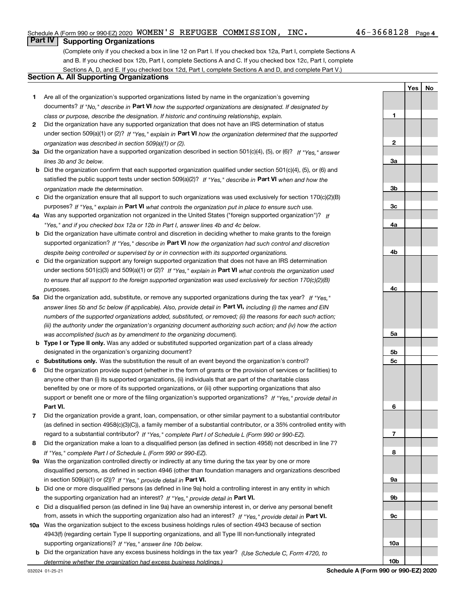**1**

**YesNo**

### **Part IV Supporting Organizations**

(Complete only if you checked a box in line 12 on Part I. If you checked box 12a, Part I, complete Sections A and B. If you checked box 12b, Part I, complete Sections A and C. If you checked box 12c, Part I, complete Sections A, D, and E. If you checked box 12d, Part I, complete Sections A and D, and complete Part V.)

#### **Section A. All Supporting Organizations**

- **1** Are all of the organization's supported organizations listed by name in the organization's governing documents? If "No," describe in **Part VI** how the supported organizations are designated. If designated by *class or purpose, describe the designation. If historic and continuing relationship, explain.*
- **2** Did the organization have any supported organization that does not have an IRS determination of status under section 509(a)(1) or (2)? If "Yes," explain in Part VI how the organization determined that the supported *organization was described in section 509(a)(1) or (2).*
- **3a** Did the organization have a supported organization described in section 501(c)(4), (5), or (6)? If "Yes," answer *lines 3b and 3c below.*
- **b** Did the organization confirm that each supported organization qualified under section 501(c)(4), (5), or (6) and satisfied the public support tests under section 509(a)(2)? If "Yes," describe in **Part VI** when and how the *organization made the determination.*
- **c**Did the organization ensure that all support to such organizations was used exclusively for section 170(c)(2)(B) purposes? If "Yes," explain in **Part VI** what controls the organization put in place to ensure such use.
- **4a***If* Was any supported organization not organized in the United States ("foreign supported organization")? *"Yes," and if you checked box 12a or 12b in Part I, answer lines 4b and 4c below.*
- **b** Did the organization have ultimate control and discretion in deciding whether to make grants to the foreign supported organization? If "Yes," describe in **Part VI** how the organization had such control and discretion *despite being controlled or supervised by or in connection with its supported organizations.*
- **c** Did the organization support any foreign supported organization that does not have an IRS determination under sections 501(c)(3) and 509(a)(1) or (2)? If "Yes," explain in **Part VI** what controls the organization used *to ensure that all support to the foreign supported organization was used exclusively for section 170(c)(2)(B) purposes.*
- **5a***If "Yes,"* Did the organization add, substitute, or remove any supported organizations during the tax year? answer lines 5b and 5c below (if applicable). Also, provide detail in **Part VI,** including (i) the names and EIN *numbers of the supported organizations added, substituted, or removed; (ii) the reasons for each such action; (iii) the authority under the organization's organizing document authorizing such action; and (iv) how the action was accomplished (such as by amendment to the organizing document).*
- **b** Type I or Type II only. Was any added or substituted supported organization part of a class already designated in the organization's organizing document?
- **cSubstitutions only.**  Was the substitution the result of an event beyond the organization's control?
- **6** Did the organization provide support (whether in the form of grants or the provision of services or facilities) to **Part VI.** *If "Yes," provide detail in* support or benefit one or more of the filing organization's supported organizations? anyone other than (i) its supported organizations, (ii) individuals that are part of the charitable class benefited by one or more of its supported organizations, or (iii) other supporting organizations that also
- **7**Did the organization provide a grant, loan, compensation, or other similar payment to a substantial contributor *If "Yes," complete Part I of Schedule L (Form 990 or 990-EZ).* regard to a substantial contributor? (as defined in section 4958(c)(3)(C)), a family member of a substantial contributor, or a 35% controlled entity with
- **8** Did the organization make a loan to a disqualified person (as defined in section 4958) not described in line 7? *If "Yes," complete Part I of Schedule L (Form 990 or 990-EZ).*
- **9a** Was the organization controlled directly or indirectly at any time during the tax year by one or more in section 509(a)(1) or (2))? If "Yes," *provide detail in* <code>Part VI.</code> disqualified persons, as defined in section 4946 (other than foundation managers and organizations described
- **b** Did one or more disqualified persons (as defined in line 9a) hold a controlling interest in any entity in which the supporting organization had an interest? If "Yes," provide detail in P**art VI**.
- **c**Did a disqualified person (as defined in line 9a) have an ownership interest in, or derive any personal benefit from, assets in which the supporting organization also had an interest? If "Yes," provide detail in P**art VI.**
- **10a** Was the organization subject to the excess business holdings rules of section 4943 because of section supporting organizations)? If "Yes," answer line 10b below. 4943(f) (regarding certain Type II supporting organizations, and all Type III non-functionally integrated
- **b** Did the organization have any excess business holdings in the tax year? (Use Schedule C, Form 4720, to *determine whether the organization had excess business holdings.)*

**23a3b3c4a4b4c5a5b5c6789a 9b9c**

**10a**

**10b**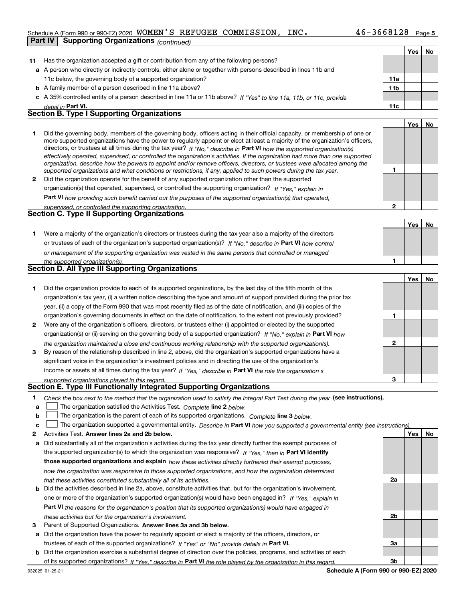#### Schedule A (Form 990 or 990-EZ) 2020 Page WOMEN'S REFUGEE COMMISSION, INC. 46-3668128**Part IV Supporting Organizations** *(continued)*

|    |                                                                                                                                                                                                                                                            |                 | Yes | No |
|----|------------------------------------------------------------------------------------------------------------------------------------------------------------------------------------------------------------------------------------------------------------|-----------------|-----|----|
| 11 | Has the organization accepted a gift or contribution from any of the following persons?                                                                                                                                                                    |                 |     |    |
|    | a A person who directly or indirectly controls, either alone or together with persons described in lines 11b and                                                                                                                                           |                 |     |    |
|    | 11c below, the governing body of a supported organization?                                                                                                                                                                                                 | 11a             |     |    |
|    | <b>b</b> A family member of a person described in line 11a above?                                                                                                                                                                                          | 11 <sub>b</sub> |     |    |
|    | c A 35% controlled entity of a person described in line 11a or 11b above? If "Yes" to line 11a, 11b, or 11c, provide                                                                                                                                       |                 |     |    |
|    | detail in Part VI.                                                                                                                                                                                                                                         | 11c             |     |    |
|    | <b>Section B. Type I Supporting Organizations</b>                                                                                                                                                                                                          |                 |     |    |
|    |                                                                                                                                                                                                                                                            |                 | Yes | No |
| 1  | Did the governing body, members of the governing body, officers acting in their official capacity, or membership of one or                                                                                                                                 |                 |     |    |
|    | more supported organizations have the power to regularly appoint or elect at least a majority of the organization's officers,                                                                                                                              |                 |     |    |
|    | directors, or trustees at all times during the tax year? If "No," describe in Part VI how the supported organization(s)                                                                                                                                    |                 |     |    |
|    | effectively operated, supervised, or controlled the organization's activities. If the organization had more than one supported<br>organization, describe how the powers to appoint and/or remove officers, directors, or trustees were allocated among the |                 |     |    |
|    | supported organizations and what conditions or restrictions, if any, applied to such powers during the tax year.                                                                                                                                           | 1               |     |    |
| 2  | Did the organization operate for the benefit of any supported organization other than the supported                                                                                                                                                        |                 |     |    |
|    | organization(s) that operated, supervised, or controlled the supporting organization? If "Yes," explain in                                                                                                                                                 |                 |     |    |
|    | Part VI how providing such benefit carried out the purposes of the supported organization(s) that operated,                                                                                                                                                |                 |     |    |
|    | supervised, or controlled the supporting organization.                                                                                                                                                                                                     | $\mathbf 2$     |     |    |
|    | <b>Section C. Type II Supporting Organizations</b>                                                                                                                                                                                                         |                 |     |    |
|    |                                                                                                                                                                                                                                                            |                 | Yes | No |
| 1  | Were a majority of the organization's directors or trustees during the tax year also a majority of the directors                                                                                                                                           |                 |     |    |
|    | or trustees of each of the organization's supported organization(s)? If "No," describe in Part VI how control                                                                                                                                              |                 |     |    |
|    | or management of the supporting organization was vested in the same persons that controlled or managed                                                                                                                                                     |                 |     |    |
|    | the supported organization(s).                                                                                                                                                                                                                             | 1               |     |    |
|    | <b>Section D. All Type III Supporting Organizations</b>                                                                                                                                                                                                    |                 |     |    |
|    |                                                                                                                                                                                                                                                            |                 | Yes | No |
| 1  | Did the organization provide to each of its supported organizations, by the last day of the fifth month of the                                                                                                                                             |                 |     |    |
|    | organization's tax year, (i) a written notice describing the type and amount of support provided during the prior tax                                                                                                                                      |                 |     |    |
|    | year, (ii) a copy of the Form 990 that was most recently filed as of the date of notification, and (iii) copies of the                                                                                                                                     |                 |     |    |
|    | organization's governing documents in effect on the date of notification, to the extent not previously provided?                                                                                                                                           | 1               |     |    |
| 2  | Were any of the organization's officers, directors, or trustees either (i) appointed or elected by the supported                                                                                                                                           |                 |     |    |
|    | organization(s) or (ii) serving on the governing body of a supported organization? If "No," explain in Part VI how                                                                                                                                         |                 |     |    |
|    | the organization maintained a close and continuous working relationship with the supported organization(s).                                                                                                                                                | 2               |     |    |
| 3  | By reason of the relationship described in line 2, above, did the organization's supported organizations have a                                                                                                                                            |                 |     |    |
|    | significant voice in the organization's investment policies and in directing the use of the organization's                                                                                                                                                 |                 |     |    |
|    | income or assets at all times during the tax year? If "Yes," describe in Part VI the role the organization's                                                                                                                                               |                 |     |    |
|    | supported organizations played in this regard.<br>Section E. Type III Functionally Integrated Supporting Organizations                                                                                                                                     | 3               |     |    |
|    |                                                                                                                                                                                                                                                            |                 |     |    |
| 1  | Check the box next to the method that the organization used to satisfy the Integral Part Test during the year (see instructions).                                                                                                                          |                 |     |    |
| a  | The organization satisfied the Activities Test. Complete line 2 below.                                                                                                                                                                                     |                 |     |    |
| b  | The organization is the parent of each of its supported organizations. Complete line 3 below.                                                                                                                                                              |                 |     |    |
| c  | The organization supported a governmental entity. Describe in Part VI how you supported a governmental entity (see instructions)                                                                                                                           |                 |     |    |
| 2  | Activities Test. Answer lines 2a and 2b below.                                                                                                                                                                                                             |                 | Yes | No |
| а  | Did substantially all of the organization's activities during the tax year directly further the exempt purposes of                                                                                                                                         |                 |     |    |
|    | the supported organization(s) to which the organization was responsive? If "Yes," then in Part VI identify                                                                                                                                                 |                 |     |    |
|    | those supported organizations and explain how these activities directly furthered their exempt purposes,                                                                                                                                                   |                 |     |    |
|    | how the organization was responsive to those supported organizations, and how the organization determined                                                                                                                                                  |                 |     |    |
|    | that these activities constituted substantially all of its activities.                                                                                                                                                                                     | 2a              |     |    |
| b  | Did the activities described in line 2a, above, constitute activities that, but for the organization's involvement,                                                                                                                                        |                 |     |    |
|    | one or more of the organization's supported organization(s) would have been engaged in? If "Yes," explain in                                                                                                                                               |                 |     |    |
|    | Part VI the reasons for the organization's position that its supported organization(s) would have engaged in                                                                                                                                               | 2 <sub>b</sub>  |     |    |
|    | these activities but for the organization's involvement.                                                                                                                                                                                                   |                 |     |    |

**3** Parent of Supported Organizations. Answer lines 3a and 3b below.

**a** Did the organization have the power to regularly appoint or elect a majority of the officers, directors, or trustees of each of the supported organizations? If "Yes" or "No" provide details in P**art VI.** 

**b** Did the organization exercise a substantial degree of direction over the policies, programs, and activities of each of its supported organizations? If "Yes," describe in Part VI the role played by the organization in this regard.

**3a**

**3b**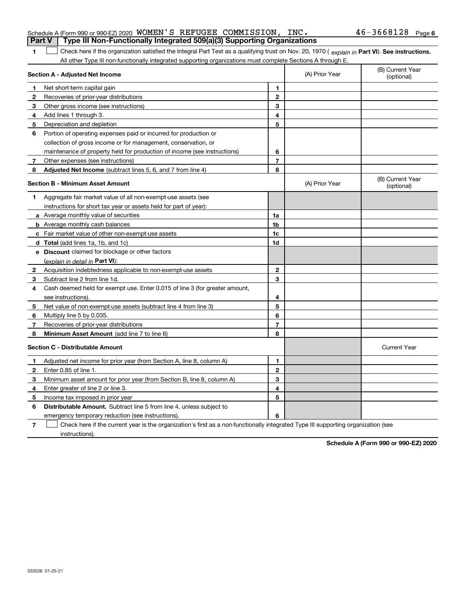|                | <b>rait v</b><br>i ype iii ivon-Functionally integrated bos(a)(b) Supporting Organizations                                                     |                |                |                                |  |  |
|----------------|------------------------------------------------------------------------------------------------------------------------------------------------|----------------|----------------|--------------------------------|--|--|
| 1              | Check here if the organization satisfied the Integral Part Test as a qualifying trust on Nov. 20, 1970 (explain in Part VI). See instructions. |                |                |                                |  |  |
|                | All other Type III non-functionally integrated supporting organizations must complete Sections A through E.                                    |                |                |                                |  |  |
|                | Section A - Adjusted Net Income                                                                                                                |                | (A) Prior Year | (B) Current Year<br>(optional) |  |  |
| 1              | Net short-term capital gain                                                                                                                    | 1              |                |                                |  |  |
| 2              | Recoveries of prior-year distributions                                                                                                         | $\overline{2}$ |                |                                |  |  |
| 3              | Other gross income (see instructions)                                                                                                          | 3              |                |                                |  |  |
| 4              | Add lines 1 through 3.                                                                                                                         | 4              |                |                                |  |  |
| 5              | Depreciation and depletion                                                                                                                     | 5              |                |                                |  |  |
| 6              | Portion of operating expenses paid or incurred for production or                                                                               |                |                |                                |  |  |
|                | collection of gross income or for management, conservation, or                                                                                 |                |                |                                |  |  |
|                | maintenance of property held for production of income (see instructions)                                                                       | 6              |                |                                |  |  |
| $\overline{7}$ | Other expenses (see instructions)                                                                                                              | $\overline{7}$ |                |                                |  |  |
| 8              | Adjusted Net Income (subtract lines 5, 6, and 7 from line 4)                                                                                   | 8              |                |                                |  |  |
|                | <b>Section B - Minimum Asset Amount</b>                                                                                                        |                | (A) Prior Year | (B) Current Year<br>(optional) |  |  |
| 1              | Aggregate fair market value of all non-exempt-use assets (see                                                                                  |                |                |                                |  |  |
|                | instructions for short tax year or assets held for part of year):                                                                              |                |                |                                |  |  |
|                | <b>a</b> Average monthly value of securities                                                                                                   | 1a             |                |                                |  |  |
|                | <b>b</b> Average monthly cash balances                                                                                                         | 1 <sub>b</sub> |                |                                |  |  |
|                | c Fair market value of other non-exempt-use assets                                                                                             | 1c             |                |                                |  |  |
|                | <b>d</b> Total (add lines 1a, 1b, and 1c)                                                                                                      | 1d             |                |                                |  |  |
|                | e Discount claimed for blockage or other factors                                                                                               |                |                |                                |  |  |
|                | (explain in detail in <b>Part VI</b> ):                                                                                                        |                |                |                                |  |  |
| 2              | Acquisition indebtedness applicable to non-exempt-use assets                                                                                   | $\mathbf{2}$   |                |                                |  |  |
| 3              | Subtract line 2 from line 1d.                                                                                                                  | 3              |                |                                |  |  |
| 4              | Cash deemed held for exempt use. Enter 0.015 of line 3 (for greater amount,                                                                    |                |                |                                |  |  |
|                | see instructions).                                                                                                                             | 4              |                |                                |  |  |
| 5              | Net value of non-exempt-use assets (subtract line 4 from line 3)                                                                               | 5              |                |                                |  |  |
| 6              | Multiply line 5 by 0.035.                                                                                                                      | 6              |                |                                |  |  |
| 7              | Recoveries of prior-year distributions                                                                                                         | $\overline{7}$ |                |                                |  |  |
| 8              | Minimum Asset Amount (add line 7 to line 6)                                                                                                    | 8              |                |                                |  |  |
|                | <b>Section C - Distributable Amount</b>                                                                                                        |                |                | <b>Current Year</b>            |  |  |
| 1              | Adjusted net income for prior year (from Section A, line 8, column A)                                                                          | 1              |                |                                |  |  |
| $\mathbf{2}$   | Enter 0.85 of line 1.                                                                                                                          | $\mathbf{2}$   |                |                                |  |  |
| 3              | Minimum asset amount for prior year (from Section B, line 8, column A)                                                                         | 3              |                |                                |  |  |
| 4              | Enter greater of line 2 or line 3.                                                                                                             | 4              |                |                                |  |  |
| 5              | Income tax imposed in prior year                                                                                                               | 5              |                |                                |  |  |
| 6              | <b>Distributable Amount.</b> Subtract line 5 from line 4, unless subject to                                                                    |                |                |                                |  |  |
|                | emergency temporary reduction (see instructions).                                                                                              | 6              |                |                                |  |  |

**7** Check here if the current year is the organization's first as a non-functionally integrated Type III supporting organization (see instructions).

**Schedule A (Form 990 or 990-EZ) 2020**

#### Schedule A (Form 990 or 990-EZ) 2020 WOMEN S REFUGEE COMMISSION,INC。 4 b - 3 b b 8 l Z 8 Page WOMEN'S REFUGEE COMMISSION, INC. 46-3668128

| $\mid$ Part V $\mid$ Type III Non-Functionally Integrated 509(a)(3) Supporting Organizations |  |  |
|----------------------------------------------------------------------------------------------|--|--|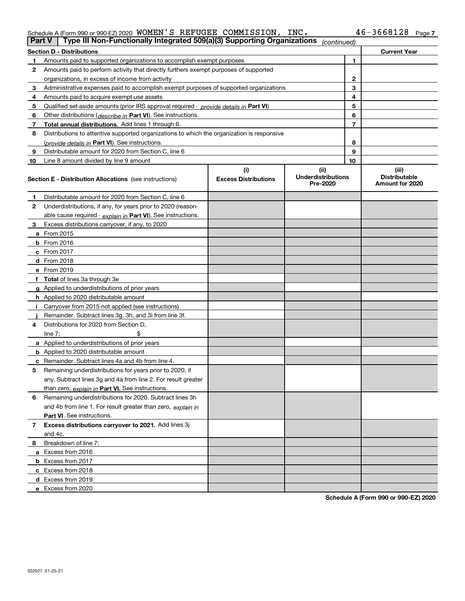#### Schedule A (Form 990 or 990-EZ) 2020 WOMEN S REFUGEE COMMISSION,INC。 4 b - 3 b b 8 l Z 8 Page WOMEN'S REFUGEE COMMISSION, INC. 46-3668128

| <b>Part V</b> | Type III Non-Functionally Integrated 509(a)(3) Supporting Organizations                    |                             | (continued)                           |    |                                         |
|---------------|--------------------------------------------------------------------------------------------|-----------------------------|---------------------------------------|----|-----------------------------------------|
|               | <b>Section D - Distributions</b>                                                           |                             |                                       |    | <b>Current Year</b>                     |
| 1             | Amounts paid to supported organizations to accomplish exempt purposes                      |                             | 1                                     |    |                                         |
| 2             | Amounts paid to perform activity that directly furthers exempt purposes of supported       |                             |                                       |    |                                         |
|               | organizations, in excess of income from activity                                           |                             | $\mathbf{2}$                          |    |                                         |
| 3             | Administrative expenses paid to accomplish exempt purposes of supported organizations      |                             | 3                                     |    |                                         |
| 4             | Amounts paid to acquire exempt-use assets                                                  |                             |                                       | 4  |                                         |
| 5             | Qualified set-aside amounts (prior IRS approval required - provide details in Part VI)     |                             |                                       | 5  |                                         |
| 6             | Other distributions ( <i>describe in</i> Part VI). See instructions.                       |                             |                                       | 6  |                                         |
| 7             | Total annual distributions. Add lines 1 through 6.                                         |                             |                                       | 7  |                                         |
| 8             | Distributions to attentive supported organizations to which the organization is responsive |                             |                                       |    |                                         |
|               | (provide details in Part VI). See instructions.                                            |                             |                                       | 8  |                                         |
| 9             | Distributable amount for 2020 from Section C, line 6                                       |                             |                                       | 9  |                                         |
| 10            | Line 8 amount divided by line 9 amount                                                     |                             |                                       | 10 |                                         |
|               |                                                                                            | (i)                         | (ii)                                  |    | (iii)                                   |
|               | Section E - Distribution Allocations (see instructions)                                    | <b>Excess Distributions</b> | <b>Underdistributions</b><br>Pre-2020 |    | <b>Distributable</b><br>Amount for 2020 |
| 1             | Distributable amount for 2020 from Section C, line 6                                       |                             |                                       |    |                                         |
| 2             | Underdistributions, if any, for years prior to 2020 (reason-                               |                             |                                       |    |                                         |
|               | able cause required - explain in Part VI). See instructions.                               |                             |                                       |    |                                         |
| 3             | Excess distributions carryover, if any, to 2020                                            |                             |                                       |    |                                         |
|               | <b>a</b> From 2015                                                                         |                             |                                       |    |                                         |
|               | <b>b</b> From 2016                                                                         |                             |                                       |    |                                         |
|               | c From 2017                                                                                |                             |                                       |    |                                         |
|               | <b>d</b> From 2018                                                                         |                             |                                       |    |                                         |
|               | e From 2019                                                                                |                             |                                       |    |                                         |
|               | f Total of lines 3a through 3e                                                             |                             |                                       |    |                                         |
|               | g Applied to underdistributions of prior years                                             |                             |                                       |    |                                         |
|               | <b>h</b> Applied to 2020 distributable amount                                              |                             |                                       |    |                                         |
|               | Carryover from 2015 not applied (see instructions)                                         |                             |                                       |    |                                         |
|               | Remainder. Subtract lines 3g, 3h, and 3i from line 3f.                                     |                             |                                       |    |                                         |
| 4             | Distributions for 2020 from Section D,                                                     |                             |                                       |    |                                         |
|               | line $7:$                                                                                  |                             |                                       |    |                                         |
|               | a Applied to underdistributions of prior years                                             |                             |                                       |    |                                         |
|               | <b>b</b> Applied to 2020 distributable amount                                              |                             |                                       |    |                                         |
|               | c Remainder. Subtract lines 4a and 4b from line 4.                                         |                             |                                       |    |                                         |
| 5             | Remaining underdistributions for years prior to 2020, if                                   |                             |                                       |    |                                         |
|               | any. Subtract lines 3g and 4a from line 2. For result greater                              |                             |                                       |    |                                         |
|               | than zero, explain in Part VI. See instructions.                                           |                             |                                       |    |                                         |
| 6             | Remaining underdistributions for 2020. Subtract lines 3h                                   |                             |                                       |    |                                         |
|               | and 4b from line 1. For result greater than zero, explain in                               |                             |                                       |    |                                         |
|               | Part VI. See instructions.                                                                 |                             |                                       |    |                                         |
| 7             | Excess distributions carryover to 2021. Add lines 3j                                       |                             |                                       |    |                                         |
|               | and 4c.                                                                                    |                             |                                       |    |                                         |
| 8             | Breakdown of line 7:                                                                       |                             |                                       |    |                                         |
|               | a Excess from 2016                                                                         |                             |                                       |    |                                         |
|               | <b>b</b> Excess from 2017                                                                  |                             |                                       |    |                                         |
|               | c Excess from 2018                                                                         |                             |                                       |    |                                         |
|               | d Excess from 2019                                                                         |                             |                                       |    |                                         |
|               | e Excess from 2020                                                                         |                             |                                       |    |                                         |
|               |                                                                                            |                             |                                       |    |                                         |

**Schedule A (Form 990 or 990-EZ) 2020**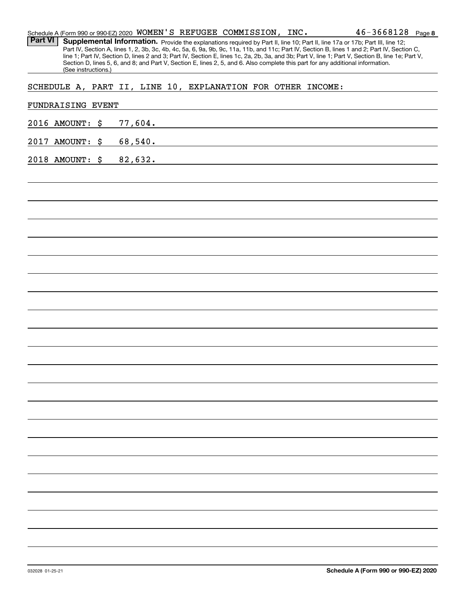|                | Schedule A (Form 990 or 990-EZ) 2020 WOMEN'S REFUGEE COMMISSION, INC. |  |         |         |  |                                                             | $46 - 3668128$ Page 8                                                                                                                                                                                                                                                               |  |
|----------------|-----------------------------------------------------------------------|--|---------|---------|--|-------------------------------------------------------------|-------------------------------------------------------------------------------------------------------------------------------------------------------------------------------------------------------------------------------------------------------------------------------------|--|
| <b>Part VI</b> |                                                                       |  |         |         |  |                                                             | Supplemental Information. Provide the explanations required by Part II, line 10; Part II, line 17a or 17b; Part III, line 12;                                                                                                                                                       |  |
|                |                                                                       |  |         |         |  |                                                             | Part IV, Section A, lines 1, 2, 3b, 3c, 4b, 4c, 5a, 6, 9a, 9b, 9c, 11a, 11b, and 11c; Part IV, Section B, lines 1 and 2; Part IV, Section C,                                                                                                                                        |  |
|                |                                                                       |  |         |         |  |                                                             | line 1; Part IV, Section D, lines 2 and 3; Part IV, Section E, lines 1c, 2a, 2b, 3a, and 3b; Part V, line 1; Part V, Section B, line 1e; Part V,<br>Section D, lines 5, 6, and 8; and Part V, Section E, lines 2, 5, and 6. Also complete this part for any additional information. |  |
|                | (See instructions.)                                                   |  |         |         |  |                                                             |                                                                                                                                                                                                                                                                                     |  |
|                |                                                                       |  |         |         |  |                                                             |                                                                                                                                                                                                                                                                                     |  |
|                |                                                                       |  |         |         |  | SCHEDULE A, PART II, LINE 10, EXPLANATION FOR OTHER INCOME: |                                                                                                                                                                                                                                                                                     |  |
|                |                                                                       |  |         |         |  |                                                             |                                                                                                                                                                                                                                                                                     |  |
|                | FUNDRAISING EVENT                                                     |  |         |         |  |                                                             |                                                                                                                                                                                                                                                                                     |  |
|                |                                                                       |  |         |         |  |                                                             |                                                                                                                                                                                                                                                                                     |  |
|                | 2016 AMOUNT: \$                                                       |  |         | 77,604. |  |                                                             |                                                                                                                                                                                                                                                                                     |  |
|                |                                                                       |  |         |         |  |                                                             |                                                                                                                                                                                                                                                                                     |  |
|                | 2017 AMOUNT: \$                                                       |  |         | 68,540. |  |                                                             |                                                                                                                                                                                                                                                                                     |  |
|                |                                                                       |  |         |         |  |                                                             |                                                                                                                                                                                                                                                                                     |  |
|                | 2018 AMOUNT: \$                                                       |  | 82,632. |         |  |                                                             |                                                                                                                                                                                                                                                                                     |  |
|                |                                                                       |  |         |         |  |                                                             |                                                                                                                                                                                                                                                                                     |  |
|                |                                                                       |  |         |         |  |                                                             |                                                                                                                                                                                                                                                                                     |  |
|                |                                                                       |  |         |         |  |                                                             |                                                                                                                                                                                                                                                                                     |  |
|                |                                                                       |  |         |         |  |                                                             |                                                                                                                                                                                                                                                                                     |  |
|                |                                                                       |  |         |         |  |                                                             |                                                                                                                                                                                                                                                                                     |  |
|                |                                                                       |  |         |         |  |                                                             |                                                                                                                                                                                                                                                                                     |  |
|                |                                                                       |  |         |         |  |                                                             |                                                                                                                                                                                                                                                                                     |  |
|                |                                                                       |  |         |         |  |                                                             |                                                                                                                                                                                                                                                                                     |  |
|                |                                                                       |  |         |         |  |                                                             |                                                                                                                                                                                                                                                                                     |  |
|                |                                                                       |  |         |         |  |                                                             |                                                                                                                                                                                                                                                                                     |  |
|                |                                                                       |  |         |         |  |                                                             |                                                                                                                                                                                                                                                                                     |  |
|                |                                                                       |  |         |         |  |                                                             |                                                                                                                                                                                                                                                                                     |  |
|                |                                                                       |  |         |         |  |                                                             |                                                                                                                                                                                                                                                                                     |  |
|                |                                                                       |  |         |         |  |                                                             |                                                                                                                                                                                                                                                                                     |  |
|                |                                                                       |  |         |         |  |                                                             |                                                                                                                                                                                                                                                                                     |  |
|                |                                                                       |  |         |         |  |                                                             |                                                                                                                                                                                                                                                                                     |  |
|                |                                                                       |  |         |         |  |                                                             |                                                                                                                                                                                                                                                                                     |  |
|                |                                                                       |  |         |         |  |                                                             |                                                                                                                                                                                                                                                                                     |  |
|                |                                                                       |  |         |         |  |                                                             |                                                                                                                                                                                                                                                                                     |  |
|                |                                                                       |  |         |         |  |                                                             |                                                                                                                                                                                                                                                                                     |  |
|                |                                                                       |  |         |         |  |                                                             |                                                                                                                                                                                                                                                                                     |  |
|                |                                                                       |  |         |         |  |                                                             |                                                                                                                                                                                                                                                                                     |  |
|                |                                                                       |  |         |         |  |                                                             |                                                                                                                                                                                                                                                                                     |  |
|                |                                                                       |  |         |         |  |                                                             |                                                                                                                                                                                                                                                                                     |  |
|                |                                                                       |  |         |         |  |                                                             |                                                                                                                                                                                                                                                                                     |  |
|                |                                                                       |  |         |         |  |                                                             |                                                                                                                                                                                                                                                                                     |  |
|                |                                                                       |  |         |         |  |                                                             |                                                                                                                                                                                                                                                                                     |  |
|                |                                                                       |  |         |         |  |                                                             |                                                                                                                                                                                                                                                                                     |  |
|                |                                                                       |  |         |         |  |                                                             |                                                                                                                                                                                                                                                                                     |  |
|                |                                                                       |  |         |         |  |                                                             |                                                                                                                                                                                                                                                                                     |  |
|                |                                                                       |  |         |         |  |                                                             |                                                                                                                                                                                                                                                                                     |  |
|                |                                                                       |  |         |         |  |                                                             |                                                                                                                                                                                                                                                                                     |  |
|                |                                                                       |  |         |         |  |                                                             |                                                                                                                                                                                                                                                                                     |  |
|                |                                                                       |  |         |         |  |                                                             |                                                                                                                                                                                                                                                                                     |  |
|                |                                                                       |  |         |         |  |                                                             |                                                                                                                                                                                                                                                                                     |  |
|                |                                                                       |  |         |         |  |                                                             |                                                                                                                                                                                                                                                                                     |  |
|                |                                                                       |  |         |         |  |                                                             |                                                                                                                                                                                                                                                                                     |  |
|                |                                                                       |  |         |         |  |                                                             |                                                                                                                                                                                                                                                                                     |  |
|                |                                                                       |  |         |         |  |                                                             |                                                                                                                                                                                                                                                                                     |  |
|                |                                                                       |  |         |         |  |                                                             |                                                                                                                                                                                                                                                                                     |  |
|                |                                                                       |  |         |         |  |                                                             |                                                                                                                                                                                                                                                                                     |  |
|                |                                                                       |  |         |         |  |                                                             |                                                                                                                                                                                                                                                                                     |  |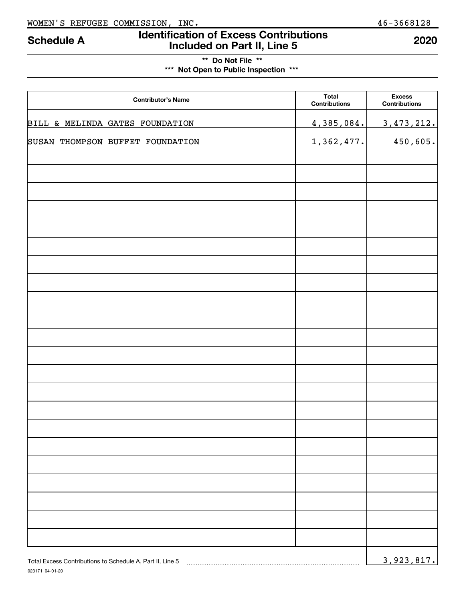023171 04-01-20

# **Identification of Excess Contributions Included on Part II, Line 5 Schedule A 2020**

**\*\* Do Not File \*\* \*\*\* Not Open to Public Inspection \*\*\***

| <b>Contributor's Name</b>                                 | <b>Total</b><br>Contributions | <b>Excess</b><br><b>Contributions</b> |
|-----------------------------------------------------------|-------------------------------|---------------------------------------|
| BILL & MELINDA GATES FOUNDATION                           | 4,385,084.                    | 3, 473, 212.                          |
| SUSAN THOMPSON BUFFET FOUNDATION                          | 1,362,477.                    | 450,605.                              |
|                                                           |                               |                                       |
|                                                           |                               |                                       |
|                                                           |                               |                                       |
|                                                           |                               |                                       |
|                                                           |                               |                                       |
|                                                           |                               |                                       |
|                                                           |                               |                                       |
|                                                           |                               |                                       |
|                                                           |                               |                                       |
|                                                           |                               |                                       |
|                                                           |                               |                                       |
|                                                           |                               |                                       |
|                                                           |                               |                                       |
|                                                           |                               |                                       |
|                                                           |                               |                                       |
|                                                           |                               |                                       |
|                                                           |                               |                                       |
|                                                           |                               |                                       |
|                                                           |                               |                                       |
|                                                           |                               |                                       |
|                                                           |                               |                                       |
|                                                           |                               |                                       |
| Total Excess Contributions to Schedule A, Part II, Line 5 |                               | 3,923,817.                            |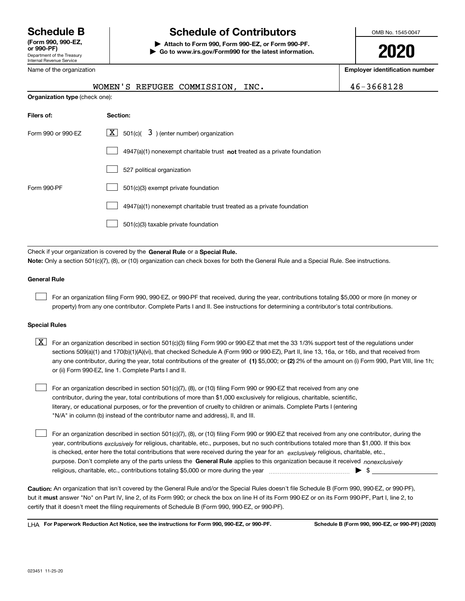Department of the Treasury Internal Revenue Service **(Form 990, 990-EZ, or 990-PF)**

Name of the organization

# **Schedule B Schedule of Contributors**

**| Attach to Form 990, Form 990-EZ, or Form 990-PF. | Go to www.irs.gov/Form990 for the latest information.** OMB No. 1545-0047

**2020**

**Employer identification number**

|                                | WOMEN'S REFUGEE COMMISSION,<br>INC.                                                                                                                                                                                                                                              | 46-3668128 |  |  |  |
|--------------------------------|----------------------------------------------------------------------------------------------------------------------------------------------------------------------------------------------------------------------------------------------------------------------------------|------------|--|--|--|
| Organization type (check one): |                                                                                                                                                                                                                                                                                  |            |  |  |  |
| Filers of:                     | Section:                                                                                                                                                                                                                                                                         |            |  |  |  |
| Form 990 or 990-EZ             | $\underline{X}$ 501(c)( 3) (enter number) organization                                                                                                                                                                                                                           |            |  |  |  |
|                                | 4947(a)(1) nonexempt charitable trust not treated as a private foundation                                                                                                                                                                                                        |            |  |  |  |
|                                | 527 political organization                                                                                                                                                                                                                                                       |            |  |  |  |
| Form 990-PF                    | 501(c)(3) exempt private foundation                                                                                                                                                                                                                                              |            |  |  |  |
|                                | 4947(a)(1) nonexempt charitable trust treated as a private foundation                                                                                                                                                                                                            |            |  |  |  |
|                                | 501(c)(3) taxable private foundation                                                                                                                                                                                                                                             |            |  |  |  |
|                                | Check if your organization is covered by the General Rule or a Special Rule.                                                                                                                                                                                                     |            |  |  |  |
|                                | Note: Only a section 501(c)(7), (8), or (10) organization can check boxes for both the General Rule and a Special Rule. See instructions.                                                                                                                                        |            |  |  |  |
| <b>General Rule</b>            |                                                                                                                                                                                                                                                                                  |            |  |  |  |
|                                | For an organization filing Form 990, 990-EZ, or 990-PF that received, during the year, contributions totaling \$5,000 or more (in money or<br>property) from any one contributor. Complete Parts I and II. See instructions for determining a contributor's total contributions. |            |  |  |  |

#### **Special Rules**

any one contributor, during the year, total contributions of the greater of  $\,$  (1) \$5,000; or **(2)** 2% of the amount on (i) Form 990, Part VIII, line 1h;  $\boxed{\textbf{X}}$  For an organization described in section 501(c)(3) filing Form 990 or 990-EZ that met the 33 1/3% support test of the regulations under sections 509(a)(1) and 170(b)(1)(A)(vi), that checked Schedule A (Form 990 or 990-EZ), Part II, line 13, 16a, or 16b, and that received from or (ii) Form 990-EZ, line 1. Complete Parts I and II.

For an organization described in section 501(c)(7), (8), or (10) filing Form 990 or 990-EZ that received from any one contributor, during the year, total contributions of more than \$1,000 exclusively for religious, charitable, scientific, literary, or educational purposes, or for the prevention of cruelty to children or animals. Complete Parts I (entering "N/A" in column (b) instead of the contributor name and address), II, and III.  $\mathcal{L}^{\text{max}}$ 

purpose. Don't complete any of the parts unless the **General Rule** applies to this organization because it received *nonexclusively* year, contributions <sub>exclusively</sub> for religious, charitable, etc., purposes, but no such contributions totaled more than \$1,000. If this box is checked, enter here the total contributions that were received during the year for an  $\;$ exclusively religious, charitable, etc., For an organization described in section 501(c)(7), (8), or (10) filing Form 990 or 990-EZ that received from any one contributor, during the religious, charitable, etc., contributions totaling \$5,000 or more during the year  $\Box$ — $\Box$  =  $\Box$  $\mathcal{L}^{\text{max}}$ 

**Caution:**  An organization that isn't covered by the General Rule and/or the Special Rules doesn't file Schedule B (Form 990, 990-EZ, or 990-PF),  **must** but it answer "No" on Part IV, line 2, of its Form 990; or check the box on line H of its Form 990-EZ or on its Form 990-PF, Part I, line 2, to certify that it doesn't meet the filing requirements of Schedule B (Form 990, 990-EZ, or 990-PF).

**For Paperwork Reduction Act Notice, see the instructions for Form 990, 990-EZ, or 990-PF. Schedule B (Form 990, 990-EZ, or 990-PF) (2020)** LHA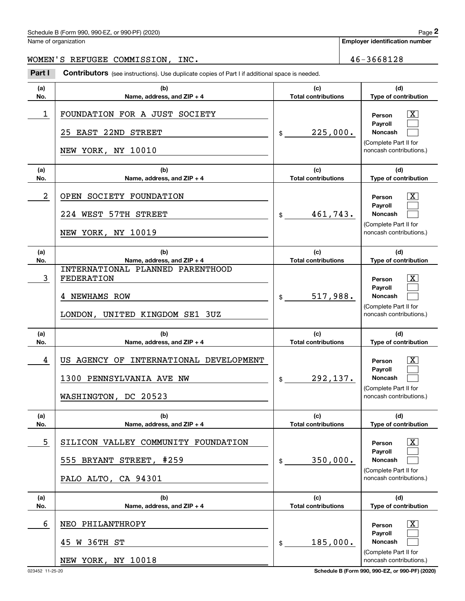## Schedule B (Form 990, 990-EZ, or 990-PF) (2020) Page 2

Name of organization

**Employer identification number**

#### WOMEN'S REFUGEE COMMISSION, INC. 46-3668128

Chedule B (Form 990, 990-EZ, or 990-PF) (2020)<br>
lame of organization<br> **2000 IDEN' S** REFUGEE COMMISSION, INC.<br> **2001 Part I Contributors** (see instructions). Use duplicate copies of Part I if additional space is needed.

| (a)        | (b)                                                                        | (c)                               | (d)                                                                                                         |
|------------|----------------------------------------------------------------------------|-----------------------------------|-------------------------------------------------------------------------------------------------------------|
| No.        | Name, address, and ZIP + 4                                                 | <b>Total contributions</b>        | Type of contribution                                                                                        |
| 1          | FOUNDATION FOR A JUST SOCIETY<br>25 EAST 22ND STREET<br>NEW YORK, NY 10010 | 225,000.<br>$\mathsf{\$}$         | $\overline{\textbf{x}}$<br>Person<br>Payroll<br>Noncash<br>(Complete Part II for<br>noncash contributions.) |
| (a)<br>No. | (b)<br>Name, address, and ZIP + 4                                          | (c)<br><b>Total contributions</b> | (d)<br>Type of contribution                                                                                 |
| 2          | OPEN SOCIETY FOUNDATION                                                    |                                   | x<br>Person                                                                                                 |
|            | 224 WEST 57TH STREET                                                       | 461,743.<br>$\mathsf{\$}$         | Payroll<br>Noncash<br>(Complete Part II for                                                                 |
|            | NEW YORK, NY 10019                                                         |                                   | noncash contributions.)                                                                                     |
| (a)<br>No. | (b)<br>Name, address, and ZIP + 4                                          | (c)<br><b>Total contributions</b> | (d)<br>Type of contribution                                                                                 |
| 3          | INTERNATIONAL PLANNED PARENTHOOD<br><b>FEDERATION</b>                      |                                   | x<br>Person                                                                                                 |
|            | <b>NEWHAMS ROW</b>                                                         | 517,988.<br>$\frac{1}{2}$         | Pavroll<br><b>Noncash</b>                                                                                   |
|            | UNITED KINGDOM SE1 3UZ<br>LONDON,                                          |                                   | (Complete Part II for<br>noncash contributions.)                                                            |
| (a)<br>No. | (b)<br>Name, address, and ZIP + 4                                          | (c)<br><b>Total contributions</b> | (d)<br>Type of contribution                                                                                 |
| 4          | US AGENCY OF INTERNATIONAL DEVELOPMENT                                     |                                   | X.<br>Person                                                                                                |
|            |                                                                            |                                   | Payroll                                                                                                     |
|            | 1300 PENNSYLVANIA AVE NW                                                   | 292,137.<br>$\frac{1}{2}$         | Noncash                                                                                                     |
|            | WASHINGTON, DC 20523                                                       |                                   | (Complete Part II for<br>noncash contributions.)                                                            |
| (a)<br>No. | (b)<br>Name, address, and ZIP + 4                                          | (c)<br><b>Total contributions</b> | (d)<br>Type of contribution                                                                                 |
| 5          | SILICON VALLEY COMMUNITY FOUNDATION                                        |                                   | x<br>Person                                                                                                 |
|            | 555 BRYANT STREET, #259                                                    | 350,000.<br>\$                    | Payroll<br>Noncash                                                                                          |
|            | PALO ALTO, CA 94301                                                        |                                   | (Complete Part II for<br>noncash contributions.)                                                            |
| (a)<br>No. | (b)<br>Name, address, and ZIP + 4                                          | (c)<br><b>Total contributions</b> | (d)<br>Type of contribution                                                                                 |
| 6          | NEO PHILANTHROPY                                                           |                                   | x<br>Person                                                                                                 |
|            | 45 W 36TH ST                                                               | 185,000.<br>$$\circ$$             | Payroll<br>Noncash<br>(Complete Part II for                                                                 |

023452 11-25-20 **Schedule B (Form 990, 990-EZ, or 990-PF) (2020)**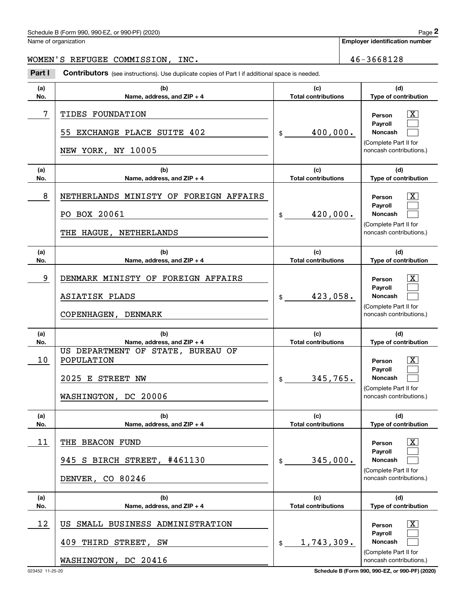## Schedule B (Form 990, 990-EZ, or 990-PF) (2020) Page 2

Name of organization

**Employer identification number**

#### WOMEN'S REFUGEE COMMISSION, INC. 46-3668128

Chedule B (Form 990, 990-EZ, or 990-PF) (2020)<br>
lame of organization<br> **2000 IDEN' S** REFUGEE COMMISSION, INC.<br> **2001 Part I Contributors** (see instructions). Use duplicate copies of Part I if additional space is needed.

| (a)<br>No. | (b)<br>Name, address, and ZIP + 4                                                           | (c)<br><b>Total contributions</b> | (d)<br>Type of contribution                                                                                        |
|------------|---------------------------------------------------------------------------------------------|-----------------------------------|--------------------------------------------------------------------------------------------------------------------|
| 7          | TIDES FOUNDATION<br>55 EXCHANGE PLACE SUITE 402<br>NEW YORK, NY 10005                       | 400,000.<br>$\mathfrak{S}$        | $\overline{\textbf{x}}$<br>Person<br>Payroll<br><b>Noncash</b><br>(Complete Part II for<br>noncash contributions.) |
| (a)<br>No. | (b)<br>Name, address, and ZIP + 4                                                           | (c)<br><b>Total contributions</b> | (d)<br>Type of contribution                                                                                        |
| 8          | NETHERLANDS MINISTY OF FOREIGN AFFAIRS<br>PO BOX 20061<br>THE HAGUE,<br>NETHERLANDS         | 420,000.<br>$\mathfrak{S}$        | x<br>Person<br>Payroll<br><b>Noncash</b><br>(Complete Part II for<br>noncash contributions.)                       |
| (a)<br>No. | (b)<br>Name, address, and ZIP + 4                                                           | (c)<br><b>Total contributions</b> | (d)<br>Type of contribution                                                                                        |
| 9          | DENMARK MINISTY OF FOREIGN AFFAIRS<br>ASIATISK PLADS<br>COPENHAGEN, DENMARK                 | 423,058.<br>$\mathfrak{S}$        | Person<br>Pavroll<br><b>Noncash</b><br>(Complete Part II for<br>noncash contributions.)                            |
| (a)<br>No. | (b)<br>Name, address, and ZIP + 4                                                           | (c)<br><b>Total contributions</b> | (d)<br>Type of contribution                                                                                        |
| 10         | US DEPARTMENT OF STATE, BUREAU OF<br>POPULATION<br>2025 E STREET NW<br>WASHINGTON, DC 20006 | 345,765.<br>\$                    | Person<br>Payroll<br><b>Noncash</b><br>(Complete Part II for<br>noncash contributions.)                            |
| (a)<br>No. | (b)<br>Name, address, and ZIP + 4                                                           | (c)<br><b>Total contributions</b> | (d)<br>Type of contribution                                                                                        |
| 11         | THE BEACON FUND<br>945 S BIRCH STREET, #461130<br>DENVER, CO 80246                          | 345,000.<br>$$\circ$$             | x<br>Person<br>Payroll<br><b>Noncash</b><br>(Complete Part II for<br>noncash contributions.)                       |
| (a)<br>No. | (b)<br>Name, address, and ZIP + 4                                                           | (c)<br><b>Total contributions</b> | (d)<br>Type of contribution                                                                                        |
| 12         | US SMALL BUSINESS ADMINISTRATION<br>409 THIRD STREET, SW<br>WASHINGTON, DC 20416            | 1,743,309.<br>\$                  | Person<br>Payroll<br>Noncash<br>(Complete Part II for<br>noncash contributions.)                                   |

023452 11-25-20 **Schedule B (Form 990, 990-EZ, or 990-PF) (2020)**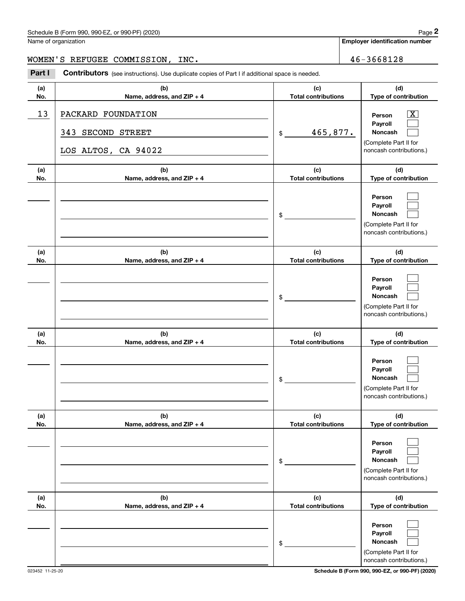## Schedule B (Form 990, 990-EZ, or 990-PF) (2020) Page 2

Name of organization

**Employer identification number**

#### WOMEN'S REFUGEE COMMISSION, INC. 46-3668128

Chedule B (Form 990, 990-EZ, or 990-PF) (2020)<br>
lame of organization<br> **2000 IDEN' S** REFUGEE COMMISSION, INC.<br> **2001 Part I Contributors** (see instructions). Use duplicate copies of Part I if additional space is needed.

| (a)<br>No. | (b)<br>Name, address, and ZIP + 4                                        | (c)<br><b>Total contributions</b> | (d)<br>Type of contribution                                                                               |
|------------|--------------------------------------------------------------------------|-----------------------------------|-----------------------------------------------------------------------------------------------------------|
| 13         | PACKARD FOUNDATION<br>343<br><b>SECOND STREET</b><br>LOS ALTOS, CA 94022 | 465,877.<br>\$                    | $\overline{\text{X}}$<br>Person<br>Payroll<br>Noncash<br>(Complete Part II for<br>noncash contributions.) |
| (a)<br>No. | (b)<br>Name, address, and ZIP + 4                                        | (c)<br><b>Total contributions</b> | (d)<br>Type of contribution                                                                               |
|            |                                                                          | \$                                | Person<br>Payroll<br>Noncash<br>(Complete Part II for<br>noncash contributions.)                          |
| (a)<br>No. | (b)<br>Name, address, and ZIP + 4                                        | (c)<br><b>Total contributions</b> | (d)<br>Type of contribution                                                                               |
|            |                                                                          | \$                                | Person<br>Payroll<br>Noncash<br>(Complete Part II for<br>noncash contributions.)                          |
| (a)<br>No. | (b)<br>Name, address, and ZIP + 4                                        | (c)<br><b>Total contributions</b> | (d)<br>Type of contribution                                                                               |
|            |                                                                          | \$                                | Person<br>Payroll<br>Noncash<br>(Complete Part II for<br>noncash contributions.)                          |
| (a)<br>No. | (b)<br>Name, address, and ZIP + 4                                        | (c)<br><b>Total contributions</b> | (d)<br>Type of contribution                                                                               |
|            |                                                                          | \$                                | Person<br>Payroll<br>Noncash<br>(Complete Part II for<br>noncash contributions.)                          |
| (a)<br>No. | (b)<br>Name, address, and ZIP + 4                                        | (c)<br><b>Total contributions</b> | (d)<br>Type of contribution                                                                               |
|            |                                                                          | \$                                | Person<br>Payroll<br>Noncash<br>(Complete Part II for<br>noncash contributions.)                          |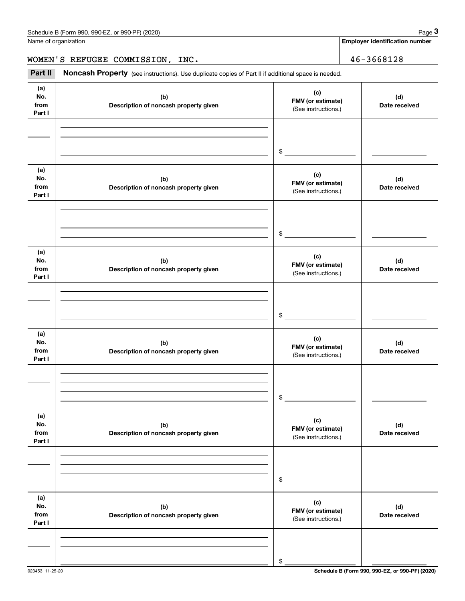Name of organization

**Employer identification number**

WOMEN'S REFUGEE COMMISSION, INC. 46-3668128

Chedule B (Form 990, 990-EZ, or 990-PF) (2020)<br> **2020 ame of organization**<br> **3Part II Noncash Property** (see instructions). Use duplicate copies of Part II if additional space is needed.<br> **2Part II Noncash Property** (s

| (a)<br>No.<br>from<br>Part I | (b)<br>Description of noncash property given | (c)<br>FMV (or estimate)<br>(See instructions.) | (d)<br>Date received |
|------------------------------|----------------------------------------------|-------------------------------------------------|----------------------|
|                              |                                              |                                                 |                      |
|                              |                                              |                                                 |                      |
|                              |                                              | \$                                              |                      |
| (a)<br>No.<br>from<br>Part I | (b)<br>Description of noncash property given | (c)<br>FMV (or estimate)<br>(See instructions.) | (d)<br>Date received |
|                              |                                              |                                                 |                      |
|                              |                                              |                                                 |                      |
|                              |                                              | \$                                              |                      |
| (a)<br>No.<br>from<br>Part I | (b)<br>Description of noncash property given | (c)<br>FMV (or estimate)<br>(See instructions.) | (d)<br>Date received |
|                              |                                              |                                                 |                      |
|                              |                                              |                                                 |                      |
|                              |                                              | \$                                              |                      |
| (a)<br>No.<br>from<br>Part I | (b)<br>Description of noncash property given | (c)<br>FMV (or estimate)<br>(See instructions.) | (d)<br>Date received |
|                              |                                              |                                                 |                      |
|                              |                                              |                                                 |                      |
|                              |                                              | \$                                              |                      |
| (a)<br>No.<br>from<br>Part I | (b)<br>Description of noncash property given | (c)<br>FMV (or estimate)<br>(See instructions.) | (d)<br>Date received |
|                              |                                              |                                                 |                      |
|                              |                                              |                                                 |                      |
|                              |                                              | \$                                              |                      |
| (a)<br>No.<br>from<br>Part I | (b)<br>Description of noncash property given | (c)<br>FMV (or estimate)<br>(See instructions.) | (d)<br>Date received |
|                              |                                              |                                                 |                      |
|                              |                                              |                                                 |                      |
|                              |                                              | \$                                              |                      |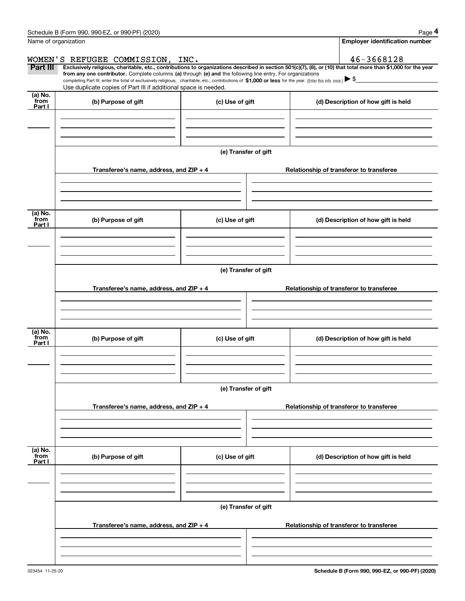|                           | Schedule B (Form 990, 990-EZ, or 990-PF) (2020)                                                                                                                                   |                      | Page 4                                                                                                                                                         |  |  |  |  |
|---------------------------|-----------------------------------------------------------------------------------------------------------------------------------------------------------------------------------|----------------------|----------------------------------------------------------------------------------------------------------------------------------------------------------------|--|--|--|--|
|                           | Name of organization                                                                                                                                                              |                      | <b>Employer identification number</b>                                                                                                                          |  |  |  |  |
|                           | WOMEN'S REFUGEE COMMISSION, INC.                                                                                                                                                  |                      | 46-3668128                                                                                                                                                     |  |  |  |  |
| Part III                  | from any one contributor. Complete columns (a) through (e) and the following line entry. For organizations                                                                        |                      | Exclusively religious, charitable, etc., contributions to organizations described in section 501(c)(7), (8), or (10) that total more than \$1,000 for the year |  |  |  |  |
|                           | completing Part III, enter the total of exclusively religious, charitable, etc., contributions of \$1,000 or less for the year. (Enter this info. once.) $\blacktriangleright$ \$ |                      |                                                                                                                                                                |  |  |  |  |
| (a) No.                   | Use duplicate copies of Part III if additional space is needed.                                                                                                                   |                      |                                                                                                                                                                |  |  |  |  |
| from<br>Part I            | (b) Purpose of gift                                                                                                                                                               | (c) Use of gift      | (d) Description of how gift is held                                                                                                                            |  |  |  |  |
|                           |                                                                                                                                                                                   |                      |                                                                                                                                                                |  |  |  |  |
|                           |                                                                                                                                                                                   |                      |                                                                                                                                                                |  |  |  |  |
|                           |                                                                                                                                                                                   |                      |                                                                                                                                                                |  |  |  |  |
|                           |                                                                                                                                                                                   | (e) Transfer of gift |                                                                                                                                                                |  |  |  |  |
|                           | Transferee's name, address, and ZIP + 4                                                                                                                                           |                      | Relationship of transferor to transferee                                                                                                                       |  |  |  |  |
|                           |                                                                                                                                                                                   |                      |                                                                                                                                                                |  |  |  |  |
|                           |                                                                                                                                                                                   |                      |                                                                                                                                                                |  |  |  |  |
|                           |                                                                                                                                                                                   |                      |                                                                                                                                                                |  |  |  |  |
| (a) No.<br>from<br>Part I | (b) Purpose of gift                                                                                                                                                               | (c) Use of gift      | (d) Description of how gift is held                                                                                                                            |  |  |  |  |
|                           |                                                                                                                                                                                   |                      |                                                                                                                                                                |  |  |  |  |
|                           |                                                                                                                                                                                   |                      |                                                                                                                                                                |  |  |  |  |
|                           |                                                                                                                                                                                   |                      |                                                                                                                                                                |  |  |  |  |
|                           | (e) Transfer of gift                                                                                                                                                              |                      |                                                                                                                                                                |  |  |  |  |
|                           |                                                                                                                                                                                   |                      |                                                                                                                                                                |  |  |  |  |
|                           | Transferee's name, address, and $ZIP + 4$                                                                                                                                         |                      | Relationship of transferor to transferee                                                                                                                       |  |  |  |  |
|                           |                                                                                                                                                                                   |                      |                                                                                                                                                                |  |  |  |  |
|                           |                                                                                                                                                                                   |                      |                                                                                                                                                                |  |  |  |  |
| (a) No.                   |                                                                                                                                                                                   |                      |                                                                                                                                                                |  |  |  |  |
| from<br>Part I            | (b) Purpose of gift                                                                                                                                                               | (c) Use of gift      | (d) Description of how gift is held                                                                                                                            |  |  |  |  |
|                           |                                                                                                                                                                                   |                      |                                                                                                                                                                |  |  |  |  |
|                           |                                                                                                                                                                                   |                      |                                                                                                                                                                |  |  |  |  |
|                           |                                                                                                                                                                                   |                      |                                                                                                                                                                |  |  |  |  |
|                           |                                                                                                                                                                                   | (e) Transfer of gift |                                                                                                                                                                |  |  |  |  |
|                           | Transferee's name, address, and $ZIP + 4$                                                                                                                                         |                      | Relationship of transferor to transferee                                                                                                                       |  |  |  |  |
|                           |                                                                                                                                                                                   |                      |                                                                                                                                                                |  |  |  |  |
|                           |                                                                                                                                                                                   |                      |                                                                                                                                                                |  |  |  |  |
|                           |                                                                                                                                                                                   |                      |                                                                                                                                                                |  |  |  |  |
| (a) No.<br>from           | (b) Purpose of gift                                                                                                                                                               | (c) Use of gift      | (d) Description of how gift is held                                                                                                                            |  |  |  |  |
| Part I                    |                                                                                                                                                                                   |                      |                                                                                                                                                                |  |  |  |  |
|                           |                                                                                                                                                                                   |                      |                                                                                                                                                                |  |  |  |  |
|                           |                                                                                                                                                                                   |                      |                                                                                                                                                                |  |  |  |  |
|                           |                                                                                                                                                                                   |                      |                                                                                                                                                                |  |  |  |  |
|                           | (e) Transfer of gift                                                                                                                                                              |                      |                                                                                                                                                                |  |  |  |  |
|                           | Transferee's name, address, and $ZIP + 4$                                                                                                                                         |                      | Relationship of transferor to transferee                                                                                                                       |  |  |  |  |
|                           |                                                                                                                                                                                   |                      |                                                                                                                                                                |  |  |  |  |
|                           |                                                                                                                                                                                   |                      |                                                                                                                                                                |  |  |  |  |
|                           |                                                                                                                                                                                   |                      |                                                                                                                                                                |  |  |  |  |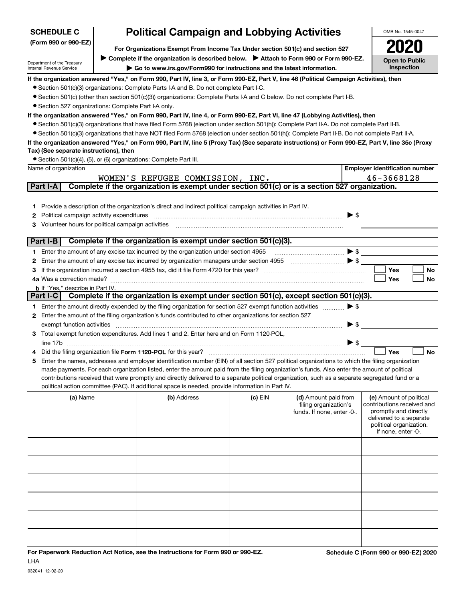| <b>SCHEDULE C</b>                                      |                                         |                                                                                                                                                                    | <b>Political Campaign and Lobbying Activities</b>                                                                                                |         |                                                                             | OMB No. 1545-0047                                                                                                                                           |  |  |  |
|--------------------------------------------------------|-----------------------------------------|--------------------------------------------------------------------------------------------------------------------------------------------------------------------|--------------------------------------------------------------------------------------------------------------------------------------------------|---------|-----------------------------------------------------------------------------|-------------------------------------------------------------------------------------------------------------------------------------------------------------|--|--|--|
|                                                        | (Form 990 or 990-EZ)                    |                                                                                                                                                                    |                                                                                                                                                  |         |                                                                             |                                                                                                                                                             |  |  |  |
|                                                        |                                         | For Organizations Exempt From Income Tax Under section 501(c) and section 527                                                                                      | <b>Open to Public</b>                                                                                                                            |         |                                                                             |                                                                                                                                                             |  |  |  |
| Department of the Treasury<br>Internal Revenue Service |                                         | Complete if the organization is described below.<br>> Attach to Form 990 or Form 990-EZ.<br>Go to www.irs.gov/Form990 for instructions and the latest information. |                                                                                                                                                  |         |                                                                             |                                                                                                                                                             |  |  |  |
|                                                        |                                         |                                                                                                                                                                    | If the organization answered "Yes," on Form 990, Part IV, line 3, or Form 990-EZ, Part V, line 46 (Political Campaign Activities), then          |         |                                                                             |                                                                                                                                                             |  |  |  |
|                                                        |                                         |                                                                                                                                                                    | • Section 501(c)(3) organizations: Complete Parts I-A and B. Do not complete Part I-C.                                                           |         |                                                                             |                                                                                                                                                             |  |  |  |
|                                                        |                                         | • Section 527 organizations: Complete Part I-A only.                                                                                                               | • Section 501(c) (other than section 501(c)(3)) organizations: Complete Parts I-A and C below. Do not complete Part I-B.                         |         |                                                                             |                                                                                                                                                             |  |  |  |
|                                                        |                                         |                                                                                                                                                                    | If the organization answered "Yes," on Form 990, Part IV, line 4, or Form 990-EZ, Part VI, line 47 (Lobbying Activities), then                   |         |                                                                             |                                                                                                                                                             |  |  |  |
|                                                        |                                         |                                                                                                                                                                    | • Section 501(c)(3) organizations that have filed Form 5768 (election under section 501(h)): Complete Part II-A. Do not complete Part II-B.      |         |                                                                             |                                                                                                                                                             |  |  |  |
|                                                        |                                         |                                                                                                                                                                    | • Section 501(c)(3) organizations that have NOT filed Form 5768 (election under section 501(h)): Complete Part II-B. Do not complete Part II-A.  |         |                                                                             |                                                                                                                                                             |  |  |  |
|                                                        |                                         |                                                                                                                                                                    | If the organization answered "Yes," on Form 990, Part IV, line 5 (Proxy Tax) (See separate instructions) or Form 990-EZ, Part V, line 35c (Proxy |         |                                                                             |                                                                                                                                                             |  |  |  |
|                                                        |                                         | Tax) (See separate instructions), then                                                                                                                             |                                                                                                                                                  |         |                                                                             |                                                                                                                                                             |  |  |  |
| Name of organization                                   |                                         |                                                                                                                                                                    | • Section 501(c)(4), (5), or (6) organizations: Complete Part III.                                                                               |         |                                                                             | <b>Employer identification number</b>                                                                                                                       |  |  |  |
|                                                        |                                         |                                                                                                                                                                    | WOMEN'S REFUGEE COMMISSION, INC.                                                                                                                 |         |                                                                             | 46-3668128                                                                                                                                                  |  |  |  |
| Part I-A                                               |                                         |                                                                                                                                                                    | Complete if the organization is exempt under section 501(c) or is a section 527 organization.                                                    |         |                                                                             |                                                                                                                                                             |  |  |  |
|                                                        |                                         |                                                                                                                                                                    |                                                                                                                                                  |         |                                                                             |                                                                                                                                                             |  |  |  |
| 1.                                                     |                                         |                                                                                                                                                                    | Provide a description of the organization's direct and indirect political campaign activities in Part IV.                                        |         |                                                                             |                                                                                                                                                             |  |  |  |
| 2                                                      |                                         | Political campaign activity expenditures                                                                                                                           |                                                                                                                                                  |         | $\blacktriangleright$ \$                                                    |                                                                                                                                                             |  |  |  |
| 3.                                                     |                                         | Volunteer hours for political campaign activities                                                                                                                  |                                                                                                                                                  |         |                                                                             |                                                                                                                                                             |  |  |  |
|                                                        |                                         |                                                                                                                                                                    |                                                                                                                                                  |         |                                                                             |                                                                                                                                                             |  |  |  |
| Part I-B                                               |                                         |                                                                                                                                                                    | Complete if the organization is exempt under section 501(c)(3).                                                                                  |         |                                                                             |                                                                                                                                                             |  |  |  |
|                                                        |                                         |                                                                                                                                                                    | 1 Enter the amount of any excise tax incurred by the organization under section 4955                                                             |         | $\blacktriangleright$ \$                                                    |                                                                                                                                                             |  |  |  |
| 2<br>3                                                 |                                         |                                                                                                                                                                    |                                                                                                                                                  |         | $\blacktriangleright$ \$                                                    | <b>Yes</b><br>No                                                                                                                                            |  |  |  |
|                                                        | 4a Was a correction made?               |                                                                                                                                                                    |                                                                                                                                                  |         |                                                                             | Yes<br>No                                                                                                                                                   |  |  |  |
|                                                        | <b>b</b> If "Yes," describe in Part IV. |                                                                                                                                                                    |                                                                                                                                                  |         |                                                                             |                                                                                                                                                             |  |  |  |
| Part I-C                                               |                                         |                                                                                                                                                                    | Complete if the organization is exempt under section 501(c), except section 501(c)(3).                                                           |         |                                                                             |                                                                                                                                                             |  |  |  |
|                                                        |                                         |                                                                                                                                                                    | 1 Enter the amount directly expended by the filing organization for section 527 exempt function activities                                       |         | $\blacktriangleright$ \$                                                    |                                                                                                                                                             |  |  |  |
|                                                        |                                         |                                                                                                                                                                    | 2 Enter the amount of the filing organization's funds contributed to other organizations for section 527                                         |         |                                                                             |                                                                                                                                                             |  |  |  |
|                                                        | exempt function activities              |                                                                                                                                                                    |                                                                                                                                                  |         | $\blacktriangleright$ \$                                                    |                                                                                                                                                             |  |  |  |
|                                                        |                                         |                                                                                                                                                                    | 3 Total exempt function expenditures. Add lines 1 and 2. Enter here and on Form 1120-POL,                                                        |         |                                                                             |                                                                                                                                                             |  |  |  |
|                                                        |                                         |                                                                                                                                                                    | Did the filing organization file Form 1120-POL for this year?                                                                                    |         | $\triangleright$ \$                                                         | Yes<br><b>No</b>                                                                                                                                            |  |  |  |
| 5                                                      |                                         |                                                                                                                                                                    | Enter the names, addresses and employer identification number (EIN) of all section 527 political organizations to which the filing organization  |         |                                                                             |                                                                                                                                                             |  |  |  |
|                                                        |                                         |                                                                                                                                                                    | made payments. For each organization listed, enter the amount paid from the filing organization's funds. Also enter the amount of political      |         |                                                                             |                                                                                                                                                             |  |  |  |
|                                                        |                                         |                                                                                                                                                                    | contributions received that were promptly and directly delivered to a separate political organization, such as a separate segregated fund or a   |         |                                                                             |                                                                                                                                                             |  |  |  |
|                                                        |                                         |                                                                                                                                                                    | political action committee (PAC). If additional space is needed, provide information in Part IV.                                                 |         |                                                                             |                                                                                                                                                             |  |  |  |
|                                                        | (a) Name                                |                                                                                                                                                                    | (b) Address                                                                                                                                      | (c) EIN | (d) Amount paid from<br>filing organization's<br>funds. If none, enter -0-. | (e) Amount of political<br>contributions received and<br>promptly and directly<br>delivered to a separate<br>political organization.<br>If none, enter -0-. |  |  |  |
|                                                        |                                         |                                                                                                                                                                    |                                                                                                                                                  |         |                                                                             |                                                                                                                                                             |  |  |  |
|                                                        |                                         |                                                                                                                                                                    |                                                                                                                                                  |         |                                                                             |                                                                                                                                                             |  |  |  |
|                                                        |                                         |                                                                                                                                                                    |                                                                                                                                                  |         |                                                                             |                                                                                                                                                             |  |  |  |
|                                                        |                                         |                                                                                                                                                                    |                                                                                                                                                  |         |                                                                             |                                                                                                                                                             |  |  |  |
|                                                        |                                         |                                                                                                                                                                    |                                                                                                                                                  |         |                                                                             |                                                                                                                                                             |  |  |  |
|                                                        |                                         |                                                                                                                                                                    |                                                                                                                                                  |         |                                                                             |                                                                                                                                                             |  |  |  |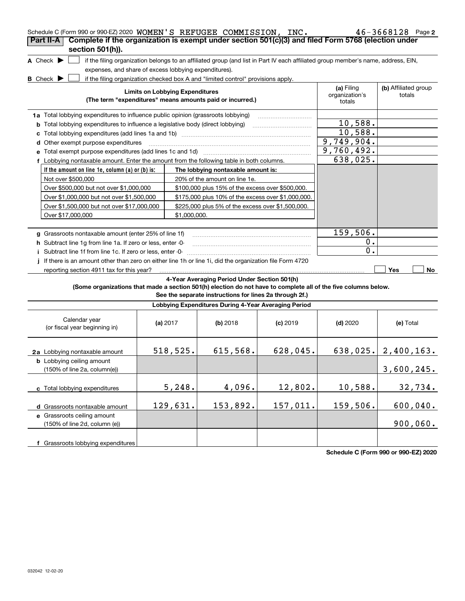| Schedule C (Form 990 or 990-EZ) 2020 WOMEN'S REFUGEE COMMISSION, INC.                                                               |                                        |                                                                                  |            |                                                                                                                                   | $46 - 3668128$ Page 2          |
|-------------------------------------------------------------------------------------------------------------------------------------|----------------------------------------|----------------------------------------------------------------------------------|------------|-----------------------------------------------------------------------------------------------------------------------------------|--------------------------------|
| Complete if the organization is exempt under section 501(c)(3) and filed Form 5768 (election under<br>Part II-A<br>section 501(h)). |                                        |                                                                                  |            |                                                                                                                                   |                                |
| A Check $\blacktriangleright$                                                                                                       |                                        |                                                                                  |            | if the filing organization belongs to an affiliated group (and list in Part IV each affiliated group member's name, address, EIN, |                                |
| expenses, and share of excess lobbying expenditures).                                                                               |                                        |                                                                                  |            |                                                                                                                                   |                                |
| $B$ Check $\blacktriangleright$                                                                                                     |                                        | if the filing organization checked box A and "limited control" provisions apply. |            |                                                                                                                                   |                                |
|                                                                                                                                     | <b>Limits on Lobbying Expenditures</b> | (The term "expenditures" means amounts paid or incurred.)                        |            | (a) Filing<br>organization's<br>totals                                                                                            | (b) Affiliated group<br>totals |
| 1a Total lobbying expenditures to influence public opinion (grassroots lobbying)                                                    |                                        |                                                                                  |            |                                                                                                                                   |                                |
| <b>b</b> Total lobbying expenditures to influence a legislative body (direct lobbying)                                              |                                        |                                                                                  |            | 10,588.                                                                                                                           |                                |
|                                                                                                                                     |                                        |                                                                                  |            | 10,588.                                                                                                                           |                                |
| d Other exempt purpose expenditures                                                                                                 |                                        |                                                                                  |            | 9,749,904.                                                                                                                        |                                |
| e Total exempt purpose expenditures (add lines 1c and 1d) manufactured contains an exercise of                                      |                                        |                                                                                  |            | 9,760,492.                                                                                                                        |                                |
| f Lobbying nontaxable amount. Enter the amount from the following table in both columns.                                            |                                        |                                                                                  |            | 638,025.                                                                                                                          |                                |
| If the amount on line 1e, column (a) or (b) is:                                                                                     |                                        | The lobbying nontaxable amount is:                                               |            |                                                                                                                                   |                                |
| Not over \$500,000                                                                                                                  |                                        | 20% of the amount on line 1e.                                                    |            |                                                                                                                                   |                                |
| Over \$500,000 but not over \$1,000,000                                                                                             |                                        | \$100,000 plus 15% of the excess over \$500,000.                                 |            |                                                                                                                                   |                                |
| Over \$1,000,000 but not over \$1,500,000                                                                                           |                                        | \$175,000 plus 10% of the excess over \$1,000,000.                               |            |                                                                                                                                   |                                |
| Over \$1,500,000 but not over \$17,000,000                                                                                          |                                        | \$225,000 plus 5% of the excess over \$1,500,000.                                |            |                                                                                                                                   |                                |
| Over \$17,000,000                                                                                                                   | \$1.000.000.                           |                                                                                  |            |                                                                                                                                   |                                |
|                                                                                                                                     |                                        |                                                                                  |            |                                                                                                                                   |                                |
| g Grassroots nontaxable amount (enter 25% of line 1f)                                                                               |                                        |                                                                                  |            | 159,506.                                                                                                                          |                                |
| h Subtract line 1g from line 1a. If zero or less, enter -0-                                                                         |                                        |                                                                                  |            | $0$ .                                                                                                                             |                                |
| Subtract line 1f from line 1c. If zero or less, enter -0-                                                                           |                                        |                                                                                  |            | 0.                                                                                                                                |                                |
| If there is an amount other than zero on either line 1h or line 1i, did the organization file Form 4720                             |                                        |                                                                                  |            |                                                                                                                                   |                                |
| reporting section 4911 tax for this year?                                                                                           |                                        |                                                                                  |            |                                                                                                                                   | Yes<br>No                      |
|                                                                                                                                     |                                        | 4-Year Averaging Period Under Section 501(h)                                     |            |                                                                                                                                   |                                |
| (Some organizations that made a section 501(h) election do not have to complete all of the five columns below.                      |                                        | See the separate instructions for lines 2a through 2f.)                          |            |                                                                                                                                   |                                |
|                                                                                                                                     |                                        | Lobbying Expenditures During 4-Year Averaging Period                             |            |                                                                                                                                   |                                |
| Calendar year<br>(or fiscal year beginning in)                                                                                      | (a) $2017$                             | $(b)$ 2018                                                                       | $(c)$ 2019 | $(d)$ 2020                                                                                                                        | (e) Total                      |
| 2a Lobbying nontaxable amount                                                                                                       | 518,525.                               | 615,568.                                                                         | 628,045.   |                                                                                                                                   | $638,025.$ 2,400,163.          |
| <b>b</b> Lobbying ceiling amount<br>(150% of line 2a, column(e))                                                                    |                                        |                                                                                  |            |                                                                                                                                   | 3,600,245.                     |
| c Total lobbying expenditures                                                                                                       | 5,248.                                 | 4,096.                                                                           | 12,802.    | 10,588.                                                                                                                           | 32,734.                        |
| d Grassroots nontaxable amount                                                                                                      | 129,631.                               | 153,892.                                                                         | 157,011.   | 159,506.                                                                                                                          | 600,040.                       |
| e Grassroots ceiling amount                                                                                                         |                                        |                                                                                  |            |                                                                                                                                   |                                |
| (150% of line 2d, column (e))                                                                                                       |                                        |                                                                                  |            |                                                                                                                                   | 900,060.                       |
| f Grassroots lobbying expenditures                                                                                                  |                                        |                                                                                  |            |                                                                                                                                   |                                |

**Schedule C (Form 990 or 990-EZ) 2020**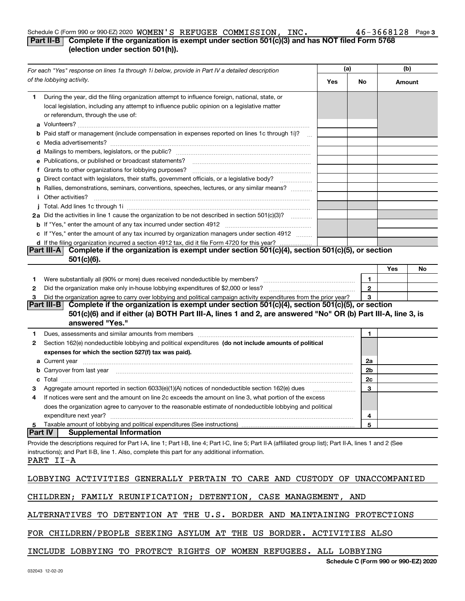#### Schedule C (Form 990 or 990-EZ) 2020  $~\texttt{WOMEN}~\texttt{S}$  REFUGEE COMMISSION, INC  $\bm{\cdot}$   $~\bm{\cdot}$   $~\bm{\cdot}$   $~\bm{\cdot}$   $~\bm{\cdot}$   $~\bm{\cdot}$   $~\bm{\cdot}$   $~\bm{\cdot}$   $~\bm{\cdot}$   $~\bm{\cdot}$   $~\bm{\cdot}$   $~\bm{\cdot}$   $~\bm{\cdot}$   $~\bm{\cdot}$   $~\bm{\cdot}$   $~\bm{\cdot}$

#### **3**

### **Part II-B** Complete if the organization is exempt under section 501(c)(3) and has NOT filed Form 5768 **(election under section 501(h)).**

| For each "Yes" response on lines 1a through 1i below, provide in Part IV a detailed description                                                                                                                                                                             | (a) |              | (b)    |                                      |  |
|-----------------------------------------------------------------------------------------------------------------------------------------------------------------------------------------------------------------------------------------------------------------------------|-----|--------------|--------|--------------------------------------|--|
| of the lobbying activity.                                                                                                                                                                                                                                                   | Yes | No           | Amount |                                      |  |
| 1 During the year, did the filing organization attempt to influence foreign, national, state, or<br>local legislation, including any attempt to influence public opinion on a legislative matter<br>or referendum, through the use of:                                      |     |              |        |                                      |  |
| b Paid staff or management (include compensation in expenses reported on lines 1c through 1i)?                                                                                                                                                                              |     |              |        |                                      |  |
|                                                                                                                                                                                                                                                                             |     |              |        |                                      |  |
|                                                                                                                                                                                                                                                                             |     |              |        |                                      |  |
| e Publications, or published or broadcast statements?                                                                                                                                                                                                                       |     |              |        |                                      |  |
| f Grants to other organizations for lobbying purposes?                                                                                                                                                                                                                      |     |              |        |                                      |  |
| g Direct contact with legislators, their staffs, government officials, or a legislative body?                                                                                                                                                                               |     |              |        |                                      |  |
| h Rallies, demonstrations, seminars, conventions, speeches, lectures, or any similar means?                                                                                                                                                                                 |     |              |        |                                      |  |
| <i>i</i> Other activities?                                                                                                                                                                                                                                                  |     |              |        |                                      |  |
|                                                                                                                                                                                                                                                                             |     |              |        |                                      |  |
| 2a Did the activities in line 1 cause the organization to be not described in section 501(c)(3)?                                                                                                                                                                            |     |              |        |                                      |  |
|                                                                                                                                                                                                                                                                             |     |              |        |                                      |  |
| c If "Yes," enter the amount of any tax incurred by organization managers under section 4912                                                                                                                                                                                |     |              |        |                                      |  |
| d If the filing organization incurred a section 4912 tax, did it file Form 4720 for this year?                                                                                                                                                                              |     |              |        |                                      |  |
| Part III-A Complete if the organization is exempt under section 501(c)(4), section 501(c)(5), or section<br>$501(c)(6)$ .                                                                                                                                                   |     |              |        |                                      |  |
|                                                                                                                                                                                                                                                                             |     |              | Yes    | No                                   |  |
| 1.                                                                                                                                                                                                                                                                          |     | 1            |        |                                      |  |
| 2                                                                                                                                                                                                                                                                           |     | $\mathbf{2}$ |        |                                      |  |
| Did the organization agree to carry over lobbying and political campaign activity expenditures from the prior year?<br>З                                                                                                                                                    |     | 3            |        |                                      |  |
| Part III-B Complete if the organization is exempt under section $501(c)(4)$ , section $501(c)(5)$ , or section<br>501(c)(6) and if either (a) BOTH Part III-A, lines 1 and 2, are answered "No" OR (b) Part III-A, line 3, is<br>answered "Yes."                            |     |              |        |                                      |  |
| 1                                                                                                                                                                                                                                                                           |     | 1            |        |                                      |  |
| Section 162(e) nondeductible lobbying and political expenditures (do not include amounts of political<br>2                                                                                                                                                                  |     |              |        |                                      |  |
| expenses for which the section 527(f) tax was paid).                                                                                                                                                                                                                        |     |              |        |                                      |  |
|                                                                                                                                                                                                                                                                             |     | 2a           |        |                                      |  |
| b Carryover from last year manufactured and contract the contract of the contract of the contract of the contract of contract of contract of contract of contract of contract of contract of contract of contract of contract                                               |     | 2b           |        |                                      |  |
| c                                                                                                                                                                                                                                                                           |     | 2c           |        |                                      |  |
| Aggregate amount reported in section 6033(e)(1)(A) notices of nondeductible section 162(e) dues                                                                                                                                                                             |     | 3            |        |                                      |  |
| If notices were sent and the amount on line 2c exceeds the amount on line 3, what portion of the excess<br>4                                                                                                                                                                |     |              |        |                                      |  |
| does the organization agree to carryover to the reasonable estimate of nondeductible lobbying and political                                                                                                                                                                 |     |              |        |                                      |  |
| expenditure next year?                                                                                                                                                                                                                                                      |     | 4            |        |                                      |  |
| Taxable amount of lobbying and political expenditures (See instructions)<br>5                                                                                                                                                                                               |     | 5            |        |                                      |  |
| <b>Supplemental Information</b><br><b>Part IV</b>                                                                                                                                                                                                                           |     |              |        |                                      |  |
| Provide the descriptions required for Part I-A, line 1; Part I-B, line 4; Part I-C, line 5; Part II-A (affiliated group list); Part II-A, lines 1 and 2 (See<br>instructions); and Part II-B, line 1. Also, complete this part for any additional information.<br>PART II-A |     |              |        |                                      |  |
| LOBBYING ACTIVITIES GENERALLY PERTAIN TO CARE AND CUSTODY OF UNACCOMPANIED                                                                                                                                                                                                  |     |              |        |                                      |  |
| CHILDREN; FAMILY REUNIFICATION; DETENTION, CASE MANAGEMENT, AND                                                                                                                                                                                                             |     |              |        |                                      |  |
| ALTERNATIVES TO DETENTION AT THE U.S. BORDER AND MAINTAINING PROTECTIONS                                                                                                                                                                                                    |     |              |        |                                      |  |
| FOR CHILDREN/PEOPLE SEEKING ASYLUM AT THE US BORDER. ACTIVITIES ALSO                                                                                                                                                                                                        |     |              |        |                                      |  |
| INCLUDE LOBBYING TO PROTECT RIGHTS OF WOMEN REFUGEES. ALL LOBBYING                                                                                                                                                                                                          |     |              |        |                                      |  |
|                                                                                                                                                                                                                                                                             |     |              |        | Schedule C (Form 990 or 990-EZ) 2020 |  |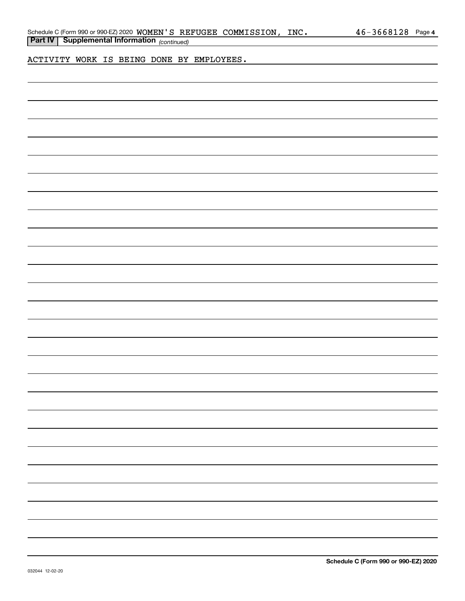ACTIVITY WORK IS BEING DONE BY EMPLOYEES.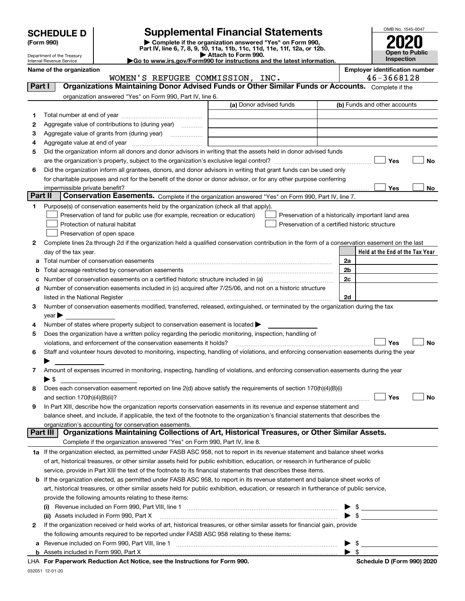| <b>SCHEDULE D</b> |  |
|-------------------|--|
|-------------------|--|

# **SCHEDULE D Supplemental Financial Statements**

(Form 990)<br>
Pepartment of the Treasury<br>
Department of the Treasury<br>
Department of the Treasury<br>
Department of the Treasury<br> **Co to www.irs.gov/Form990 for instructions and the latest information.**<br> **Co to www.irs.gov/Form9** 



Department of the Treasury Internal Revenue Service **Name of the organization Employer identification number**

|                 | WOMEN'S REFUGEE COMMISSION, INC.                                                                                                               |                         | 46-3668128                                                      |
|-----------------|------------------------------------------------------------------------------------------------------------------------------------------------|-------------------------|-----------------------------------------------------------------|
| Part I          | Organizations Maintaining Donor Advised Funds or Other Similar Funds or Accounts. Complete if the                                              |                         |                                                                 |
|                 | organization answered "Yes" on Form 990, Part IV, line 6.                                                                                      |                         |                                                                 |
|                 |                                                                                                                                                | (a) Donor advised funds | (b) Funds and other accounts                                    |
| 1               |                                                                                                                                                |                         |                                                                 |
| 2               | Aggregate value of contributions to (during year)                                                                                              |                         |                                                                 |
| з               | Aggregate value of grants from (during year)                                                                                                   |                         |                                                                 |
| 4               |                                                                                                                                                |                         |                                                                 |
| 5               | Did the organization inform all donors and donor advisors in writing that the assets held in donor advised funds                               |                         |                                                                 |
|                 |                                                                                                                                                |                         | Yes<br>No                                                       |
| 6               | Did the organization inform all grantees, donors, and donor advisors in writing that grant funds can be used only                              |                         |                                                                 |
|                 | for charitable purposes and not for the benefit of the donor or donor advisor, or for any other purpose conferring                             |                         |                                                                 |
|                 |                                                                                                                                                |                         |                                                                 |
| <b>Part II</b>  | impermissible private benefit?<br>Conservation Easements. Complete if the organization answered "Yes" on Form 990, Part IV, line 7.            |                         | Yes<br>No                                                       |
|                 |                                                                                                                                                |                         |                                                                 |
| 1.              | Purpose(s) of conservation easements held by the organization (check all that apply).                                                          |                         |                                                                 |
|                 | Preservation of land for public use (for example, recreation or education)                                                                     |                         | Preservation of a historically important land area              |
|                 | Protection of natural habitat                                                                                                                  |                         | Preservation of a certified historic structure                  |
|                 | Preservation of open space                                                                                                                     |                         |                                                                 |
| 2               | Complete lines 2a through 2d if the organization held a qualified conservation contribution in the form of a conservation easement on the last |                         |                                                                 |
|                 | day of the tax year.                                                                                                                           |                         | Held at the End of the Tax Year                                 |
| а               | Total number of conservation easements                                                                                                         |                         | 2a                                                              |
| b               | Total acreage restricted by conservation easements                                                                                             |                         | 2b                                                              |
| c               | Number of conservation easements on a certified historic structure included in (a) manufacture of conservation                                 |                         | 2c                                                              |
| d               | Number of conservation easements included in (c) acquired after 7/25/06, and not on a historic structure                                       |                         |                                                                 |
|                 | listed in the National Register [111] March 1999 State of March 1999 State of March 1999 State of March 1999 St                                |                         | 2d                                                              |
| 3               | Number of conservation easements modified, transferred, released, extinguished, or terminated by the organization during the tax               |                         |                                                                 |
|                 | $year \blacktriangleright$                                                                                                                     |                         |                                                                 |
| 4               | Number of states where property subject to conservation easement is located >                                                                  |                         |                                                                 |
| 5               | Does the organization have a written policy regarding the periodic monitoring, inspection, handling of                                         |                         |                                                                 |
|                 | violations, and enforcement of the conservation easements it holds?                                                                            |                         | Yes<br><b>No</b>                                                |
| 6               | Staff and volunteer hours devoted to monitoring, inspecting, handling of violations, and enforcing conservation easements during the year      |                         |                                                                 |
|                 |                                                                                                                                                |                         |                                                                 |
| 7               | Amount of expenses incurred in monitoring, inspecting, handling of violations, and enforcing conservation easements during the year            |                         |                                                                 |
|                 | $\blacktriangleright$ \$                                                                                                                       |                         |                                                                 |
| 8               | Does each conservation easement reported on line 2(d) above satisfy the requirements of section 170(h)(4)(B)(i)                                |                         |                                                                 |
|                 |                                                                                                                                                |                         | Yes<br>No                                                       |
| 9               | In Part XIII, describe how the organization reports conservation easements in its revenue and expense statement and                            |                         |                                                                 |
|                 | balance sheet, and include, if applicable, the text of the footnote to the organization's financial statements that describes the              |                         |                                                                 |
|                 | organization's accounting for conservation easements.                                                                                          |                         |                                                                 |
| <b>Part III</b> | Organizations Maintaining Collections of Art, Historical Treasures, or Other Similar Assets.                                                   |                         |                                                                 |
|                 | Complete if the organization answered "Yes" on Form 990, Part IV, line 8.                                                                      |                         |                                                                 |
|                 | 1a If the organization elected, as permitted under FASB ASC 958, not to report in its revenue statement and balance sheet works                |                         |                                                                 |
|                 | of art, historical treasures, or other similar assets held for public exhibition, education, or research in furtherance of public              |                         |                                                                 |
|                 | service, provide in Part XIII the text of the footnote to its financial statements that describes these items.                                 |                         |                                                                 |
|                 | b If the organization elected, as permitted under FASB ASC 958, to report in its revenue statement and balance sheet works of                  |                         |                                                                 |
|                 | art, historical treasures, or other similar assets held for public exhibition, education, or research in furtherance of public service,        |                         |                                                                 |
|                 |                                                                                                                                                |                         |                                                                 |
|                 | provide the following amounts relating to these items:                                                                                         |                         |                                                                 |
|                 |                                                                                                                                                |                         | $\mathfrak{S}$                                                  |
|                 | (ii) Assets included in Form 990, Part X                                                                                                       |                         | $\bullet$ \$                                                    |
| 2               | If the organization received or held works of art, historical treasures, or other similar assets for financial gain, provide                   |                         |                                                                 |
|                 | the following amounts required to be reported under FASB ASC 958 relating to these items:                                                      |                         |                                                                 |
| а               |                                                                                                                                                |                         | $\triangleright$ \$                                             |
|                 | tion Ast Nation, one the Instructions for Form 000.                                                                                            |                         | $\blacktriangleright$ s<br><b>Calcedule D. (Fause 000) 0000</b> |
|                 |                                                                                                                                                |                         |                                                                 |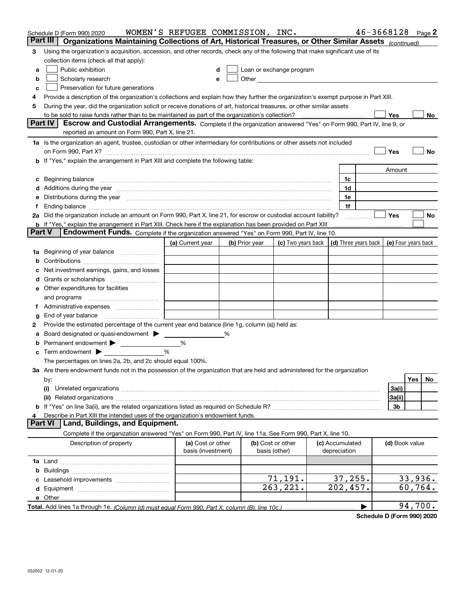|               | Schedule D (Form 990) 2020<br>Part III                                                                                                                                                                                                     | WOMEN'S REFUGEE COMMISSION, INC. |                |                   |                          |                      | $46 - 3668128$      |         | Page 2 |
|---------------|--------------------------------------------------------------------------------------------------------------------------------------------------------------------------------------------------------------------------------------------|----------------------------------|----------------|-------------------|--------------------------|----------------------|---------------------|---------|--------|
| 3             | Organizations Maintaining Collections of Art, Historical Treasures, or Other Similar Assets (continued)<br>Using the organization's acquisition, accession, and other records, check any of the following that make significant use of its |                                  |                |                   |                          |                      |                     |         |        |
|               | collection items (check all that apply):                                                                                                                                                                                                   |                                  |                |                   |                          |                      |                     |         |        |
| a             | Public exhibition                                                                                                                                                                                                                          |                                  |                |                   | Loan or exchange program |                      |                     |         |        |
| b             | Scholarly research                                                                                                                                                                                                                         | e                                |                |                   |                          |                      |                     |         |        |
| c             | Preservation for future generations                                                                                                                                                                                                        |                                  |                |                   |                          |                      |                     |         |        |
| 4             | Provide a description of the organization's collections and explain how they further the organization's exempt purpose in Part XIII.                                                                                                       |                                  |                |                   |                          |                      |                     |         |        |
| 5             | During the year, did the organization solicit or receive donations of art, historical treasures, or other similar assets                                                                                                                   |                                  |                |                   |                          |                      |                     |         |        |
|               | to be sold to raise funds rather than to be maintained as part of the organization's collection?                                                                                                                                           |                                  |                |                   |                          |                      | Yes                 |         | No     |
|               | <b>Part IV</b><br>Escrow and Custodial Arrangements. Complete if the organization answered "Yes" on Form 990, Part IV, line 9, or                                                                                                          |                                  |                |                   |                          |                      |                     |         |        |
|               | reported an amount on Form 990, Part X, line 21.                                                                                                                                                                                           |                                  |                |                   |                          |                      |                     |         |        |
|               | 1a Is the organization an agent, trustee, custodian or other intermediary for contributions or other assets not included                                                                                                                   |                                  |                |                   |                          |                      |                     |         |        |
|               | on Form 990, Part X? [11] matter and the contract of the contract of the contract of the contract of the contract of the contract of the contract of the contract of the contract of the contract of the contract of the contr             |                                  |                |                   |                          |                      | Yes                 |         | No     |
|               | b If "Yes," explain the arrangement in Part XIII and complete the following table:                                                                                                                                                         |                                  |                |                   |                          |                      |                     |         |        |
|               |                                                                                                                                                                                                                                            |                                  |                |                   |                          |                      | Amount              |         |        |
|               | c Beginning balance measurements and the contract of the contract of the contract of the contract of the contract of the contract of the contract of the contract of the contract of the contract of the contract of the contr             |                                  |                |                   |                          | 1c                   |                     |         |        |
|               | d Additions during the year measurements are all an according to the year measurement of the year measurement                                                                                                                              |                                  |                |                   |                          | 1d                   |                     |         |        |
|               | e Distributions during the year manufactured and continuum control of the control of the control of the control of the control of the control of the control of the control of the control of the control of the control of th             |                                  |                |                   |                          | 1e                   |                     |         |        |
|               | 2a Did the organization include an amount on Form 990, Part X, line 21, for escrow or custodial account liability?                                                                                                                         |                                  |                |                   |                          | 1f                   | Yes                 |         | No     |
|               | b If "Yes," explain the arrangement in Part XIII. Check here if the explanation has been provided on Part XIII                                                                                                                             |                                  |                |                   |                          |                      |                     |         |        |
| <b>Part V</b> | Endowment Funds. Complete if the organization answered "Yes" on Form 990, Part IV, line 10.                                                                                                                                                |                                  |                |                   |                          |                      |                     |         |        |
|               |                                                                                                                                                                                                                                            | (a) Current year                 | (b) Prior year |                   | (c) Two years back       | (d) Three years back | (e) Four years back |         |        |
|               | 1a Beginning of year balance                                                                                                                                                                                                               |                                  |                |                   |                          |                      |                     |         |        |
| b             |                                                                                                                                                                                                                                            |                                  |                |                   |                          |                      |                     |         |        |
| c             | Net investment earnings, gains, and losses                                                                                                                                                                                                 |                                  |                |                   |                          |                      |                     |         |        |
|               |                                                                                                                                                                                                                                            |                                  |                |                   |                          |                      |                     |         |        |
|               | e Other expenditures for facilities                                                                                                                                                                                                        |                                  |                |                   |                          |                      |                     |         |        |
|               |                                                                                                                                                                                                                                            |                                  |                |                   |                          |                      |                     |         |        |
|               |                                                                                                                                                                                                                                            |                                  |                |                   |                          |                      |                     |         |        |
| g             |                                                                                                                                                                                                                                            |                                  |                |                   |                          |                      |                     |         |        |
| 2             | Provide the estimated percentage of the current year end balance (line 1g, column (a)) held as:                                                                                                                                            |                                  |                |                   |                          |                      |                     |         |        |
| а             | Board designated or quasi-endowment > ______                                                                                                                                                                                               |                                  | %              |                   |                          |                      |                     |         |        |
|               | <b>b</b> Permanent endowment $\blacktriangleright$                                                                                                                                                                                         | %                                |                |                   |                          |                      |                     |         |        |
|               | <b>c</b> Term endowment $\blacktriangleright$                                                                                                                                                                                              | %                                |                |                   |                          |                      |                     |         |        |
|               | The percentages on lines 2a, 2b, and 2c should equal 100%.                                                                                                                                                                                 |                                  |                |                   |                          |                      |                     |         |        |
|               | 3a Are there endowment funds not in the possession of the organization that are held and administered for the organization                                                                                                                 |                                  |                |                   |                          |                      |                     |         |        |
|               | by:                                                                                                                                                                                                                                        |                                  |                |                   |                          |                      |                     | Yes     | No     |
|               | (i)                                                                                                                                                                                                                                        |                                  |                |                   |                          |                      | 3a(i)<br>3a(ii)     |         |        |
|               |                                                                                                                                                                                                                                            |                                  |                |                   |                          |                      | 3b                  |         |        |
| 4             | Describe in Part XIII the intended uses of the organization's endowment funds.                                                                                                                                                             |                                  |                |                   |                          |                      |                     |         |        |
|               | Land, Buildings, and Equipment.<br><b>Part VI</b>                                                                                                                                                                                          |                                  |                |                   |                          |                      |                     |         |        |
|               | Complete if the organization answered "Yes" on Form 990, Part IV, line 11a. See Form 990, Part X, line 10.                                                                                                                                 |                                  |                |                   |                          |                      |                     |         |        |
|               | Description of property                                                                                                                                                                                                                    | (a) Cost or other                |                | (b) Cost or other |                          | (c) Accumulated      | (d) Book value      |         |        |
|               |                                                                                                                                                                                                                                            | basis (investment)               |                | basis (other)     |                          | depreciation         |                     |         |        |
|               |                                                                                                                                                                                                                                            |                                  |                |                   |                          |                      |                     |         |        |
|               |                                                                                                                                                                                                                                            |                                  |                |                   |                          |                      |                     |         |        |
|               |                                                                                                                                                                                                                                            |                                  |                |                   | 71,191.                  | 37, 255.             |                     | 33,936. |        |
|               |                                                                                                                                                                                                                                            |                                  |                |                   | 263,221.                 | 202,457.             |                     | 60,764. |        |
|               |                                                                                                                                                                                                                                            |                                  |                |                   |                          |                      |                     |         |        |
|               |                                                                                                                                                                                                                                            |                                  |                |                   |                          |                      |                     | 94,700. |        |

**Schedule D (Form 990) 2020**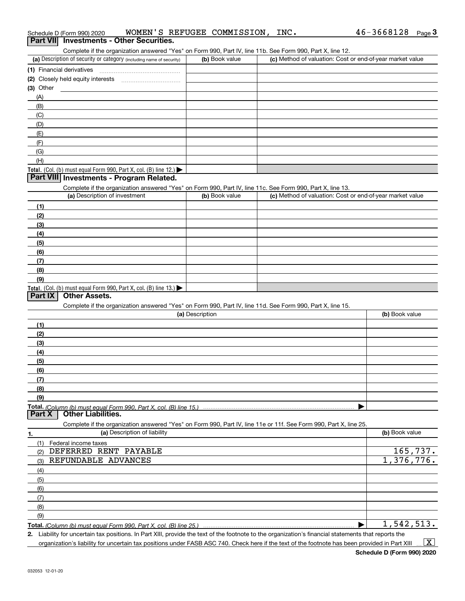| Complete if the organization answered "Yes" on Form 990, Part IV, line 11b. See Form 990, Part X, line 12.                                        |                 |                                                           |                |
|---------------------------------------------------------------------------------------------------------------------------------------------------|-----------------|-----------------------------------------------------------|----------------|
| (a) Description of security or category (including name of security)                                                                              | (b) Book value  | (c) Method of valuation: Cost or end-of-year market value |                |
| (1) Financial derivatives                                                                                                                         |                 |                                                           |                |
| (2) Closely held equity interests                                                                                                                 |                 |                                                           |                |
| $(3)$ Other                                                                                                                                       |                 |                                                           |                |
| (A)                                                                                                                                               |                 |                                                           |                |
| (B)                                                                                                                                               |                 |                                                           |                |
| (C)                                                                                                                                               |                 |                                                           |                |
| (D)                                                                                                                                               |                 |                                                           |                |
| (E)                                                                                                                                               |                 |                                                           |                |
| (F)                                                                                                                                               |                 |                                                           |                |
| (G)                                                                                                                                               |                 |                                                           |                |
| (H)                                                                                                                                               |                 |                                                           |                |
| Total. (Col. (b) must equal Form 990, Part X, col. (B) line 12.)                                                                                  |                 |                                                           |                |
| Part VIII Investments - Program Related.                                                                                                          |                 |                                                           |                |
| Complete if the organization answered "Yes" on Form 990, Part IV, line 11c. See Form 990, Part X, line 13.                                        |                 |                                                           |                |
| (a) Description of investment                                                                                                                     | (b) Book value  | (c) Method of valuation: Cost or end-of-year market value |                |
| (1)                                                                                                                                               |                 |                                                           |                |
| (2)                                                                                                                                               |                 |                                                           |                |
| (3)                                                                                                                                               |                 |                                                           |                |
| (4)                                                                                                                                               |                 |                                                           |                |
| (5)                                                                                                                                               |                 |                                                           |                |
| (6)                                                                                                                                               |                 |                                                           |                |
| (7)                                                                                                                                               |                 |                                                           |                |
| (8)                                                                                                                                               |                 |                                                           |                |
| (9)                                                                                                                                               |                 |                                                           |                |
| Total. (Col. (b) must equal Form 990, Part X, col. (B) line 13.)                                                                                  |                 |                                                           |                |
| <b>Other Assets.</b><br>Part IX                                                                                                                   |                 |                                                           |                |
| Complete if the organization answered "Yes" on Form 990, Part IV, line 11d. See Form 990, Part X, line 15.                                        |                 |                                                           |                |
|                                                                                                                                                   | (a) Description |                                                           | (b) Book value |
| (1)                                                                                                                                               |                 |                                                           |                |
| (2)                                                                                                                                               |                 |                                                           |                |
| (3)                                                                                                                                               |                 |                                                           |                |
|                                                                                                                                                   |                 |                                                           |                |
| (4)                                                                                                                                               |                 |                                                           |                |
| (5)                                                                                                                                               |                 |                                                           |                |
| (6)                                                                                                                                               |                 |                                                           |                |
| (7)                                                                                                                                               |                 |                                                           |                |
| (8)                                                                                                                                               |                 |                                                           |                |
| (9)                                                                                                                                               |                 |                                                           |                |
| <b>Other Liabilities.</b><br>Part X                                                                                                               |                 |                                                           |                |
|                                                                                                                                                   |                 |                                                           |                |
| Complete if the organization answered "Yes" on Form 990, Part IV, line 11e or 11f. See Form 990, Part X, line 25.<br>(a) Description of liability |                 |                                                           | (b) Book value |
| 1.                                                                                                                                                |                 |                                                           |                |
| (1)<br>Federal income taxes<br>DEFERRED RENT PAYABLE                                                                                              |                 |                                                           |                |
| (2)<br>REFUNDABLE ADVANCES                                                                                                                        |                 |                                                           | 165,737.       |
| (3)                                                                                                                                               |                 |                                                           | 1,376,776.     |
| (4)                                                                                                                                               |                 |                                                           |                |
| (5)                                                                                                                                               |                 |                                                           |                |
| (6)                                                                                                                                               |                 |                                                           |                |
| (7)                                                                                                                                               |                 |                                                           |                |
| (8)                                                                                                                                               |                 |                                                           |                |
| (9)                                                                                                                                               |                 |                                                           |                |
| Total. (Column (b) must equal Form 990, Part X, col. (B) line 25.)                                                                                |                 |                                                           | 1,542,513.     |

Schedule D (Form 990) 2020  ${\tt WOMEN\,}$   ${\tt S\,}\,$   ${\tt REFUGEE\,}\,$   ${\tt COMMISSION\,}$  ,  ${\tt INC\,}$  ,  ${\tt WCA\,}\,$   ${\tt VAC\,}$  ,  ${\tt VAC\,}$  ,  ${\tt VAC\,}$  ,  ${\tt VAC\,}$  ,  ${\tt VAC\,}$ 

Schedule D (Form 990) 2020 WOMEN'S REFUGEE COMMISSION, INC.<br>**Part VII** Investments - Other Securities.

**2.** Liability for uncertain tax positions. In Part XIII, provide the text of the footnote to the organization's financial statements that reports the organization's liability for uncertain tax positions under FASB ASC 740. Check here if the text of the footnote has been provided in Part XIII  $\vert$  X  $\vert$ 

46-3668128 Page 3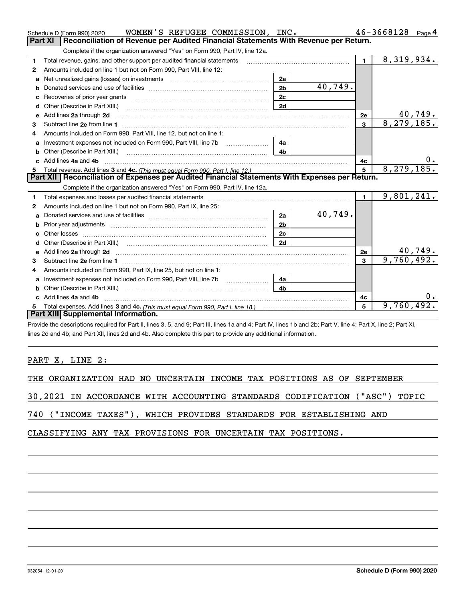|    | WOMEN'S REFUGEE COMMISSION, INC.<br>Schedule D (Form 990) 2020                                                                                                                                                                      |                |         |                | 46-3668128<br>Page 4        |
|----|-------------------------------------------------------------------------------------------------------------------------------------------------------------------------------------------------------------------------------------|----------------|---------|----------------|-----------------------------|
|    | <b>Part XI</b><br>Reconciliation of Revenue per Audited Financial Statements With Revenue per Return.                                                                                                                               |                |         |                |                             |
|    | Complete if the organization answered "Yes" on Form 990, Part IV, line 12a.                                                                                                                                                         |                |         |                |                             |
| 1  | Total revenue, gains, and other support per audited financial statements                                                                                                                                                            |                |         | $\blacksquare$ | 8,319,934.                  |
| 2  | Amounts included on line 1 but not on Form 990, Part VIII, line 12:                                                                                                                                                                 |                |         |                |                             |
| a  | Net unrealized gains (losses) on investments [11] matter contracts and the unrealized gains (losses) on investments                                                                                                                 | 2a             |         |                |                             |
|    |                                                                                                                                                                                                                                     | 2 <sub>b</sub> | 40,749. |                |                             |
|    |                                                                                                                                                                                                                                     | 2c             |         |                |                             |
| d  |                                                                                                                                                                                                                                     | 2d             |         |                |                             |
| е  | Add lines 2a through 2d                                                                                                                                                                                                             |                |         | <b>2e</b>      | $\frac{40,749}{8,279,185}$  |
| 3  |                                                                                                                                                                                                                                     |                |         | $\mathbf{3}$   |                             |
| 4  | Amounts included on Form 990, Part VIII, line 12, but not on line 1:                                                                                                                                                                |                |         |                |                             |
|    |                                                                                                                                                                                                                                     | 4a             |         |                |                             |
|    | Other (Describe in Part XIII.)                                                                                                                                                                                                      | 4 <sub>b</sub> |         |                |                             |
| c. | Add lines 4a and 4b                                                                                                                                                                                                                 |                |         | 4c             |                             |
|    |                                                                                                                                                                                                                                     |                |         | 5              | 8, 279, 185.                |
|    |                                                                                                                                                                                                                                     |                |         |                |                             |
|    | Part XII   Reconciliation of Expenses per Audited Financial Statements With Expenses per Return.                                                                                                                                    |                |         |                |                             |
|    | Complete if the organization answered "Yes" on Form 990, Part IV, line 12a.                                                                                                                                                         |                |         |                |                             |
| 1  | Total expenses and losses per audited financial statements                                                                                                                                                                          |                |         | $\mathbf{1}$   | 9,801,241.                  |
| 2  | Amounts included on line 1 but not on Form 990, Part IX, line 25:                                                                                                                                                                   |                |         |                |                             |
| a  |                                                                                                                                                                                                                                     | 2a             | 40,749. |                |                             |
|    |                                                                                                                                                                                                                                     | 2 <sub>b</sub> |         |                |                             |
|    |                                                                                                                                                                                                                                     | 2c             |         |                |                             |
| d  |                                                                                                                                                                                                                                     | 2d             |         |                |                             |
| e  | Add lines 2a through 2d <b>contained a contained a contained a contained a</b> contained a contact the set of the set of the set of the set of the set of the set of the set of the set of the set of the set of the set of the set |                |         | 2e             |                             |
| 3  |                                                                                                                                                                                                                                     |                |         | 3              | $\frac{40,749}{9,760,492.}$ |
| 4  | Amounts included on Form 990, Part IX, line 25, but not on line 1:                                                                                                                                                                  |                |         |                |                             |
|    |                                                                                                                                                                                                                                     | 4a             |         |                |                             |
| b  | Other (Describe in Part XIII.)                                                                                                                                                                                                      | 4b             |         |                |                             |
| c  | Add lines 4a and 4b                                                                                                                                                                                                                 |                |         | 4с             |                             |
|    | Part XIII Supplemental Information.                                                                                                                                                                                                 |                |         | 5              | 9,760,492.                  |

Provide the descriptions required for Part II, lines 3, 5, and 9; Part III, lines 1a and 4; Part IV, lines 1b and 2b; Part V, line 4; Part X, line 2; Part XI, lines 2d and 4b; and Part XII, lines 2d and 4b. Also complete this part to provide any additional information.

PART X, LINE 2:

THE ORGANIZATION HAD NO UNCERTAIN INCOME TAX POSITIONS AS OF SEPTEMBER

30,2021 IN ACCORDANCE WITH ACCOUNTING STANDARDS CODIFICATION ("ASC") TOPIC

740 ("INCOME TAXES"), WHICH PROVIDES STANDARDS FOR ESTABLISHING AND

CLASSIFYING ANY TAX PROVISIONS FOR UNCERTAIN TAX POSITIONS.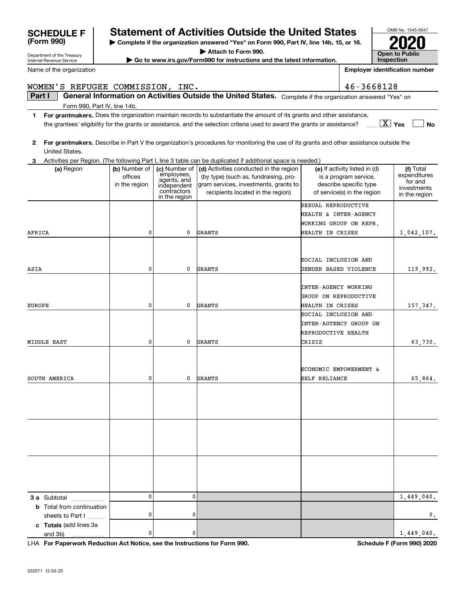| WOMEN'S REFUGEE COMMISSION, INC. |               |                              |                                                                                                                                         |                        | 46-3668128                    |                              |
|----------------------------------|---------------|------------------------------|-----------------------------------------------------------------------------------------------------------------------------------------|------------------------|-------------------------------|------------------------------|
| Part I                           |               |                              | General Information on Activities Outside the United States. Complete if the organization answered "Yes" on                             |                        |                               |                              |
| Form 990, Part IV, line 14b.     |               |                              |                                                                                                                                         |                        |                               |                              |
| 1                                |               |                              | For grantmakers. Does the organization maintain records to substantiate the amount of its grants and other assistance,                  |                        |                               |                              |
|                                  |               |                              | the grantees' eligibility for the grants or assistance, and the selection criteria used to award the grants or assistance?              |                        |                               | $\boxed{\text{X}}$ Yes<br>No |
| $\mathbf{2}$                     |               |                              | For grantmakers. Describe in Part V the organization's procedures for monitoring the use of its grants and other assistance outside the |                        |                               |                              |
| United States.                   |               |                              |                                                                                                                                         |                        |                               |                              |
| З.                               |               |                              | Activities per Region. (The following Part I, line 3 table can be duplicated if additional space is needed.)                            |                        |                               |                              |
| (a) Region                       | (b) Number of | (c) Number of                | (d) Activities conducted in the region                                                                                                  |                        | (e) If activity listed in (d) | (f) Total                    |
|                                  | offices       | employees,<br>agents, and    | (by type) (such as, fundraising, pro-                                                                                                   |                        | is a program service,         | expenditures<br>for and      |
|                                  | in the region | independent                  | gram services, investments, grants to                                                                                                   |                        | describe specific type        | investments                  |
|                                  |               | contractors<br>in the region | recipients located in the region)                                                                                                       |                        | of service(s) in the region   | in the region                |
|                                  |               |                              |                                                                                                                                         | SEXUAL REPRODUCTIVE    |                               |                              |
|                                  |               |                              |                                                                                                                                         | HEALTH & INTER-AGENCY  |                               |                              |
|                                  |               |                              |                                                                                                                                         | WORKING GROUP ON REPR. |                               |                              |
| AFRICA                           | 0             | $\mathbf{0}$                 | GRANTS                                                                                                                                  | HEALTH IN CRISES       |                               | 1,042,107.                   |
|                                  |               |                              |                                                                                                                                         |                        |                               |                              |
|                                  |               |                              |                                                                                                                                         |                        |                               |                              |
|                                  |               |                              |                                                                                                                                         | SOCIAL INCLUSION AND   |                               |                              |
| ASIA                             | 0             | $\mathbf{0}$                 | <b>GRANTS</b>                                                                                                                           | GENDER BASED VIOLENCE  |                               | 119,992.                     |
|                                  |               |                              |                                                                                                                                         |                        |                               |                              |
|                                  |               |                              |                                                                                                                                         | INTER-AGENCY WORKING   |                               |                              |
|                                  |               |                              |                                                                                                                                         | GROUP ON REPRODUCTIVE  |                               |                              |
| <b>EUROPE</b>                    | 0             | $\mathbf{0}$                 | <b>GRANTS</b>                                                                                                                           | HEALTH IN CRISES       |                               | 157,347.                     |
|                                  |               |                              |                                                                                                                                         | SOCIAL INCLUSION AND   |                               |                              |
|                                  |               |                              |                                                                                                                                         |                        | INTER-AGTENCY GROUP ON        |                              |
|                                  |               |                              |                                                                                                                                         | REPRODUCTIVE HEALTH    |                               |                              |
| MIDDLE EAST                      | 0             | 0                            | <b>GRANTS</b>                                                                                                                           | CRISIS                 |                               | 63,730.                      |
|                                  |               |                              |                                                                                                                                         |                        |                               |                              |
|                                  |               |                              |                                                                                                                                         |                        | ECONOMIC EMPOWERMENT &        |                              |
| SOUTH AMERICA                    | 0             | 0                            | <b>GRANTS</b>                                                                                                                           | SELF RELIANCE          |                               | 65,864.                      |
|                                  |               |                              |                                                                                                                                         |                        |                               |                              |
|                                  |               |                              |                                                                                                                                         |                        |                               |                              |
|                                  |               |                              |                                                                                                                                         |                        |                               |                              |
|                                  |               |                              |                                                                                                                                         |                        |                               |                              |
|                                  |               |                              |                                                                                                                                         |                        |                               |                              |
|                                  |               |                              |                                                                                                                                         |                        |                               |                              |
|                                  |               |                              |                                                                                                                                         |                        |                               |                              |
|                                  |               |                              |                                                                                                                                         |                        |                               |                              |
|                                  |               |                              |                                                                                                                                         |                        |                               |                              |
|                                  |               |                              |                                                                                                                                         |                        |                               |                              |
|                                  |               |                              |                                                                                                                                         |                        |                               |                              |
|                                  |               |                              |                                                                                                                                         |                        |                               |                              |
| <b>3 a</b> Subtotal<br>.         | $\mathbf{0}$  | 0                            |                                                                                                                                         |                        |                               | 1,449,040.                   |
| <b>b</b> Total from continuation |               |                              |                                                                                                                                         |                        |                               |                              |
| sheets to Part I                 | 0             | 0                            |                                                                                                                                         |                        |                               | 0.                           |
| c Totals (add lines 3a           |               |                              |                                                                                                                                         |                        |                               |                              |
| and 3b)                          | 0             | 0                            |                                                                                                                                         |                        |                               | 1,449,040.                   |

**| Complete if the organization answered "Yes" on Form 990, Part IV, line 14b, 15, or 16. | Attach to Form 990. | Go to www.irs.gov/Form990 for instructions and the latest information.**

**Statement of Activities Outside the United States** 

**For Paperwork Reduction Act Notice, see the Instructions for Form 990. Schedule F (Form 990) 2020** LHA

OMB No. 1545-0047

**2020**

**Open to Public InspectionEmployer identification number**

Department of the Treasury Internal Revenue Service

**(Form 990)**

Name of the organization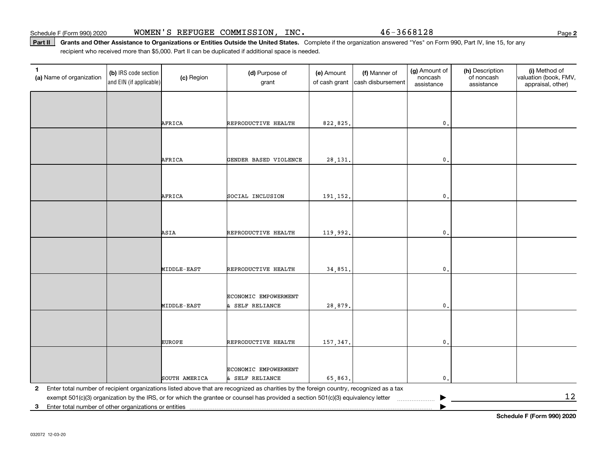Part II | Grants and Other Assistance to Organizations or Entities Outside the United States. Complete if the organization answered "Yes" on Form 990, Part IV, line 15, for any recipient who received more than \$5,000. Part II can be duplicated if additional space is needed.

| $\mathbf{1}$<br>(a) Name of organization                             | (b) IRS code section<br>and EIN (if applicable) | (c) Region    | (d) Purpose of<br>grant                                                                                                                 | (e) Amount<br>of cash grant | (f) Manner of<br>cash disbursement | (g) Amount of<br>noncash<br>assistance | (h) Description<br>of noncash<br>assistance | (i) Method of<br>valuation (book, FMV,<br>appraisal, other) |
|----------------------------------------------------------------------|-------------------------------------------------|---------------|-----------------------------------------------------------------------------------------------------------------------------------------|-----------------------------|------------------------------------|----------------------------------------|---------------------------------------------|-------------------------------------------------------------|
|                                                                      |                                                 |               |                                                                                                                                         |                             |                                    |                                        |                                             |                                                             |
|                                                                      |                                                 |               |                                                                                                                                         |                             |                                    |                                        |                                             |                                                             |
|                                                                      |                                                 | AFRICA        | REPRODUCTIVE HEALTH                                                                                                                     | 822,825.                    |                                    | $\mathbf{0}$ .                         |                                             |                                                             |
|                                                                      |                                                 |               |                                                                                                                                         |                             |                                    |                                        |                                             |                                                             |
|                                                                      |                                                 |               |                                                                                                                                         |                             |                                    |                                        |                                             |                                                             |
|                                                                      |                                                 | AFRICA        | GENDER BASED VIOLENCE                                                                                                                   | 28, 131.                    |                                    | $\mathfrak{o}$ .                       |                                             |                                                             |
|                                                                      |                                                 |               |                                                                                                                                         |                             |                                    |                                        |                                             |                                                             |
|                                                                      |                                                 |               |                                                                                                                                         |                             |                                    |                                        |                                             |                                                             |
|                                                                      |                                                 | AFRICA        | SOCIAL INCLUSION                                                                                                                        | 191,152.                    |                                    | $\mathbf{0}$ .                         |                                             |                                                             |
|                                                                      |                                                 |               |                                                                                                                                         |                             |                                    |                                        |                                             |                                                             |
|                                                                      |                                                 |               |                                                                                                                                         |                             |                                    |                                        |                                             |                                                             |
|                                                                      |                                                 | ASIA          | REPRODUCTIVE HEALTH                                                                                                                     | 119,992.                    |                                    | $\mathbf{0}$ .                         |                                             |                                                             |
|                                                                      |                                                 |               |                                                                                                                                         |                             |                                    |                                        |                                             |                                                             |
|                                                                      |                                                 |               |                                                                                                                                         |                             |                                    |                                        |                                             |                                                             |
|                                                                      |                                                 | MIDDLE-EAST   | REPRODUCTIVE HEALTH                                                                                                                     | 34,851.                     |                                    | $\mathbf{0}$ .                         |                                             |                                                             |
|                                                                      |                                                 |               |                                                                                                                                         |                             |                                    |                                        |                                             |                                                             |
|                                                                      |                                                 |               | ECONOMIC EMPOWERMENT                                                                                                                    |                             |                                    |                                        |                                             |                                                             |
|                                                                      |                                                 | MIDDLE-EAST   | SELF RELIANCE                                                                                                                           | 28,879.                     |                                    | $\mathfrak o$ .                        |                                             |                                                             |
|                                                                      |                                                 |               |                                                                                                                                         |                             |                                    |                                        |                                             |                                                             |
|                                                                      |                                                 |               |                                                                                                                                         |                             |                                    |                                        |                                             |                                                             |
|                                                                      |                                                 | <b>EUROPE</b> | REPRODUCTIVE HEALTH                                                                                                                     | 157,347.                    |                                    | $\mathbf{0}$ .                         |                                             |                                                             |
|                                                                      |                                                 |               |                                                                                                                                         |                             |                                    |                                        |                                             |                                                             |
|                                                                      |                                                 |               | ECONOMIC EMPOWERMENT                                                                                                                    |                             |                                    |                                        |                                             |                                                             |
|                                                                      |                                                 | SOUTH AMERICA | & SELF RELIANCE                                                                                                                         | 65,863.                     |                                    | $\mathbf{0}$ .                         |                                             |                                                             |
| $\mathbf{2}$                                                         |                                                 |               | Enter total number of recipient organizations listed above that are recognized as charities by the foreign country, recognized as a tax |                             |                                    |                                        |                                             | 12                                                          |
| Enter total number of other organizations or entities<br>$3^{\circ}$ |                                                 |               | exempt 501(c)(3) organization by the IRS, or for which the grantee or counsel has provided a section 501(c)(3) equivalency letter       |                             |                                    |                                        |                                             |                                                             |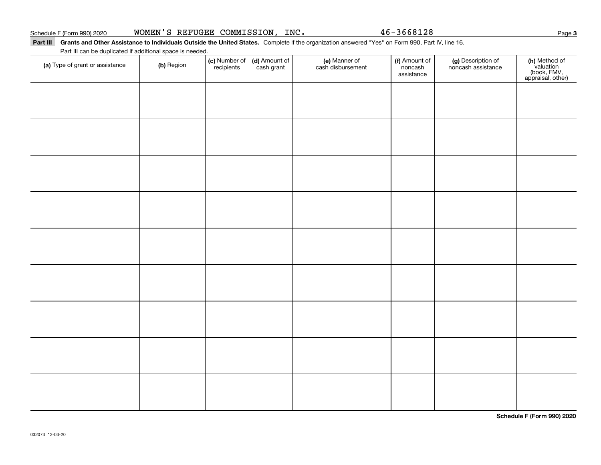#### Part III Grants and Other Assistance to Individuals Outside the United States. Complete if the organization answered "Yes" on Form 990, Part IV, line 16.

Part III can be duplicated if additional space is needed.

| (a) Type of grant or assistance | (b) Region | (c) Number of<br>recipients | (d) Amount of<br>cash grant | (e) Manner of<br>cash disbursement | (f) Amount of<br>noncash<br>assistance | (g) Description of<br>noncash assistance | (h) Method of<br>valuation<br>(book, FMV,<br>appraisal, other) |
|---------------------------------|------------|-----------------------------|-----------------------------|------------------------------------|----------------------------------------|------------------------------------------|----------------------------------------------------------------|
|                                 |            |                             |                             |                                    |                                        |                                          |                                                                |
|                                 |            |                             |                             |                                    |                                        |                                          |                                                                |
|                                 |            |                             |                             |                                    |                                        |                                          |                                                                |
|                                 |            |                             |                             |                                    |                                        |                                          |                                                                |
|                                 |            |                             |                             |                                    |                                        |                                          |                                                                |
|                                 |            |                             |                             |                                    |                                        |                                          |                                                                |
|                                 |            |                             |                             |                                    |                                        |                                          |                                                                |
|                                 |            |                             |                             |                                    |                                        |                                          |                                                                |
|                                 |            |                             |                             |                                    |                                        |                                          |                                                                |
|                                 |            |                             |                             |                                    |                                        |                                          |                                                                |
|                                 |            |                             |                             |                                    |                                        |                                          |                                                                |
|                                 |            |                             |                             |                                    |                                        |                                          |                                                                |
|                                 |            |                             |                             |                                    |                                        |                                          |                                                                |
|                                 |            |                             |                             |                                    |                                        |                                          |                                                                |

**3**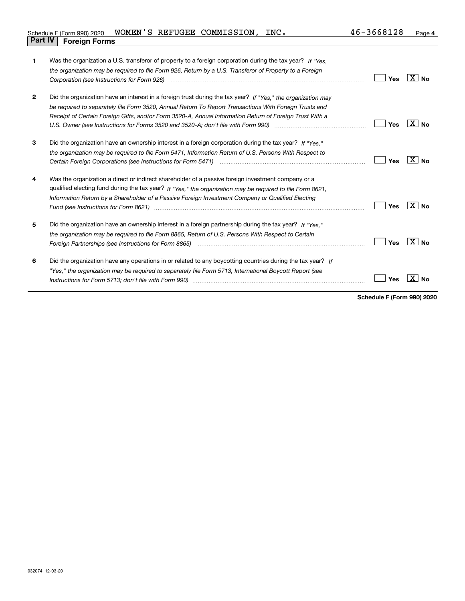| Schedule F (Form 990) 2020     |  | WOMEN'S REFUGEE COMMISSION, INC. | 46-3668128 | Page |
|--------------------------------|--|----------------------------------|------------|------|
| <b>Part IV   Foreign Forms</b> |  |                                  |            |      |

| 1              | Was the organization a U.S. transferor of property to a foreign corporation during the tax year? If "Yes."                                                                                                                    |     |                           |
|----------------|-------------------------------------------------------------------------------------------------------------------------------------------------------------------------------------------------------------------------------|-----|---------------------------|
|                | the organization may be required to file Form 926, Return by a U.S. Transferor of Property to a Foreign                                                                                                                       |     |                           |
|                | Corporation (see Instructions for Form 926) manufactured contract the control of the control of the control of                                                                                                                | Yes | $X \mid N_0$              |
| $\overline{2}$ | Did the organization have an interest in a foreign trust during the tax year? If "Yes," the organization may                                                                                                                  |     |                           |
|                | be required to separately file Form 3520, Annual Return To Report Transactions With Foreign Trusts and                                                                                                                        |     |                           |
|                | Receipt of Certain Foreign Gifts, and/or Form 3520-A, Annual Information Return of Foreign Trust With a                                                                                                                       |     |                           |
|                |                                                                                                                                                                                                                               | Yes | X∣No                      |
| 3              | Did the organization have an ownership interest in a foreign corporation during the tax year? If "Yes."                                                                                                                       |     |                           |
|                | the organization may be required to file Form 5471, Information Return of U.S. Persons With Respect to                                                                                                                        |     |                           |
|                | Certain Foreign Corporations (see Instructions for Form 5471) manufactured contain the content of the Corporations (see Instructions for Form 5471)                                                                           | Yes | X∣No                      |
| 4              | Was the organization a direct or indirect shareholder of a passive foreign investment company or a                                                                                                                            |     |                           |
|                | qualified electing fund during the tax year? If "Yes," the organization may be required to file Form 8621,                                                                                                                    |     |                           |
|                | Information Return by a Shareholder of a Passive Foreign Investment Company or Qualified Electing                                                                                                                             |     |                           |
|                |                                                                                                                                                                                                                               | Yes | $\mathbf{X}$<br><b>No</b> |
| 5              | Did the organization have an ownership interest in a foreign partnership during the tax year? If "Yes."                                                                                                                       |     |                           |
|                | the organization may be required to file Form 8865, Return of U.S. Persons With Respect to Certain                                                                                                                            |     |                           |
|                | Foreign Partnerships (see Instructions for Form 8865) manufactured contain the control of the control of the control of the control of the control of the control of the control of the control of the control of the control | Yes | ΧI<br><b>No</b>           |
| 6              | Did the organization have any operations in or related to any boycotting countries during the tax year? If                                                                                                                    |     |                           |
|                | "Yes," the organization may be reguired to separately file Form 5713, International Boycott Report (see                                                                                                                       |     |                           |
|                |                                                                                                                                                                                                                               | Yes |                           |
|                |                                                                                                                                                                                                                               |     |                           |

**Schedule F (Form 990) 2020**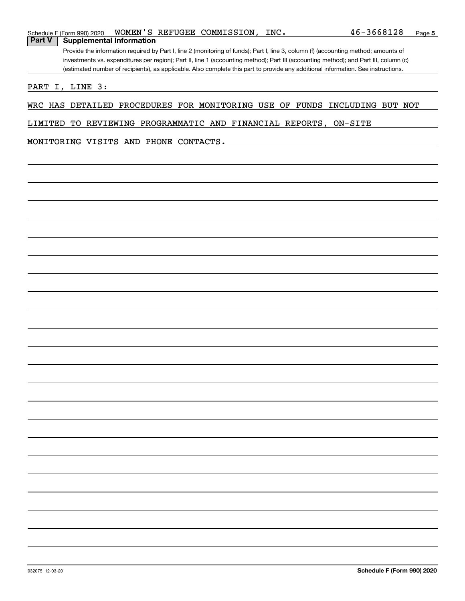|               | WOMEN'S REFUGEE COMMISSION,<br>$\_INC$ .<br>Schedule F (Form 990) 2020                                                                | 46-3668128 | Page |  |  |  |  |
|---------------|---------------------------------------------------------------------------------------------------------------------------------------|------------|------|--|--|--|--|
| <b>Part V</b> | <b>Supplemental Information</b>                                                                                                       |            |      |  |  |  |  |
|               | Provide the information required by Part I, line 2 (monitoring of funds); Part I, line 3, column (f) (accounting method; amounts of   |            |      |  |  |  |  |
|               | investments vs. expenditures per region); Part II, line 1 (accounting method); Part III (accounting method); and Part III, column (c) |            |      |  |  |  |  |
|               | (estimated number of recipients), as applicable. Also complete this part to provide any additional information. See instructions.     |            |      |  |  |  |  |

PART I, LINE 3:

WRC HAS DETAILED PROCEDURES FOR MONITORING USE OF FUNDS INCLUDING BUT NOT

LIMITED TO REVIEWING PROGRAMMATIC AND FINANCIAL REPORTS, ON-SITE

MONITORING VISITS AND PHONE CONTACTS.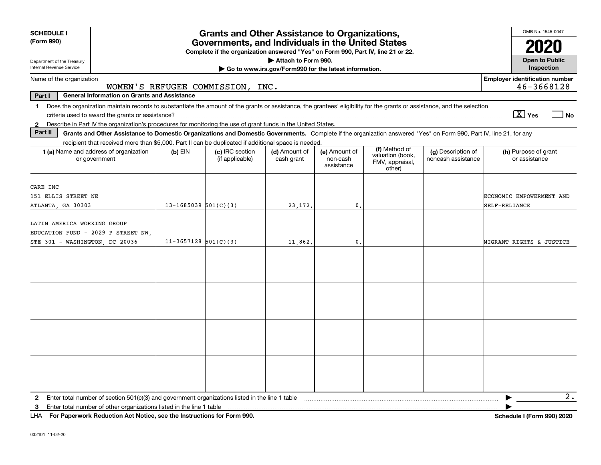| <b>SCHEDULE I</b><br>(Form 990)                                                                                                                                                                                                                                                                                | <b>Grants and Other Assistance to Organizations,</b><br>Governments, and Individuals in the United States<br>Complete if the organization answered "Yes" on Form 990, Part IV, line 21 or 22.                                                                                                                                                                          |  |          |                |  |  |                                           |  |  |  |
|----------------------------------------------------------------------------------------------------------------------------------------------------------------------------------------------------------------------------------------------------------------------------------------------------------------|------------------------------------------------------------------------------------------------------------------------------------------------------------------------------------------------------------------------------------------------------------------------------------------------------------------------------------------------------------------------|--|----------|----------------|--|--|-------------------------------------------|--|--|--|
| Attach to Form 990.<br>Department of the Treasury<br>Internal Revenue Service                                                                                                                                                                                                                                  |                                                                                                                                                                                                                                                                                                                                                                        |  |          |                |  |  |                                           |  |  |  |
| Go to www.irs.gov/Form990 for the latest information.<br><b>Employer identification number</b><br>Name of the organization<br>WOMEN'S REFUGEE COMMISSION, INC.                                                                                                                                                 |                                                                                                                                                                                                                                                                                                                                                                        |  |          |                |  |  |                                           |  |  |  |
| <b>General Information on Grants and Assistance</b><br>Part I                                                                                                                                                                                                                                                  |                                                                                                                                                                                                                                                                                                                                                                        |  |          |                |  |  | 46-3668128                                |  |  |  |
| Does the organization maintain records to substantiate the amount of the grants or assistance, the grantees' eligibility for the grants or assistance, and the selection<br>1<br>Describe in Part IV the organization's procedures for monitoring the use of grant funds in the United States.<br>$\mathbf{2}$ |                                                                                                                                                                                                                                                                                                                                                                        |  |          |                |  |  | $\sqrt{X}$ Yes<br>l No                    |  |  |  |
| Part II<br>Grants and Other Assistance to Domestic Organizations and Domestic Governments. Complete if the organization answered "Yes" on Form 990, Part IV, line 21, for any                                                                                                                                  |                                                                                                                                                                                                                                                                                                                                                                        |  |          |                |  |  |                                           |  |  |  |
| <b>1 (a)</b> Name and address of organization<br>or government                                                                                                                                                                                                                                                 | recipient that received more than \$5,000. Part II can be duplicated if additional space is needed.<br>(f) Method of<br>(c) IRC section<br>(d) Amount of<br>(g) Description of<br>(h) Purpose of grant<br>$(b)$ EIN<br>(e) Amount of<br>valuation (book,<br>(if applicable)<br>cash grant<br>non-cash<br>noncash assistance<br>FMV, appraisal,<br>assistance<br>other) |  |          |                |  |  |                                           |  |  |  |
| CARE INC<br>151 ELLIS STREET NE<br>ATLANTA, GA 30303                                                                                                                                                                                                                                                           | $13 - 1685039$ $501(C)(3)$                                                                                                                                                                                                                                                                                                                                             |  | 23, 172. | $\mathbf{0}$ . |  |  | ECONOMIC EMPOWERMENT AND<br>SELF-RELIANCE |  |  |  |
| LATIN AMERICA WORKING GROUP<br>EDUCATION FUND - 2029 P STREET NW.<br>STE 301 - WASHINGTON, DC 20036                                                                                                                                                                                                            | $11-3657128$ 501(C)(3)                                                                                                                                                                                                                                                                                                                                                 |  | 11,862.  | $\mathbf{0}$   |  |  | MIGRANT RIGHTS & JUSTICE                  |  |  |  |
|                                                                                                                                                                                                                                                                                                                |                                                                                                                                                                                                                                                                                                                                                                        |  |          |                |  |  |                                           |  |  |  |
|                                                                                                                                                                                                                                                                                                                |                                                                                                                                                                                                                                                                                                                                                                        |  |          |                |  |  |                                           |  |  |  |
|                                                                                                                                                                                                                                                                                                                |                                                                                                                                                                                                                                                                                                                                                                        |  |          |                |  |  |                                           |  |  |  |
|                                                                                                                                                                                                                                                                                                                |                                                                                                                                                                                                                                                                                                                                                                        |  |          |                |  |  |                                           |  |  |  |
| Enter total number of section 501(c)(3) and government organizations listed in the line 1 table<br>2<br>Enter total number of other organizations listed in the line 1 table<br>3                                                                                                                              |                                                                                                                                                                                                                                                                                                                                                                        |  |          |                |  |  | 2.                                        |  |  |  |

**For Paperwork Reduction Act Notice, see the Instructions for Form 990. Schedule I (Form 990) 2020** LHA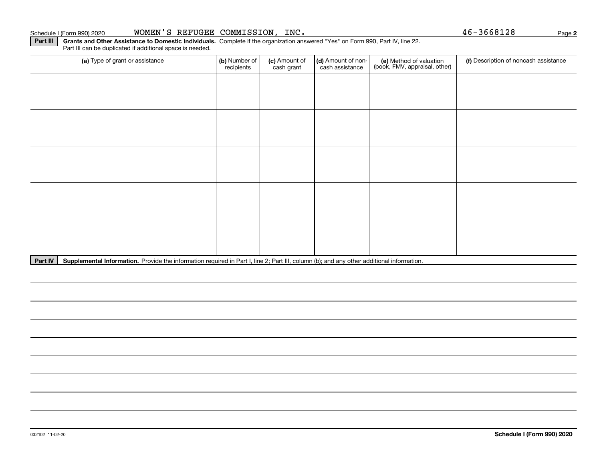# Schedule I (Form 990) 2020 **WOMEN'S REFUGEE COMMISSION, INC.** Page

**Part III | Grants and Other Assistance to Domestic Individuals. Complete if the organization answered "Yes" on Form 990, Part IV, line 22.** Part III can be duplicated if additional space is needed.

| (a) Type of grant or assistance | (b) Number of<br>recipients | (c) Amount of<br>cash grant | (d) Amount of non-<br>cash assistance | (e) Method of valuation<br>(book, FMV, appraisal, other) | (f) Description of noncash assistance |
|---------------------------------|-----------------------------|-----------------------------|---------------------------------------|----------------------------------------------------------|---------------------------------------|
|                                 |                             |                             |                                       |                                                          |                                       |
|                                 |                             |                             |                                       |                                                          |                                       |
|                                 |                             |                             |                                       |                                                          |                                       |
|                                 |                             |                             |                                       |                                                          |                                       |
|                                 |                             |                             |                                       |                                                          |                                       |
|                                 |                             |                             |                                       |                                                          |                                       |
|                                 |                             |                             |                                       |                                                          |                                       |
|                                 |                             |                             |                                       |                                                          |                                       |
|                                 |                             |                             |                                       |                                                          |                                       |
|                                 |                             |                             |                                       |                                                          |                                       |

Part IV | Supplemental Information. Provide the information required in Part I, line 2; Part III, column (b); and any other additional information.

**2**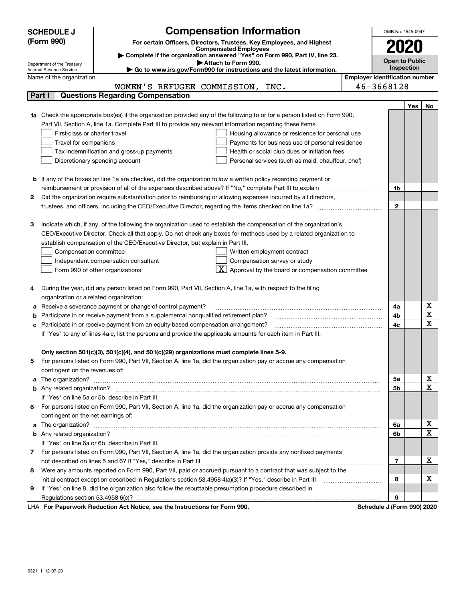|            | <b>SCHEDULE J</b>                                                                                                                                         | <b>Compensation Information</b>                                                                                        |  | OMB No. 1545-0047 |     |                       |  |  |
|------------|-----------------------------------------------------------------------------------------------------------------------------------------------------------|------------------------------------------------------------------------------------------------------------------------|--|-------------------|-----|-----------------------|--|--|
| (Form 990) |                                                                                                                                                           | For certain Officers, Directors, Trustees, Key Employees, and Highest                                                  |  |                   |     |                       |  |  |
|            |                                                                                                                                                           | <b>Compensated Employees</b>                                                                                           |  |                   |     |                       |  |  |
|            | Complete if the organization answered "Yes" on Form 990, Part IV, line 23.                                                                                |                                                                                                                        |  |                   |     | <b>Open to Public</b> |  |  |
|            | Attach to Form 990.<br>Department of the Treasury<br>Internal Revenue Service<br>► Go to www.irs.gov/Form990 for instructions and the latest information. |                                                                                                                        |  |                   |     |                       |  |  |
|            | <b>Employer identification number</b><br>Name of the organization                                                                                         |                                                                                                                        |  |                   |     |                       |  |  |
|            |                                                                                                                                                           | WOMEN'S REFUGEE COMMISSION,<br>INC.                                                                                    |  | 46-3668128        |     |                       |  |  |
|            | Part I                                                                                                                                                    | <b>Questions Regarding Compensation</b>                                                                                |  |                   |     |                       |  |  |
|            |                                                                                                                                                           |                                                                                                                        |  |                   | Yes | No                    |  |  |
|            |                                                                                                                                                           | Check the appropriate box(es) if the organization provided any of the following to or for a person listed on Form 990, |  |                   |     |                       |  |  |
|            |                                                                                                                                                           | Part VII, Section A, line 1a. Complete Part III to provide any relevant information regarding these items.             |  |                   |     |                       |  |  |
|            | First-class or charter travel                                                                                                                             | Housing allowance or residence for personal use                                                                        |  |                   |     |                       |  |  |
|            | Travel for companions                                                                                                                                     | Payments for business use of personal residence                                                                        |  |                   |     |                       |  |  |
|            |                                                                                                                                                           | Health or social club dues or initiation fees<br>Tax indemnification and gross-up payments                             |  |                   |     |                       |  |  |
|            |                                                                                                                                                           | Discretionary spending account<br>Personal services (such as maid, chauffeur, chef)                                    |  |                   |     |                       |  |  |
|            |                                                                                                                                                           |                                                                                                                        |  |                   |     |                       |  |  |
|            |                                                                                                                                                           | <b>b</b> If any of the boxes on line 1a are checked, did the organization follow a written policy regarding payment or |  |                   |     |                       |  |  |
|            |                                                                                                                                                           |                                                                                                                        |  | 1b                |     |                       |  |  |
| 2          |                                                                                                                                                           | Did the organization require substantiation prior to reimbursing or allowing expenses incurred by all directors,       |  |                   |     |                       |  |  |
|            |                                                                                                                                                           |                                                                                                                        |  | $\mathbf{2}$      |     |                       |  |  |
|            |                                                                                                                                                           |                                                                                                                        |  |                   |     |                       |  |  |
| з          |                                                                                                                                                           | Indicate which, if any, of the following the organization used to establish the compensation of the organization's     |  |                   |     |                       |  |  |
|            |                                                                                                                                                           | CEO/Executive Director. Check all that apply. Do not check any boxes for methods used by a related organization to     |  |                   |     |                       |  |  |
|            |                                                                                                                                                           | establish compensation of the CEO/Executive Director, but explain in Part III.                                         |  |                   |     |                       |  |  |
|            | Compensation committee                                                                                                                                    | Written employment contract                                                                                            |  |                   |     |                       |  |  |
|            |                                                                                                                                                           | Compensation survey or study<br>Independent compensation consultant                                                    |  |                   |     |                       |  |  |
|            |                                                                                                                                                           | $\boxed{\textbf{X}}$ Approval by the board or compensation committee<br>Form 990 of other organizations                |  |                   |     |                       |  |  |
|            |                                                                                                                                                           |                                                                                                                        |  |                   |     |                       |  |  |
| 4          |                                                                                                                                                           | During the year, did any person listed on Form 990, Part VII, Section A, line 1a, with respect to the filing           |  |                   |     |                       |  |  |
|            | organization or a related organization:                                                                                                                   |                                                                                                                        |  |                   |     |                       |  |  |
| а          |                                                                                                                                                           | Receive a severance payment or change-of-control payment?                                                              |  | 4a                |     | х                     |  |  |
| b          |                                                                                                                                                           | Participate in or receive payment from a supplemental nonqualified retirement plan?                                    |  | 4b                |     | X                     |  |  |
|            |                                                                                                                                                           | Participate in or receive payment from an equity-based compensation arrangement?                                       |  | 4c                |     | $\mathbf x$           |  |  |
|            |                                                                                                                                                           | If "Yes" to any of lines 4a-c, list the persons and provide the applicable amounts for each item in Part III.          |  |                   |     |                       |  |  |
|            |                                                                                                                                                           |                                                                                                                        |  |                   |     |                       |  |  |
|            |                                                                                                                                                           | Only section 501(c)(3), 501(c)(4), and 501(c)(29) organizations must complete lines 5-9.                               |  |                   |     |                       |  |  |
| 5          |                                                                                                                                                           | For persons listed on Form 990, Part VII, Section A, line 1a, did the organization pay or accrue any compensation      |  |                   |     |                       |  |  |
|            | contingent on the revenues of:                                                                                                                            |                                                                                                                        |  |                   |     |                       |  |  |
| a          |                                                                                                                                                           |                                                                                                                        |  | 5a                |     | х                     |  |  |
|            |                                                                                                                                                           |                                                                                                                        |  | 5b                |     | $\mathbf x$           |  |  |
|            |                                                                                                                                                           | If "Yes" on line 5a or 5b, describe in Part III.                                                                       |  |                   |     |                       |  |  |
| 6          |                                                                                                                                                           | For persons listed on Form 990, Part VII, Section A, line 1a, did the organization pay or accrue any compensation      |  |                   |     |                       |  |  |
|            | contingent on the net earnings of:                                                                                                                        |                                                                                                                        |  |                   |     |                       |  |  |
| a          |                                                                                                                                                           |                                                                                                                        |  |                   |     | х                     |  |  |
|            |                                                                                                                                                           |                                                                                                                        |  | 6b                |     | $\mathbf x$           |  |  |
|            |                                                                                                                                                           | If "Yes" on line 6a or 6b, describe in Part III.                                                                       |  |                   |     |                       |  |  |
| 7          | For persons listed on Form 990, Part VII, Section A, line 1a, did the organization provide any nonfixed payments                                          |                                                                                                                        |  |                   |     |                       |  |  |
|            |                                                                                                                                                           |                                                                                                                        |  |                   |     | x                     |  |  |
| 8          |                                                                                                                                                           | Were any amounts reported on Form 990, Part VII, paid or accrued pursuant to a contract that was subject to the        |  |                   |     |                       |  |  |
|            |                                                                                                                                                           | initial contract exception described in Regulations section 53.4958-4(a)(3)? If "Yes," describe in Part III            |  | 8                 |     | х                     |  |  |
| 9          |                                                                                                                                                           | If "Yes" on line 8, did the organization also follow the rebuttable presumption procedure described in                 |  |                   |     |                       |  |  |
|            |                                                                                                                                                           |                                                                                                                        |  | 9                 |     |                       |  |  |

LHA For Paperwork Reduction Act Notice, see the Instructions for Form 990. Schedule J (Form 990) 2020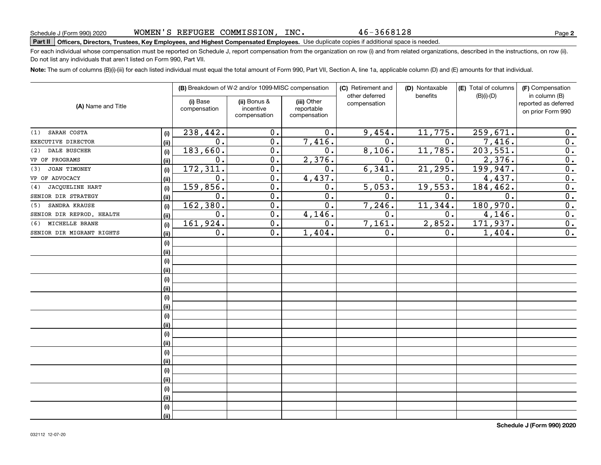# **Part II Officers, Directors, Trustees, Key Employees, and Highest Compensated Employees.**  Schedule J (Form 990) 2020 Page Use duplicate copies if additional space is needed.

For each individual whose compensation must be reported on Schedule J, report compensation from the organization on row (i) and from related organizations, described in the instructions, on row (ii). Do not list any individuals that aren't listed on Form 990, Part VII.

**Note:**  The sum of columns (B)(i)-(iii) for each listed individual must equal the total amount of Form 990, Part VII, Section A, line 1a, applicable column (D) and (E) amounts for that individual.

|                               |      |                          | (B) Breakdown of W-2 and/or 1099-MISC compensation |                                           | (C) Retirement and<br>other deferred | (D) Nontaxable<br>benefits | (E) Total of columns<br>$(B)(i)-(D)$ | (F) Compensation<br>in column (B)         |  |
|-------------------------------|------|--------------------------|----------------------------------------------------|-------------------------------------------|--------------------------------------|----------------------------|--------------------------------------|-------------------------------------------|--|
| (A) Name and Title            |      | (i) Base<br>compensation | (ii) Bonus &<br>incentive<br>compensation          | (iii) Other<br>reportable<br>compensation | compensation                         |                            |                                      | reported as deferred<br>on prior Form 990 |  |
| SARAH COSTA<br>(1)            | (i)  | 238,442.                 | 0.                                                 | 0.                                        | 9,454.                               | 11,775.                    | 259,671.                             | 0.                                        |  |
| EXECUTIVE DIRECTOR            | (ii) | 0.                       | 0.                                                 | 7,416.                                    | 0.                                   | 0.                         | 7,416.                               | $\overline{0}$ .                          |  |
| DALE BUSCHER<br>(2)           | (i)  | 183,660.                 | 0.                                                 | 0.                                        | 8,106.                               | 11,785.                    | 203,551.                             | $\overline{0}$ .                          |  |
| VP OF PROGRAMS                | (ii) | 0.                       | 0.                                                 | 2,376.                                    | 0.                                   | 0.                         | 2,376.                               | $\overline{0}$ .                          |  |
| JOAN TIMONEY<br>(3)           | (i)  | 172, 311.                | 0.                                                 | 0.                                        | 6,341.                               | 21,295.                    | 199, 947.                            | $\overline{0}$ .                          |  |
| VP OF ADVOCACY                | (ii) | 0.                       | 0.                                                 | 4,437.                                    | 0.                                   | 0.                         | 4,437.                               | $\overline{0}$ .                          |  |
| <b>JACQUELINE HART</b><br>(4) | (i)  | 159,856.                 | $\mathbf 0$ .                                      | 0.                                        | 5,053.                               | 19,553.                    | 184,462.                             | $\overline{0}$ .                          |  |
| SENIOR DIR STRATEGY           | (ii) | 0.                       | 0.                                                 | 0.                                        | 0.                                   | 0.                         | $\mathbf 0$ .                        | $\overline{0}$ .                          |  |
| SANDRA KRAUSE<br>(5)          | (i)  | 162,380.                 | $\overline{0}$ .                                   | $\overline{0}$ .                          | 7,246.                               | 11,344.                    | 180,970.                             | $\overline{0}$ .                          |  |
| SENIOR DIR REPROD. HEALTH     | (ii) | $\overline{0}$ .         | $\overline{0}$ .                                   | 4,146.                                    | 0.                                   | 0.                         | 4,146.                               | $\overline{0}$ .                          |  |
| MICHELLE BRANE<br>(6)         | (i)  | 161,924.                 | $\overline{0}$ .                                   | 0.                                        | 7,161.                               | 2,852.                     | 171,937.                             | $\overline{0}$ .                          |  |
| SENIOR DIR MIGRANT RIGHTS     | (ii) | 0.                       | $\overline{0}$ .                                   | 1,404.                                    | 0.                                   | 0.                         | 1,404.                               | $\overline{0}$ .                          |  |
|                               | (i)  |                          |                                                    |                                           |                                      |                            |                                      |                                           |  |
|                               | (ii) |                          |                                                    |                                           |                                      |                            |                                      |                                           |  |
|                               | (i)  |                          |                                                    |                                           |                                      |                            |                                      |                                           |  |
|                               | (ii) |                          |                                                    |                                           |                                      |                            |                                      |                                           |  |
|                               | (i)  |                          |                                                    |                                           |                                      |                            |                                      |                                           |  |
|                               | (ii) |                          |                                                    |                                           |                                      |                            |                                      |                                           |  |
|                               | (i)  |                          |                                                    |                                           |                                      |                            |                                      |                                           |  |
|                               | (ii) |                          |                                                    |                                           |                                      |                            |                                      |                                           |  |
|                               | (i)  |                          |                                                    |                                           |                                      |                            |                                      |                                           |  |
|                               | (ii) |                          |                                                    |                                           |                                      |                            |                                      |                                           |  |
|                               | (i)  |                          |                                                    |                                           |                                      |                            |                                      |                                           |  |
|                               | (ii) |                          |                                                    |                                           |                                      |                            |                                      |                                           |  |
|                               | (i)  |                          |                                                    |                                           |                                      |                            |                                      |                                           |  |
|                               | (ii) |                          |                                                    |                                           |                                      |                            |                                      |                                           |  |
|                               | (i)  |                          |                                                    |                                           |                                      |                            |                                      |                                           |  |
|                               | (ii) |                          |                                                    |                                           |                                      |                            |                                      |                                           |  |
|                               | (i)  |                          |                                                    |                                           |                                      |                            |                                      |                                           |  |
|                               | (ii) |                          |                                                    |                                           |                                      |                            |                                      |                                           |  |
|                               | (i)  |                          |                                                    |                                           |                                      |                            |                                      |                                           |  |
|                               | (ii) |                          |                                                    |                                           |                                      |                            |                                      |                                           |  |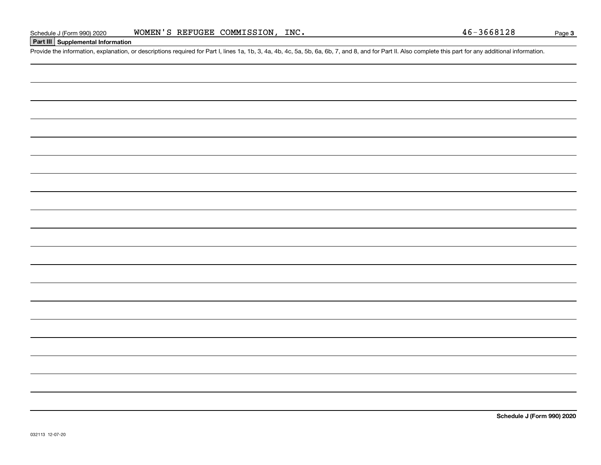### **Part III Supplemental Information**

Schedule J (Form 990) 2020 WOMEN'S REFUGEE COMMISSION, INC.<br>Part III Supplemental Information<br>Provide the information, explanation, or descriptions required for Part I, lines 1a, 1b, 3, 4a, 4b, 4c, 5a, 5b, 6a, 6b, 7, and

**Schedule J (Form 990) 2020**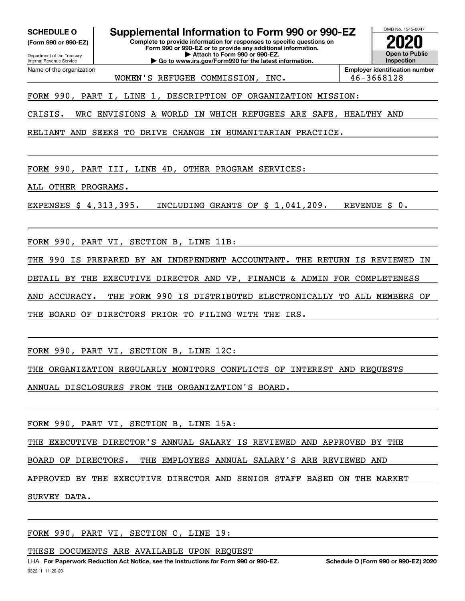**(Form 990 or 990-EZ)**

Department of the Treasury Internal Revenue Service Name of the organization

**SCHEDULE O Supplemental Information to Form 990 or 990-EZ**

**Complete to provide information for responses to specific questions on Form 990 or 990-EZ or to provide any additional information. | Attach to Form 990 or 990-EZ.**

**| Go to www.irs.gov/Form990 for the latest information.**



WOMEN'S REFUGEE COMMISSION, INC. 46-3668128

FORM 990, PART I, LINE 1, DESCRIPTION OF ORGANIZATION MISSION:

CRISIS. WRC ENVISIONS A WORLD IN WHICH REFUGEES ARE SAFE, HEALTHY AND

RELIANT AND SEEKS TO DRIVE CHANGE IN HUMANITARIAN PRACTICE.

FORM 990, PART III, LINE 4D, OTHER PROGRAM SERVICES:

ALL OTHER PROGRAMS.

EXPENSES \$ 4,313,395. INCLUDING GRANTS OF \$ 1,041,209. REVENUE \$ 0.

FORM 990, PART VI, SECTION B, LINE 11B:

THE 990 IS PREPARED BY AN INDEPENDENT ACCOUNTANT. THE RETURN IS REVIEWED IN

DETAIL BY THE EXECUTIVE DIRECTOR AND VP, FINANCE & ADMIN FOR COMPLETENESS

AND ACCURACY. THE FORM 990 IS DISTRIBUTED ELECTRONICALLY TO ALL MEMBERS OF

THE BOARD OF DIRECTORS PRIOR TO FILING WITH THE IRS.

FORM 990, PART VI, SECTION B, LINE 12C:

THE ORGANIZATION REGULARLY MONITORS CONFLICTS OF INTEREST AND REQUESTS

ANNUAL DISCLOSURES FROM THE ORGANIZATION'S BOARD.

FORM 990, PART VI, SECTION B, LINE 15A:

THE EXECUTIVE DIRECTOR'S ANNUAL SALARY IS REVIEWED AND APPROVED BY THE

BOARD OF DIRECTORS. THE EMPLOYEES ANNUAL SALARY'S ARE REVIEWED AND

APPROVED BY THE EXECUTIVE DIRECTOR AND SENIOR STAFF BASED ON THE MARKET

SURVEY DATA.

FORM 990, PART VI, SECTION C, LINE 19:

THESE DOCUMENTS ARE AVAILABLE UPON REQUEST